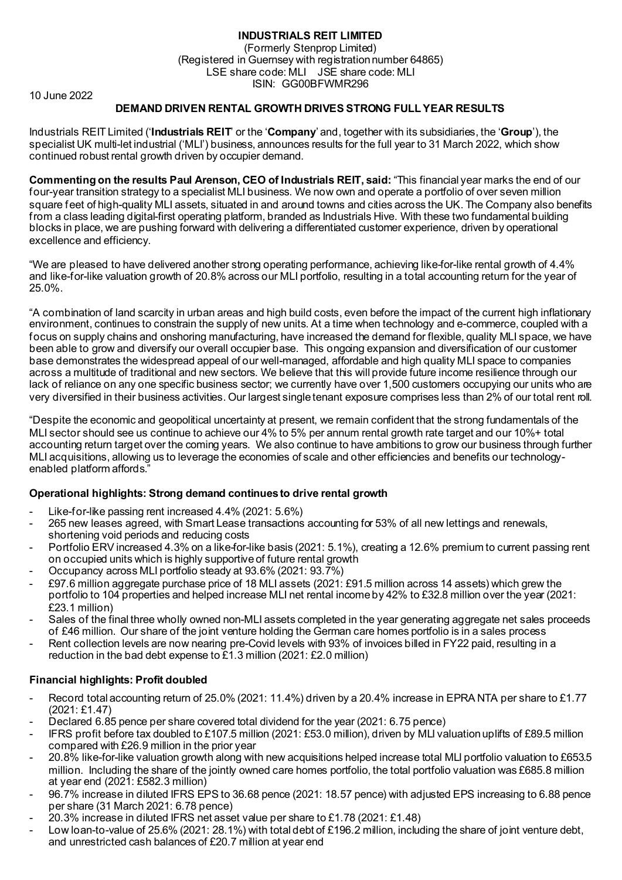### **INDUSTRIALS REIT LIMITED** (Formerly Stenprop Limited) (Registered in Guernsey with registration number 64865) LSE share code: MLI JSE share code: MLI ISIN: GG00BFWMR296

10 June 2022

## **DEMAND DRIVEN RENTAL GROWTH DRIVES STRONG FULL YEAR RESULTS**

Industrials REIT Limited ('**Industrials REIT**' or the '**Company**' and, together with its subsidiaries, the '**Group**'), the specialist UK multi-let industrial ('MLI') business, announces results for the full year to 31 March 2022, which show continued robust rental growth driven by occupier demand.

**Commenting on the results Paul Arenson, CEO of Industrials REIT, said:** "This financial year marks the end of our four-year transition strategy to a specialist MLI business. We now own and operate a portfolio of over seven million square feet of high-quality MLI assets, situated in and around towns and cities across the UK. The Company also benefits from a class leading digital-first operating platform, branded as Industrials Hive. With these two fundamental building blocks in place, we are pushing forward with delivering a differentiated customer experience, driven by operational excellence and efficiency.

"We are pleased to have delivered another strong operating performance, achieving like-for-like rental growth of 4.4% and like-for-like valuation growth of 20.8% across our MLI portfolio, resulting in a total accounting return for the year of 25.0%.

"A combination of land scarcity in urban areas and high build costs, even before the impact of the current high inflationary environment, continues to constrain the supply of new units. At a time when technology and e-commerce, coupled with a focus on supply chains and onshoring manufacturing, have increased the demand for flexible, quality MLI space, we have been able to grow and diversify our overall occupier base. This ongoing expansion and diversification of our customer base demonstrates the widespread appeal of our well-managed, affordable and high quality MLI space to companies across a multitude of traditional and new sectors. We believe that this will provide future income resilience through our lack of reliance on any one specific business sector; we currently have over 1,500 customers occupying our units who are very diversified in their business activities. Our largest single tenant exposure comprises less than 2% of our total rent roll.

"Despite the economic and geopolitical uncertainty at present, we remain confident that the strong fundamentals of the MLI sector should see us continue to achieve our 4% to 5% per annum rental growth rate target and our 10%+ total accounting return target over the coming years. We also continue to have ambitions to grow our business through further MLI acquisitions, allowing us to leverage the economies of scale and other efficiencies and benefits our technologyenabled platform affords."

## **Operational highlights: Strong demand continues to drive rental growth**

- Like-for-like passing rent increased 4.4% (2021: 5.6%)
- 265 new leases agreed, with Smart Lease transactions accounting for 53% of all new lettings and renewals, shortening void periods and reducing costs
- Portfolio ERV increased 4.3% on a like-for-like basis (2021: 5.1%), creating a 12.6% premium to current passing rent on occupied units which is highly supportive of future rental growth
- Occupancy across MLI portfolio steady at 93.6% (2021: 93.7%)
- £97.6 million aggregate purchase price of 18 MLI assets (2021: £91.5 million across 14 assets) which grew the portfolio to 104 properties and helped increase MLI net rental income by 42% to £32.8 million over the year (2021: £23.1 million)
- Sales of the final three wholly owned non-MLI assets completed in the year generating aggregate net sales proceeds of £46 million. Our share of the joint venture holding the German care homes portfolio is in a sales process
- Rent collection levels are now nearing pre-Covid levels with 93% of invoices billed in FY22 paid, resulting in a reduction in the bad debt expense to £1.3 million (2021: £2.0 million)

## **Financial highlights: Profit doubled**

- Record total accounting return of 25.0% (2021: 11.4%) driven by a 20.4% increase in EPRA NTA per share to £1.77 (2021: £1.47)
- Declared 6.85 pence per share covered total dividend for the year (2021: 6.75 pence)
- IFRS profit before tax doubled to £107.5 million (2021: £53.0 million), driven by MLI valuation uplifts of £89.5 million compared with £26.9 million in the prior year
- 20.8% like-for-like valuation growth along with new acquisitions helped increase total MLI portfolio valuation to £653.5 million. Including the share of the jointly owned care homes portfolio, the total portfolio valuation was £685.8 million at year end (2021: £582.3 million)
- 96.7% increase in diluted IFRS EPS to 36.68 pence (2021: 18.57 pence) with adjusted EPS increasing to 6.88 pence per share (31 March 2021: 6.78 pence)
- 20.3% increase in diluted IFRS net asset value per share to £1.78 (2021: £1.48)
- Low loan-to-value of 25.6% (2021: 28.1%) with total debt of £196.2 million, including the share of joint venture debt, and unrestricted cash balances of £20.7 million at year end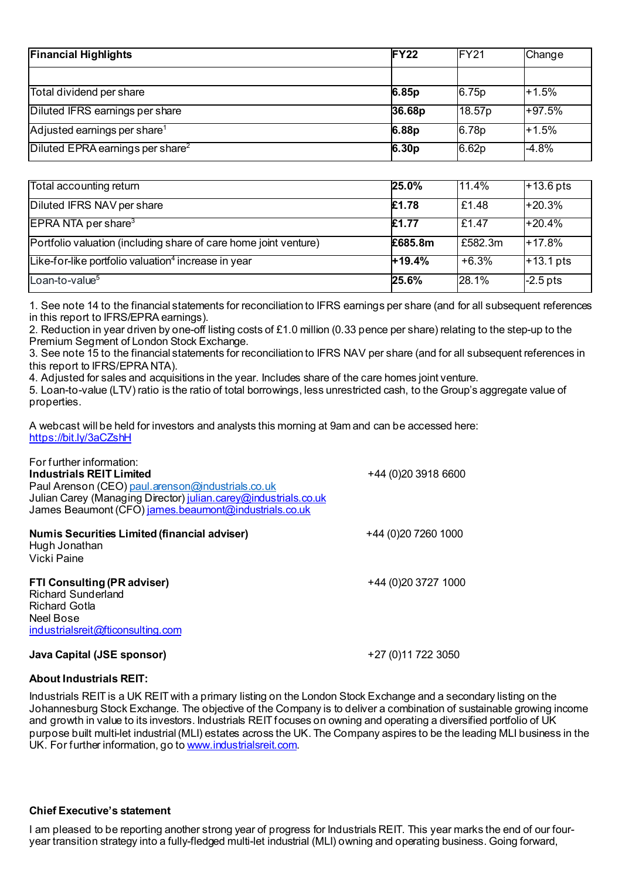| <b>Financial Highlights</b>                  | IFY22  | IFY21             | Change   |
|----------------------------------------------|--------|-------------------|----------|
|                                              |        |                   |          |
| Total dividend per share                     | 6.85p  | 6.75p             | $+1.5%$  |
| Diluted IFRS earnings per share              | 36.68p | 18.57p            | $+97.5%$ |
| Adjusted earnings per share <sup>1</sup>     | 6.88p  | 6.78p             | $+1.5%$  |
| Diluted EPRA earnings per share <sup>2</sup> | 6.30p  | 6.62 <sub>p</sub> | $-4.8%$  |

| Total accounting return                                          | 25.0%    | 11.4%   | $+13.6$ pts |
|------------------------------------------------------------------|----------|---------|-------------|
| Diluted IFRS NAV per share                                       | £1.78    | £1.48   | $+20.3%$    |
| EPRA NTA per share <sup>3</sup>                                  | £1.77    | £1.47   | $+20.4%$    |
| Portfolio valuation (including share of care home joint venture) | £685.8m  | £582.3m | $+17.8%$    |
| Like-for-like portfolio valuation <sup>4</sup> increase in year  | $+19.4%$ | $+6.3%$ | $+13.1$ pts |
| Loan-to-value <sup>5</sup>                                       | 25.6%    | 28.1%   | $-2.5$ pts  |

1. See note 14 to the financial statements for reconciliation to IFRS earnings per share (and for all subsequent references in this report to IFRS/EPRA earnings).

2. Reduction in year driven by one-off listing costs of £1.0 million (0.33 pence per share) relating to the step-up to the Premium Segment of London Stock Exchange.

3. See note 15 to the financial statements for reconciliation to IFRS NAV per share (and for all subsequent references in this report to IFRS/EPRA NTA).

4. Adjusted for sales and acquisitions in the year. Includes share of the care homes joint venture.

5. Loan-to-value (LTV) ratio is the ratio of total borrowings, less unrestricted cash, to the Group's aggregate value of properties.

A webcast will be held for investors and analysts this morning at 9am and can be accessed here: [https://bit.ly/3aCZshH](https://gbr01.safelinks.protection.outlook.com/?url=https%3A%2F%2Fbit.ly%2F3aCZshH&data=05%7C01%7Cjames.beaumont%40industrials.co.uk%7C0c1d75eeaba04fa0940d08da48b4a6d4%7C6fb781f2ad03404abb480cfecbc14518%7C0%7C0%7C637902237968792371%7CUnknown%7CTWFpbGZsb3d8eyJWIjoiMC4wLjAwMDAiLCJQIjoiV2luMzIiLCJBTiI6Ik1haWwiLCJXVCI6Mn0%3D%7C3000%7C%7C%7C&sdata=2fl1n8ZLcKyGm9s%2BfT0JNCQJnLNtcIgjrC%2BnJbJMcxg%3D&reserved=0)

| For further information:<br><b>Industrials REIT Limited</b><br>Paul Arenson (CEO) paul.arenson@industrials.co.uk<br>Julian Carey (Managing Director) julian.carey@industrials.co.uk<br>James Beaumont (CFO) james beaumont@industrials.co.uk | +44 (0) 20 3918 6600 |
|----------------------------------------------------------------------------------------------------------------------------------------------------------------------------------------------------------------------------------------------|----------------------|
| <b>Numis Securities Limited (financial adviser)</b><br>Hugh Jonathan<br>Vicki Paine                                                                                                                                                          | +44 (0) 20 7260 1000 |
| FTI Consulting (PR adviser)<br><b>Richard Sunderland</b><br><b>Richard Gotla</b><br>Neel Bose<br>industrialsreit@fticonsulting.com                                                                                                           | +44 (0) 20 3727 1000 |
| Java Capital (JSE sponsor)                                                                                                                                                                                                                   | +27 (0) 11 722 3050  |

## **About Industrials REIT:**

Industrials REIT is a UK REIT with a primary listing on the London Stock Exchange and a secondary listing on the Johannesburg Stock Exchange. The objective of the Company is to deliver a combination of sustainable growing income and growth in value to its investors. Industrials REIT focuses on owning and operating a diversified portfolio of UK purpose built multi-let industrial (MLI) estates across the UK. The Company aspires to be the leading MLI business in the UK. For further information, go t[o www.industrialsreit.com.](http://www.industrialsreit.com/)

### **Chief Executive's statement**

I am pleased to be reporting another strong year of progress for Industrials REIT. This year marks the end of our fouryear transition strategy into a fully-fledged multi-let industrial (MLI) owning and operating business. Going forward,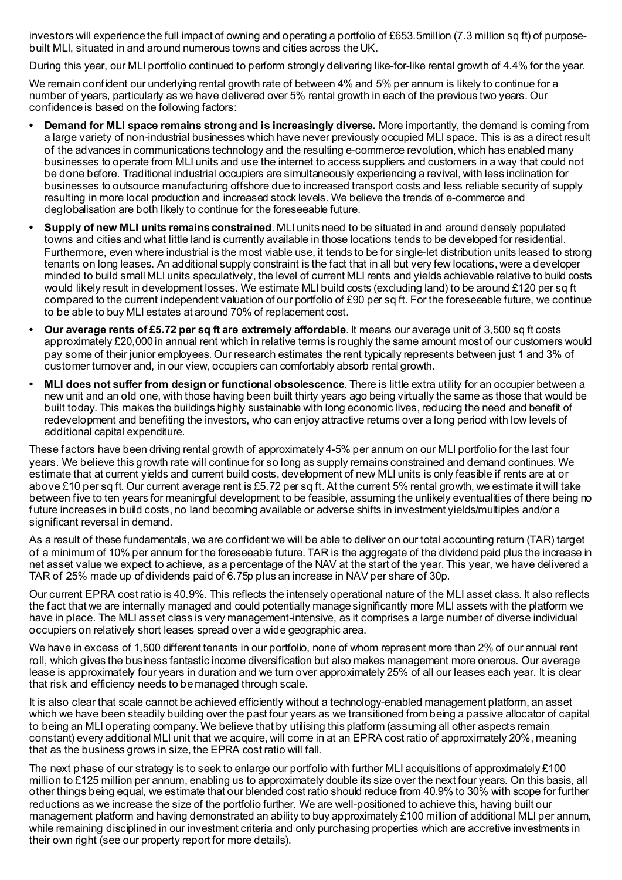investors will experience the full impact of owning and operating a portfolio of £653.5million (7.3 million sq ft) of purposebuilt MLI, situated in and around numerous towns and cities across the UK.

During this year, our MLI portfolio continued to perform strongly delivering like-for-like rental growth of 4.4% for the year.

We remain confident our underlying rental growth rate of between 4% and 5% per annum is likely to continue for a number of years, particularly as we have delivered over 5% rental growth in each of the previous two years. Our confidence is based on the following factors:

- **• Demand for MLI space remains strong and is increasingly diverse.** More importantly, the demand is coming from a large variety of non-industrial businesses which have never previously occupied MLI space. This is as a direct result of the advances in communications technology and the resulting e-commerce revolution, which has enabled many businesses to operate from MLI units and use the internet to access suppliers and customers in a way that could not be done before. Traditional industrial occupiers are simultaneously experiencing a revival, with less inclination for businesses to outsource manufacturing offshore due to increased transport costs and less reliable security of supply resulting in more local production and increased stock levels. We believe the trends of e-commerce and deglobalisation are both likely to continue for the foreseeable future.
- **• Supply of new MLI units remains constrained**. MLI units need to be situated in and around densely populated towns and cities and what little land is currently available in those locations tends to be developed for residential. Furthermore, even where industrial is the most viable use, it tends to be for single-let distribution units leased to strong tenants on long leases. An additional supply constraint is the fact that in all but very few locations, were a developer minded to build small MLI units speculatively, the level of current MLI rents and yields achievable relative to build costs would likely result in development losses. We estimate MLI build costs (excluding land) to be around £120 per sq ft compared to the current independent valuation of our portfolio of £90 per sq ft. For the foreseeable future, we continue to be able to buy MLI estates at around 70% of replacement cost.
- **• Our average rents of £5.72 per sq ft are extremely affordable**. It means our average unit of 3,500 sq ft costs approximately £20,000 in annual rent which in relative terms is roughly the same amount most of our customers would pay some of their junior employees. Our research estimates the rent typically represents between just 1 and 3% of customer turnover and, in our view, occupiers can comfortably absorb rental growth.
- **• MLI does not suffer from design or functional obsolescence**. There is little extra utility for an occupier between a new unit and an old one, with those having been built thirty years ago being virtually the same as those that would be built today. This makes the buildings highly sustainable with long economic lives, reducing the need and benefit of redevelopment and benefiting the investors, who can enjoy attractive returns over a long period with low levels of additional capital expenditure.

These factors have been driving rental growth of approximately 4-5% per annum on our MLI portfolio for the last four years. We believe this growth rate will continue for so long as supply remains constrained and demand continues. We estimate that at current yields and current build costs, development of new MLI units is only feasible if rents are at or above £10 per sq ft. Our current average rent is £5.72 per sq ft. At the current 5% rental growth, we estimate it will take between five to ten years for meaningful development to be feasible, assuming the unlikely eventualities of there being no future increases in build costs, no land becoming available or adverse shifts in investment yields/multiples and/or a significant reversal in demand.

As a result of these fundamentals, we are confident we will be able to deliver on our total accounting return (TAR) target of a minimum of 10% per annum for the foreseeable future. TAR is the aggregate of the dividend paid plus the increase in net asset value we expect to achieve, as a percentage of the NAV at the start of the year. This year, we have delivered a TAR of 25% made up of dividends paid of 6.75p plus an increase in NAV per share of 30p.

Our current EPRA cost ratio is 40.9%. This reflects the intensely operational nature of the MLI asset class. It also reflects the fact that we are internally managed and could potentially manage significantly more MLI assets with the platform we have in place. The MLI asset class is very management-intensive, as it comprises a large number of diverse individual occupiers on relatively short leases spread over a wide geographic area.

We have in excess of 1,500 different tenants in our portfolio, none of whom represent more than 2% of our annual rent roll, which gives the business fantastic income diversification but also makes management more onerous. Our average lease is approximately four years in duration and we turn over approximately 25% of all our leases each year. It is clear that risk and efficiency needs to be managed through scale.

It is also clear that scale cannot be achieved efficiently without a technology-enabled management platform, an asset which we have been steadily building over the past four years as we transitioned from being a passive allocator of capital to being an MLI operating company. We believe that by utilising this platform (assuming all other aspects remain constant) every additional MLI unit that we acquire, will come in at an EPRA cost ratio of approximately 20%, meaning that as the business grows in size, the EPRA cost ratio will fall.

The next phase of our strategy is to seek to enlarge our portfolio with further MLI acquisitions of approximately £100 million to £125 million per annum, enabling us to approximately double its size over the next four years. On this basis, all other things being equal, we estimate that our blended cost ratio should reduce from 40.9% to 30% with scope for further reductions as we increase the size of the portfolio further. We are well-positioned to achieve this, having built our management platform and having demonstrated an ability to buy approximately £100 million of additional MLI per annum, while remaining disciplined in our investment criteria and only purchasing properties which are accretive investments in their own right (see our property report for more details).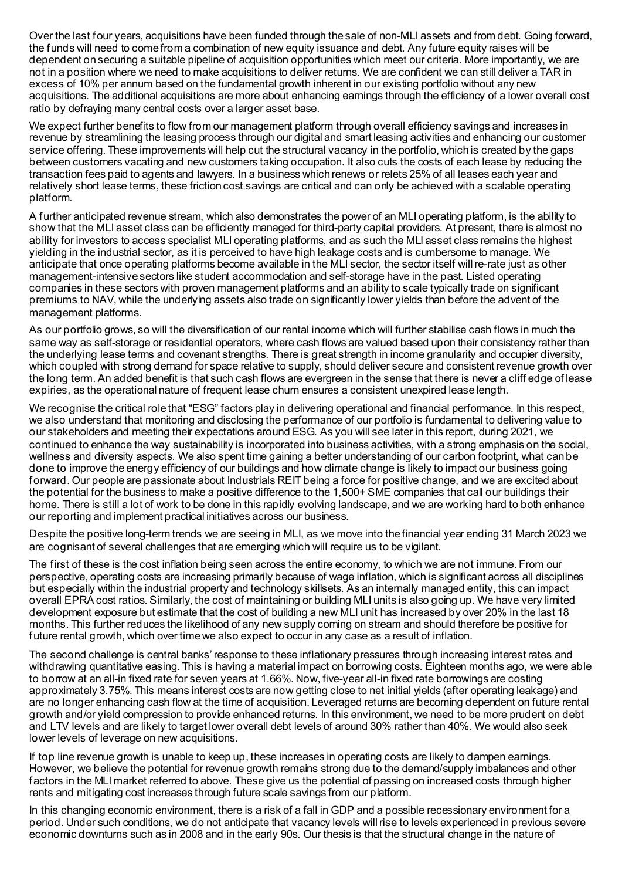Over the last four years, acquisitions have been funded through the sale of non-MLI assets and from debt. Going forward, the funds will need to come from a combination of new equity issuance and debt. Any future equity raises will be dependent on securing a suitable pipeline of acquisition opportunities which meet our criteria. More importantly, we are not in a position where we need to make acquisitions to deliver returns. We are confident we can still deliver a TAR in excess of 10% per annum based on the fundamental growth inherent in our existing portfolio without any new acquisitions. The additional acquisitions are more about enhancing earnings through the efficiency of a lower overall cost ratio by defraying many central costs over a larger asset base.

We expect further benefits to flow from our management platform through overall efficiency savings and increases in revenue by streamlining the leasing process through our digital and smart leasing activities and enhancing our customer service offering. These improvements will help cut the structural vacancy in the portfolio, which is created by the gaps between customers vacating and new customers taking occupation. It also cuts the costs of each lease by reducing the transaction fees paid to agents and lawyers. In a business which renews or relets 25% of all leases each year and relatively short lease terms, these friction cost savings are critical and can only be achieved with a scalable operating platform.

A further anticipated revenue stream, which also demonstrates the power of an MLI operating platform, is the ability to show that the MLI asset class can be efficiently managed for third-party capital providers. At present, there is almost no ability for investors to access specialist MLI operating platforms, and as such the MLI asset class remains the highest yielding in the industrial sector, as it is perceived to have high leakage costs and is cumbersome to manage. We anticipate that once operating platforms become available in the MLI sector, the sector itself will re-rate just as other management-intensive sectors like student accommodation and self-storage have in the past. Listed operating companies in these sectors with proven management platforms and an ability to scale typically trade on significant premiums to NAV, while the underlying assets also trade on significantly lower yields than before the advent of the management platforms.

As our portfolio grows, so will the diversification of our rental income which will further stabilise cash flows in much the same way as self-storage or residential operators, where cash flows are valued based upon their consistency rather than the underlying lease terms and covenant strengths. There is great strength in income granularity and occupier diversity, which coupled with strong demand for space relative to supply, should deliver secure and consistent revenue growth over the long term. An added benefit is that such cash flows are evergreen in the sense that there is never a cliff edge of lease expiries, as the operational nature of frequent lease churn ensures a consistent unexpired lease length.

We recognise the critical role that "ESG" factors play in delivering operational and financial performance. In this respect, we also understand that monitoring and disclosing the performance of our portfolio is fundamental to delivering value to our stakeholders and meeting their expectations around ESG. As you will see later in this report, during 2021, we continued to enhance the way sustainability is incorporated into business activities, with a strong emphasis on the social, wellness and diversity aspects. We also spent time gaining a better understanding of our carbon footprint, what can be done to improve the energy efficiency of our buildings and how climate change is likely to impact our business going forward. Our people are passionate about Industrials REIT being a force for positive change, and we are excited about the potential for the business to make a positive difference to the 1,500+ SME companies that call our buildings their home. There is still a lot of work to be done in this rapidly evolving landscape, and we are working hard to both enhance our reporting and implement practical initiatives across our business.

Despite the positive long-term trends we are seeing in MLI, as we move into the financial year ending 31 March 2023 we are cognisant of several challenges that are emerging which will require us to be vigilant.

The first of these is the cost inflation being seen across the entire economy, to which we are not immune. From our perspective, operating costs are increasing primarily because of wage inflation, which is significant across all disciplines but especially within the industrial property and technology skillsets. As an internally managed entity, this can impact overall EPRA cost ratios. Similarly, the cost of maintaining or building MLI units is also going up. We have very limited development exposure but estimate that the cost of building a new MLI unit has increased by over 20% in the last 18 months. This further reduces the likelihood of any new supply coming on stream and should therefore be positive for future rental growth, which over time we also expect to occur in any case as a result of inflation.

The second challenge is central banks' response to these inflationary pressures through increasing interest rates and withdrawing quantitative easing. This is having a material impact on borrowing costs. Eighteen months ago, we were able to borrow at an all-in fixed rate for seven years at 1.66%. Now, five-year all-in fixed rate borrowings are costing approximately 3.75%. This means interest costs are now getting close to net initial yields (after operating leakage) and are no longer enhancing cash flow at the time of acquisition. Leveraged returns are becoming dependent on future rental growth and/or yield compression to provide enhanced returns. In this environment, we need to be more prudent on debt and LTV levels and are likely to target lower overall debt levels of around 30% rather than 40%. We would also seek lower levels of leverage on new acquisitions.

If top line revenue growth is unable to keep up, these increases in operating costs are likely to dampen earnings. However, we believe the potential for revenue growth remains strong due to the demand/supply imbalances and other factors in the MLI market referred to above. These give us the potential of passing on increased costs through higher rents and mitigating cost increases through future scale savings from our platform.

In this changing economic environment, there is a risk of a fall in GDP and a possible recessionary environment for a period. Under such conditions, we do not anticipate that vacancy levels will rise to levels experienced in previous severe economic downturns such as in 2008 and in the early 90s. Our thesis is that the structural change in the nature of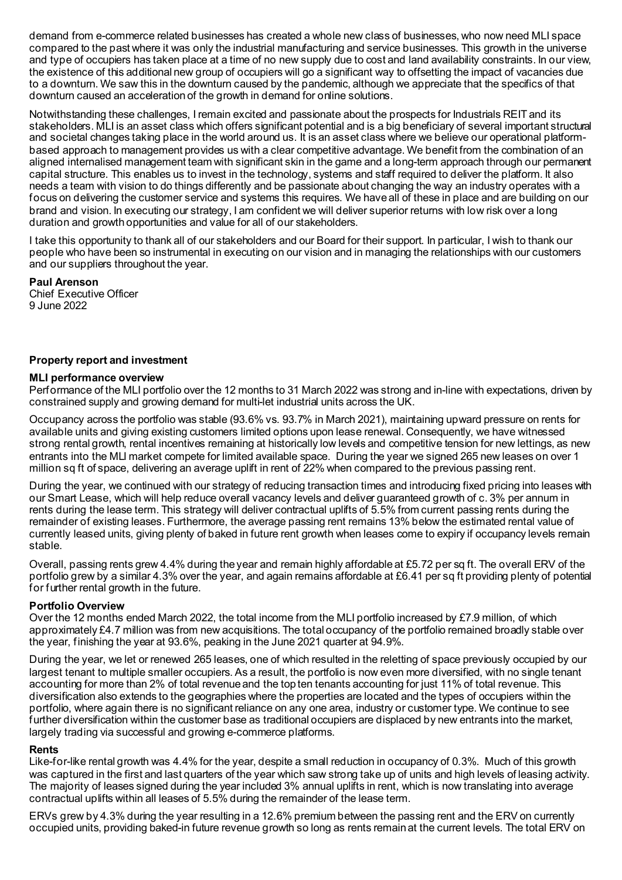demand from e-commerce related businesses has created a whole new class of businesses, who now need MLI space compared to the past where it was only the industrial manufacturing and service businesses. This growth in the universe and type of occupiers has taken place at a time of no new supply due to cost and land availability constraints. In our view, the existence of this additional new group of occupiers will go a significant way to offsetting the impact of vacancies due to a downturn. We saw this in the downturn caused by the pandemic, although we appreciate that the specifics of that downturn caused an acceleration of the growth in demand for online solutions.

Notwithstanding these challenges, I remain excited and passionate about the prospects for Industrials REIT and its stakeholders. MLI is an asset class which offers significant potential and is a big beneficiary of several important structural and societal changes taking place in the world around us. It is an asset class where we believe our operational platformbased approach to management provides us with a clear competitive advantage. We benefit from the combination of an aligned internalised management team with significant skin in the game and a long-term approach through our permanent capital structure. This enables us to invest in the technology, systems and staff required to deliver the platform. It also needs a team with vision to do things differently and be passionate about changing the way an industry operates with a focus on delivering the customer service and systems this requires. We have all of these in place and are building on our brand and vision. In executing our strategy, I am confident we will deliver superior returns with low risk over a long duration and growth opportunities and value for all of our stakeholders.

I take this opportunity to thank all of our stakeholders and our Board for their support. In particular, I wish to thank our people who have been so instrumental in executing on our vision and in managing the relationships with our customers and our suppliers throughout the year.

**Paul Arenson** Chief Executive Officer 9 June 2022

## **Property report and investment**

### **MLI performance overview**

Performance of the MLI portfolio over the 12 months to 31 March 2022 was strong and in-line with expectations, driven by constrained supply and growing demand for multi-let industrial units across the UK.

Occupancy across the portfolio was stable (93.6% vs. 93.7% in March 2021), maintaining upward pressure on rents for available units and giving existing customers limited options upon lease renewal. Consequently, we have witnessed strong rental growth, rental incentives remaining at historically low levels and competitive tension for new lettings, as new entrants into the MLI market compete for limited available space. During the year we signed 265 new leases on over 1 million sq ft of space, delivering an average uplift in rent of 22% when compared to the previous passing rent.

During the year, we continued with our strategy of reducing transaction times and introducing fixed pricing into leases with our Smart Lease, which will help reduce overall vacancy levels and deliver guaranteed growth of c. 3% per annum in rents during the lease term. This strategy will deliver contractual uplifts of 5.5% from current passing rents during the remainder of existing leases. Furthermore, the average passing rent remains 13% below the estimated rental value of currently leased units, giving plenty of baked in future rent growth when leases come to expiry if occupancy levels remain stable.

Overall, passing rents grew 4.4% during the year and remain highly affordable at £5.72 per sq ft. The overall ERV of the portfolio grew by a similar 4.3% over the year, and again remains affordable at £6.41 per sq ft providing plenty of potential for further rental growth in the future.

## **Portfolio Overview**

Over the 12 months ended March 2022, the total income from the MLI portfolio increased by £7.9 million, of which approximately £4.7 million was from new acquisitions. The total occupancy of the portfolio remained broadly stable over the year, finishing the year at 93.6%, peaking in the June 2021 quarter at 94.9%.

During the year, we let or renewed 265 leases, one of which resulted in the reletting of space previously occupied by our largest tenant to multiple smaller occupiers. As a result, the portfolio is now even more diversified, with no single tenant accounting for more than 2% of total revenue and the top ten tenants accounting for just 11% of total revenue. This diversification also extends to the geographies where the properties are located and the types of occupiers within the portfolio, where again there is no significant reliance on any one area, industry or customer type. We continue to see further diversification within the customer base as traditional occupiers are displaced by new entrants into the market, largely trading via successful and growing e-commerce platforms.

## **Rents**

Like-for-like rental growth was 4.4% for the year, despite a small reduction in occupancy of 0.3%. Much of this growth was captured in the first and last quarters of the year which saw strong take up of units and high levels of leasing activity. The majority of leases signed during the year included 3% annual uplifts in rent, which is now translating into average contractual uplifts within all leases of 5.5% during the remainder of the lease term.

ERVs grew by 4.3% during the year resulting in a 12.6% premium between the passing rent and the ERV on currently occupied units, providing baked-in future revenue growth so long as rents remain at the current levels. The total ERV on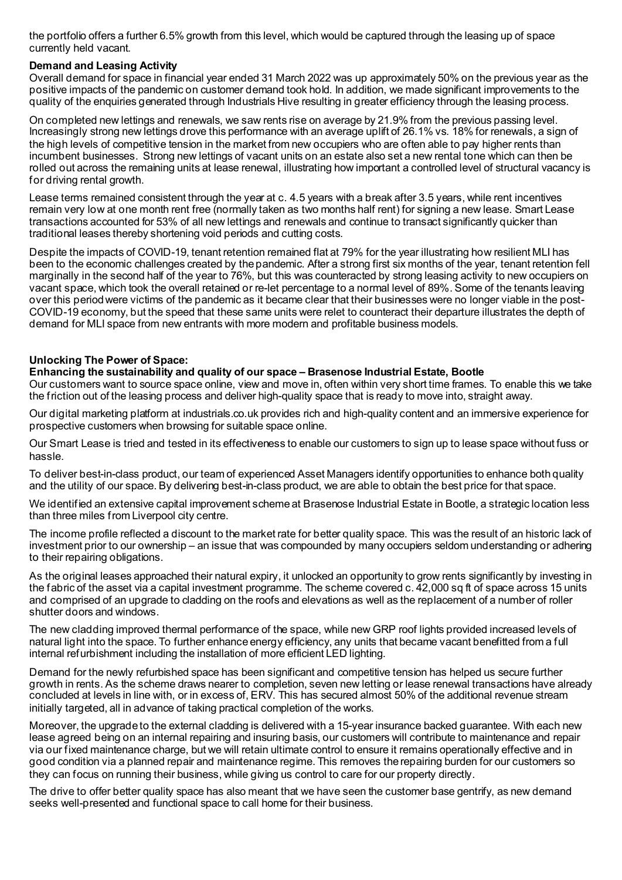the portfolio offers a further 6.5% growth from this level, which would be captured through the leasing up of space currently held vacant.

## **Demand and Leasing Activity**

Overall demand for space in financial year ended 31 March 2022 was up approximately 50% on the previous year as the positive impacts of the pandemic on customer demand took hold. In addition, we made significant improvements to the quality of the enquiries generated through Industrials Hive resulting in greater efficiency through the leasing process.

On completed new lettings and renewals, we saw rents rise on average by 21.9% from the previous passing level. Increasingly strong new lettings drove this performance with an average uplift of 26.1% vs. 18% for renewals, a sign of the high levels of competitive tension in the market from new occupiers who are often able to pay higher rents than incumbent businesses. Strong new lettings of vacant units on an estate also set a new rental tone which can then be rolled out across the remaining units at lease renewal, illustrating how important a controlled level of structural vacancy is for driving rental growth.

Lease terms remained consistent through the year at c. 4.5 years with a break after 3.5 years, while rent incentives remain very low at one month rent free (normally taken as two months half rent) for signing a new lease. Smart Lease transactions accounted for 53% of all new lettings and renewals and continue to transact significantly quicker than traditional leases thereby shortening void periods and cutting costs.

Despite the impacts of COVID-19, tenant retention remained flat at 79% for the year illustrating how resilient MLI has been to the economic challenges created by the pandemic. After a strong first six months of the year, tenant retention fell marginally in the second half of the year to 76%, but this was counteracted by strong leasing activity to new occupiers on vacant space, which took the overall retained or re-let percentage to a normal level of 89%. Some of the tenants leaving over this period were victims of the pandemic as it became clear that their businesses were no longer viable in the post-COVID-19 economy, but the speed that these same units were relet to counteract their departure illustrates the depth of demand for MLI space from new entrants with more modern and profitable business models.

## **Unlocking The Power of Space:**

## **Enhancing the sustainability and quality of our space – Brasenose Industrial Estate, Bootle**

Our customers want to source space online, view and move in, often within very short time frames. To enable this we take the friction out of the leasing process and deliver high-quality space that is ready to move into, straight away.

Our digital marketing platform at industrials.co.uk provides rich and high-quality content and an immersive experience for prospective customers when browsing for suitable space online.

Our Smart Lease is tried and tested in its effectiveness to enable our customers to sign up to lease space without fuss or hassle.

To deliver best-in-class product, our team of experienced Asset Managers identify opportunities to enhance both quality and the utility of our space. By delivering best-in-class product, we are able to obtain the best price for that space.

We identified an extensive capital improvement scheme at Brasenose Industrial Estate in Bootle, a strategic location less than three miles from Liverpool city centre.

The income profile reflected a discount to the market rate for better quality space. This was the result of an historic lack of investment prior to our ownership – an issue that was compounded by many occupiers seldom understanding or adhering to their repairing obligations.

As the original leases approached their natural expiry, it unlocked an opportunity to grow rents significantly by investing in the fabric of the asset via a capital investment programme. The scheme covered c. 42,000 sq ft of space across 15 units and comprised of an upgrade to cladding on the roofs and elevations as well as the replacement of a number of roller shutter doors and windows.

The new cladding improved thermal performance of the space, while new GRP roof lights provided increased levels of natural light into the space. To further enhance energy efficiency, any units that became vacant benefitted from a full internal refurbishment including the installation of more efficient LED lighting.

Demand for the newly refurbished space has been significant and competitive tension has helped us secure further growth in rents. As the scheme draws nearer to completion, seven new letting or lease renewal transactions have already concluded at levels in line with, or in excess of, ERV. This has secured almost 50% of the additional revenue stream initially targeted, all in advance of taking practical completion of the works.

Moreover, the upgrade to the external cladding is delivered with a 15-year insurance backed guarantee. With each new lease agreed being on an internal repairing and insuring basis, our customers will contribute to maintenance and repair via our fixed maintenance charge, but we will retain ultimate control to ensure it remains operationally effective and in good condition via a planned repair and maintenance regime. This removes the repairing burden for our customers so they can focus on running their business, while giving us control to care for our property directly.

The drive to offer better quality space has also meant that we have seen the customer base gentrify, as new demand seeks well-presented and functional space to call home for their business.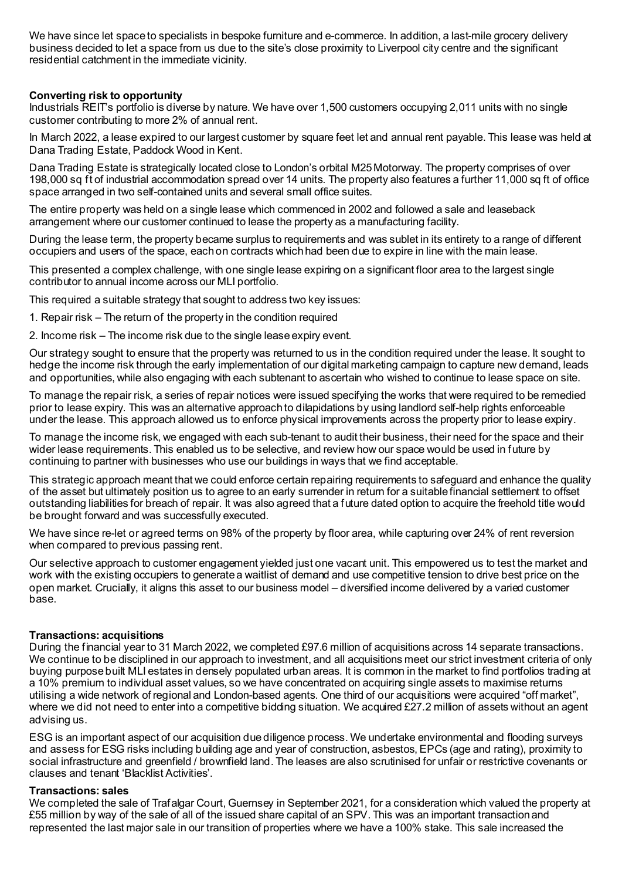We have since let space to specialists in bespoke furniture and e-commerce. In addition, a last-mile grocery delivery business decided to let a space from us due to the site's close proximity to Liverpool city centre and the significant residential catchment in the immediate vicinity.

## **Converting risk to opportunity**

Industrials REIT's portfolio is diverse by nature. We have over 1,500 customers occupying 2,011 units with no single customer contributing to more 2% of annual rent.

In March 2022, a lease expired to our largest customer by square feet let and annual rent payable. This lease was held at Dana Trading Estate, Paddock Wood in Kent.

Dana Trading Estate is strategically located close to London's orbital M25 Motorway. The property comprises of over 198,000 sq ft of industrial accommodation spread over 14 units. The property also features a further 11,000 sq ft of office space arranged in two self-contained units and several small office suites.

The entire property was held on a single lease which commenced in 2002 and followed a sale and leaseback arrangement where our customer continued to lease the property as a manufacturing facility.

During the lease term, the property became surplus to requirements and was sublet in its entirety to a range of different occupiers and users of the space, each on contracts which had been due to expire in line with the main lease.

This presented a complex challenge, with one single lease expiring on a significant floor area to the largest single contributor to annual income across our MLI portfolio.

This required a suitable strategy that sought to address two key issues:

1. Repair risk – The return of the property in the condition required

2. Income risk – The income risk due to the single lease expiry event.

Our strategy sought to ensure that the property was returned to us in the condition required under the lease. It sought to hedge the income risk through the early implementation of our digital marketing campaign to capture new demand, leads and opportunities, while also engaging with each subtenant to ascertain who wished to continue to lease space on site.

To manage the repair risk, a series of repair notices were issued specifying the works that were required to be remedied prior to lease expiry. This was an alternative approach to dilapidations by using landlord self-help rights enforceable under the lease. This approach allowed us to enforce physical improvements across the property prior to lease expiry.

To manage the income risk, we engaged with each sub-tenant to audit their business, their need for the space and their wider lease requirements. This enabled us to be selective, and review how our space would be used in future by continuing to partner with businesses who use our buildings in ways that we find acceptable.

This strategic approach meant that we could enforce certain repairing requirements to safeguard and enhance the quality of the asset but ultimately position us to agree to an early surrender in return for a suitable financial settlement to offset outstanding liabilities for breach of repair. It was also agreed that a future dated option to acquire the freehold title would be brought forward and was successfully executed.

We have since re-let or agreed terms on 98% of the property by floor area, while capturing over 24% of rent reversion when compared to previous passing rent.

Our selective approach to customer engagement yielded just one vacant unit. This empowered us to test the market and work with the existing occupiers to generate a waitlist of demand and use competitive tension to drive best price on the open market. Crucially, it aligns this asset to our business model – diversified income delivered by a varied customer base.

## **Transactions: acquisitions**

During the financial year to 31 March 2022, we completed £97.6 million of acquisitions across 14 separate transactions. We continue to be disciplined in our approach to investment, and all acquisitions meet our strict investment criteria of only buying purpose built MLI estates in densely populated urban areas. It is common in the market to find portfolios trading at a 10% premium to individual asset values, so we have concentrated on acquiring single assets to maximise returns utilising a wide network of regional and London-based agents. One third of our acquisitions were acquired "off market", where we did not need to enter into a competitive bidding situation. We acquired £27.2 million of assets without an agent advising us.

ESG is an important aspect of our acquisition due diligence process. We undertake environmental and flooding surveys and assess for ESG risks including building age and year of construction, asbestos, EPCs (age and rating), proximity to social infrastructure and greenfield / brownfield land. The leases are also scrutinised for unfair or restrictive covenants or clauses and tenant 'Blacklist Activities'.

## **Transactions: sales**

We completed the sale of Trafalgar Court, Guernsey in September 2021, for a consideration which valued the property at £55 million by way of the sale of all of the issued share capital of an SPV. This was an important transaction and represented the last major sale in our transition of properties where we have a 100% stake. This sale increased the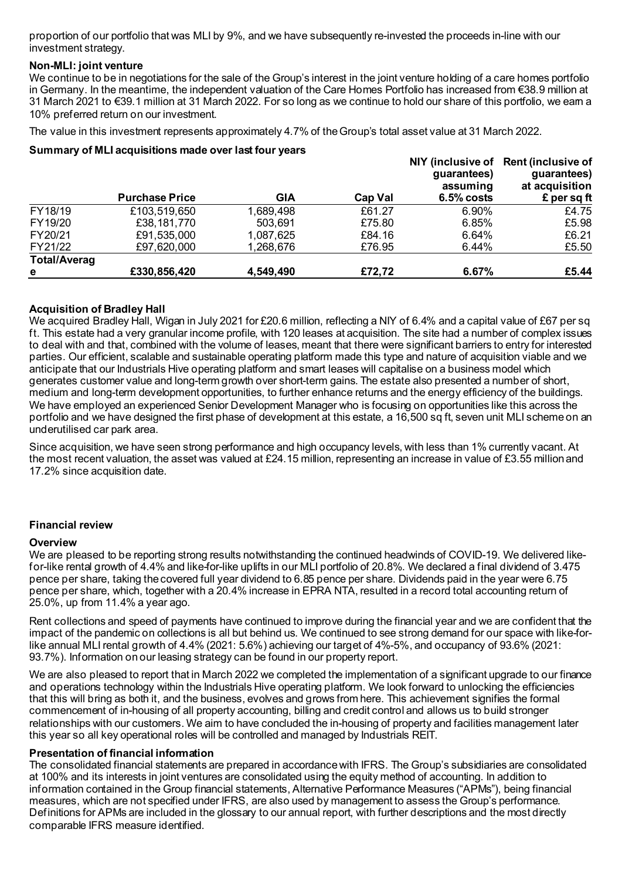proportion of our portfolio that was MLI by 9%, and we have subsequently re-invested the proceeds in-line with our investment strategy.

## **Non-MLI: joint venture**

We continue to be in negotiations for the sale of the Group's interest in the joint venture holding of a care homes portfolio in Germany. In the meantime, the independent valuation of the Care Homes Portfolio has increased from €38.9 million at 31 March 2021 to €39.1 million at 31 March 2022. For so long as we continue to hold our share of this portfolio, we eam a 10% preferred return on our investment.

The value in this investment represents approximately 4.7% of the Group's total asset value at 31 March 2022.

## **Summary of MLI acquisitions made over last four years**

|                     | <b>Purchase Price</b> | <b>GIA</b> | <b>Cap Val</b> | guarantees)<br>assuming<br>$6.5%$ costs | NIY (inclusive of Rent (inclusive of<br>guarantees)<br>at acquisition<br>£ per sq ft |
|---------------------|-----------------------|------------|----------------|-----------------------------------------|--------------------------------------------------------------------------------------|
| FY18/19             | £103,519,650          | 1,689,498  | £61.27         | 6.90%                                   | £4.75                                                                                |
| FY19/20             | £38,181,770           | 503,691    | £75.80         | 6.85%                                   | £5.98                                                                                |
| FY20/21             | £91,535,000           | 1,087,625  | £84.16         | 6.64%                                   | £6.21                                                                                |
| FY21/22             | £97,620,000           | 1,268,676  | £76.95         | 6.44%                                   | £5.50                                                                                |
| <b>Total/Averag</b> |                       |            |                |                                         |                                                                                      |
| e                   | £330,856,420          | 4,549,490  | £72,72         | 6.67%                                   | £5.44                                                                                |

## **Acquisition of Bradley Hall**

We acquired Bradley Hall, Wigan in July 2021 for £20.6 million, reflecting a NIY of 6.4% and a capital value of £67 per sq ft. This estate had a very granular income profile, with 120 leases at acquisition. The site had a number of complex issues to deal with and that, combined with the volume of leases, meant that there were significant barriers to entry for interested parties. Our efficient, scalable and sustainable operating platform made this type and nature of acquisition viable and we anticipate that our Industrials Hive operating platform and smart leases will capitalise on a business model which generates customer value and long-term growth over short-term gains. The estate also presented a number of short, medium and long-term development opportunities, to further enhance returns and the energy efficiency of the buildings. We have employed an experienced Senior Development Manager who is focusing on opportunities like this across the portfolio and we have designed the first phase of development at this estate, a 16,500 sq ft, seven unit MLI scheme on an underutilised car park area.

Since acquisition, we have seen strong performance and high occupancy levels, with less than 1% currently vacant. At the most recent valuation, the asset was valued at £24.15 million, representing an increase in value of £3.55 million and 17.2% since acquisition date.

## **Financial review**

## **Overview**

We are pleased to be reporting strong results notwithstanding the continued headwinds of COVID-19. We delivered likefor-like rental growth of 4.4% and like-for-like uplifts in our MLI portfolio of 20.8%. We declared a final dividend of 3.475 pence per share, taking the covered full year dividend to 6.85 pence per share. Dividends paid in the year were 6.75 pence per share, which, together with a 20.4% increase in EPRA NTA, resulted in a record total accounting return of 25.0%, up from 11.4% a year ago.

Rent collections and speed of payments have continued to improve during the financial year and we are confident that the impact of the pandemic on collections is all but behind us. We continued to see strong demand for our space with like-forlike annual MLI rental growth of 4.4% (2021: 5.6%) achieving our target of 4%-5%, and occupancy of 93.6% (2021: 93.7%). Information on our leasing strategy can be found in our property report.

We are also pleased to report that in March 2022 we completed the implementation of a significant upgrade to our finance and operations technology within the Industrials Hive operating platform. We look forward to unlocking the efficiencies that this will bring as both it, and the business, evolves and grows from here. This achievement signifies the formal commencement of in-housing of all property accounting, billing and credit control and allows us to build stronger relationships with our customers. We aim to have concluded the in-housing of property and facilities management later this year so all key operational roles will be controlled and managed by Industrials REIT.

## **Presentation of financial information**

The consolidated financial statements are prepared in accordance with IFRS. The Group's subsidiaries are consolidated at 100% and its interests in joint ventures are consolidated using the equity method of accounting. In addition to information contained in the Group financial statements, Alternative Performance Measures ("APMs"), being financial measures, which are not specified under IFRS, are also used by management to assess the Group's performance. Definitions for APMs are included in the glossary to our annual report, with further descriptions and the most directly comparable IFRS measure identified.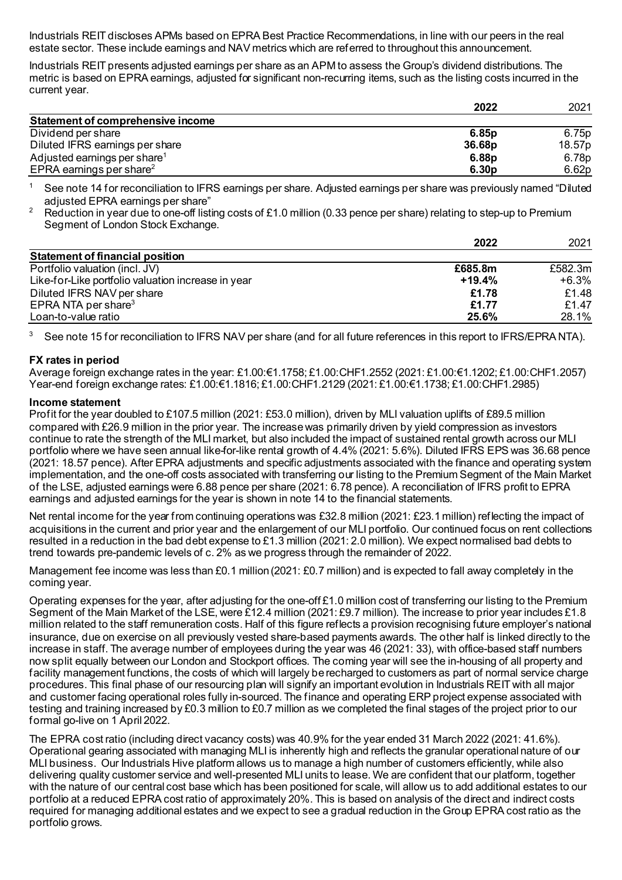Industrials REIT discloses APMs based on EPRA Best Practice Recommendations, in line with our peers in the real estate sector. These include earnings and NAV metrics which are referred to throughout this announcement.

Industrials REIT presents adjusted earnings per share as an APM to assess the Group's dividend distributions. The metric is based on EPRA earnings, adjusted for significant non-recurring items, such as the listing costs incurred in the current year.

|                                          | 2022              | 2021   |
|------------------------------------------|-------------------|--------|
| Statement of comprehensive income        |                   |        |
| Dividend per share                       | 6.85 <sub>p</sub> | 6.75p  |
| Diluted IFRS earnings per share          | 36.68p            | 18.57p |
| Adjusted earnings per share <sup>1</sup> | 6.88p             | 6.78p  |
| EPRA earnings per share <sup>2</sup>     | 6.30 <sub>p</sub> | 6.62p  |

See note 14 for reconciliation to IFRS earnings per share. Adjusted earnings per share was previously named "Diluted" adjusted EPRA earnings per share"

<sup>2</sup> Reduction in year due to one-off listing costs of £1.0 million (0.33 pence per share) relating to step-up to Premium Segment of London Stock Exchange.

|                                                    | 2022     | 2021    |
|----------------------------------------------------|----------|---------|
| <b>Statement of financial position</b>             |          |         |
| Portfolio valuation (incl. JV)                     | £685.8m  | £582.3m |
| Like-for-Like portfolio valuation increase in year | $+19.4%$ | +6.3%   |
| Diluted IFRS NAV per share                         | £1.78    | £1.48   |
| EPRA NTA per share $3$                             | £1.77    | £1.47   |
| Loan-to-value ratio                                | 25.6%    | 28.1%   |

<sup>3</sup> See note 15 for reconciliation to IFRS NAV per share (and for all future references in this report to IFRS/EPRA NTA).

## **FX rates in period**

Average foreign exchange rates in the year: £1.00:€1.1758; £1.00:CHF1.2552 (2021: £1.00:€1.1202; £1.00:CHF1.2057) Year-end foreign exchange rates: £1.00:€1.1816; £1.00:CHF1.2129 (2021: £1.00:€1.1738; £1.00:CHF1.2985)

## **Income statement**

Profit for the year doubled to £107.5 million (2021: £53.0 million), driven by MLI valuation uplifts of £89.5 million compared with £26.9 million in the prior year. The increase was primarily driven by yield compression as investors continue to rate the strength of the MLI market, but also included the impact of sustained rental growth across our MLI portfolio where we have seen annual like-for-like rental growth of 4.4% (2021: 5.6%). Diluted IFRS EPS was 36.68 pence (2021: 18.57 pence). After EPRA adjustments and specific adjustments associated with the finance and operating system implementation, and the one-off costs associated with transferring our listing to the Premium Segment of the Main Market of the LSE, adjusted earnings were 6.88 pence per share (2021: 6.78 pence). A reconciliation of IFRS profit to EPRA earnings and adjusted earnings for the year is shown in note 14 to the financial statements.

Net rental income for the year from continuing operations was £32.8 million (2021: £23.1 million) reflecting the impact of acquisitions in the current and prior year and the enlargement of our MLI portfolio. Our continued focus on rent collections resulted in a reduction in the bad debt expense to £1.3 million (2021: 2.0 million). We expect normalised bad debts to trend towards pre-pandemic levels of c. 2% as we progress through the remainder of 2022.

Management fee income was less than £0.1 million (2021: £0.7 million) and is expected to fall away completely in the coming year.

Operating expenses for the year, after adjusting for the one-off £1.0 million cost of transferring our listing to the Premium Segment of the Main Market of the LSE, were £12.4 million (2021: £9.7 million). The increase to prior year includes £1.8 million related to the staff remuneration costs. Half of this figure reflects a provision recognising future employer's national insurance, due on exercise on all previously vested share-based payments awards. The other half is linked directly to the increase in staff. The average number of employees during the year was 46 (2021: 33), with office-based staff numbers now split equally between our London and Stockport offices. The coming year will see the in-housing of all property and facility management functions, the costs of which will largely be recharged to customers as part of normal service charge procedures. This final phase of our resourcing plan will signify an important evolution in Industrials REIT with all major and customer facing operational roles fully in-sourced. The finance and operating ERP project expense associated with testing and training increased by £0.3 million to £0.7 million as we completed the final stages of the project prior to our formal go-live on 1 April 2022.

The EPRA cost ratio (including direct vacancy costs) was 40.9% for the year ended 31 March 2022 (2021: 41.6%). Operational gearing associated with managing MLI is inherently high and reflects the granular operational nature of our MLI business. Our Industrials Hive platform allows us to manage a high number of customers efficiently, while also delivering quality customer service and well-presented MLI units to lease. We are confident that our platform, together with the nature of our central cost base which has been positioned for scale, will allow us to add additional estates to our portfolio at a reduced EPRA cost ratio of approximately 20%. This is based on analysis of the direct and indirect costs required for managing additional estates and we expect to see a gradual reduction in the Group EPRA cost ratio as the portfolio grows.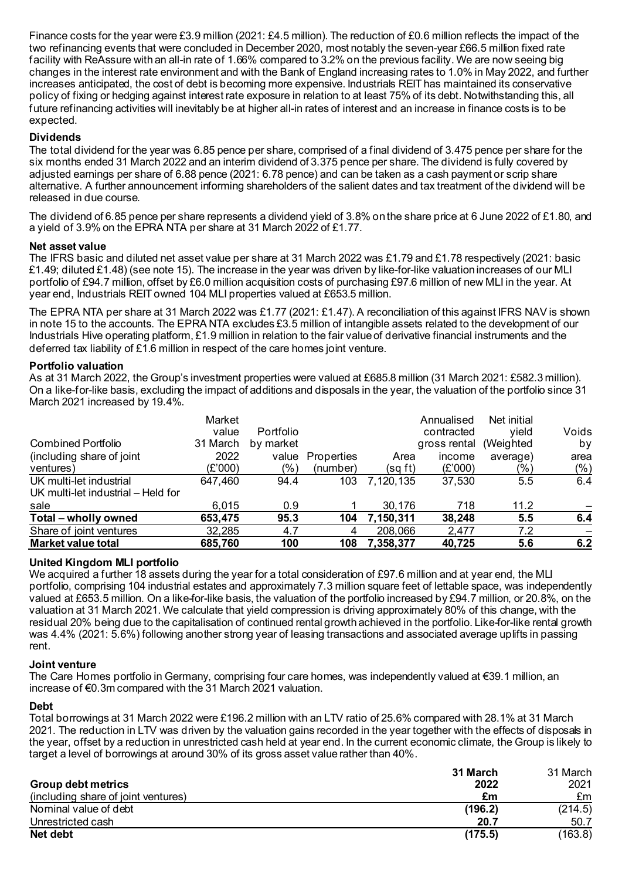Finance costs for the year were £3.9 million (2021: £4.5 million). The reduction of £0.6 million reflects the impact of the two refinancing events that were concluded in December 2020, most notably the seven-year £66.5 million fixed rate facility with ReAssure with an all-in rate of 1.66% compared to 3.2% on the previous facility. We are now seeing big changes in the interest rate environment and with the Bank of England increasing rates to 1.0% in May 2022, and further increases anticipated, the cost of debt is becoming more expensive. Industrials REIT has maintained its conservative policy of fixing or hedging against interest rate exposure in relation to at least 75% of its debt. Notwithstanding this, all future refinancing activities will inevitably be at higher all-in rates of interest and an increase in finance costs is to be expected.

## **Dividends**

The total dividend for the year was 6.85 pence per share, comprised of a final dividend of 3.475 pence per share for the six months ended 31 March 2022 and an interim dividend of 3.375 pence per share. The dividend is fully covered by adjusted earnings per share of 6.88 pence (2021: 6.78 pence) and can be taken as a cash payment or scrip share alternative. A further announcement informing shareholders of the salient dates and tax treatment of the dividend will be released in due course.

The dividend of 6.85 pence per share represents a dividend yield of 3.8% on the share price at 6 June 2022 of £1.80, and a yield of 3.9% on the EPRA NTA per share at 31 March 2022 of £1.77.

## **Net asset value**

The IFRS basic and diluted net asset value per share at 31 March 2022 was £1.79 and £1.78 respectively (2021: basic £1.49; diluted £1.48) (see note 15). The increase in the year was driven by like-for-like valuation increases of our MLI portfolio of £94.7 million, offset by £6.0 million acquisition costs of purchasing £97.6 million of new MLI in the year. At year end, Industrials REIT owned 104 MLI properties valued at £653.5 million.

The EPRA NTA per share at 31 March 2022 was £1.77 (2021: £1.47). A reconciliation of this against IFRS NAV is shown in note 15 to the accounts. The EPRA NTA excludes £3.5 million of intangible assets related to the development of our Industrials Hive operating platform, £1.9 million in relation to the fair value of derivative financial instruments and the deferred tax liability of £1.6 million in respect of the care homes joint venture.

## **Portfolio valuation**

As at 31 March 2022, the Group's investment properties were valued at £685.8 million (31 March 2021: £582.3 million). On a like-for-like basis, excluding the impact of additions and disposals in the year, the valuation of the portfolio since 31 March 2021 increased by 19.4%.

|                                    | Market<br>value | Portfolio |            |           | Annualised<br>contracted | Net initial<br>vield | Voids |
|------------------------------------|-----------------|-----------|------------|-----------|--------------------------|----------------------|-------|
| <b>Combined Portfolio</b>          | 31 March        | by market |            |           | gross rental             | (Weighted            | by    |
| (including share of joint)         | 2022            | value     | Properties | Area      | income                   | average)             | area  |
| ventures)                          | (£'000)         | (%)       | (number)   | (sq ft)   | (E'000)                  | (%)                  | (%)   |
| UK multi-let industrial            | 647,460         | 94.4      | 103        | 7,120,135 | 37,530                   | 5.5                  | 6.4   |
| UK multi-let industrial – Held for |                 |           |            |           |                          |                      |       |
| sale                               | 6,015           | 0.9       |            | 30,176    | 718                      | 11.2                 |       |
| Total - wholly owned               | 653,475         | 95.3      | 104        | 7,150,311 | 38,248                   | 5.5                  | 6.4   |
| Share of joint ventures            | 32,285          | 4.7       |            | 208,066   | 2,477                    | 7.2                  |       |
| <b>Market value total</b>          | 685,760         | 100       | 108        | 7,358,377 | 40,725                   | 5.6                  | 6.2   |

## **United Kingdom MLI portfolio**

We acquired a further 18 assets during the year for a total consideration of £97.6 million and at year end, the MLI portfolio, comprising 104 industrial estates and approximately 7.3 million square feet of lettable space, was independently valued at £653.5 million. On a like-for-like basis, the valuation of the portfolio increased by £94.7 million, or 20.8%, on the valuation at 31 March 2021. We calculate that yield compression is driving approximately 80% of this change, with the residual 20% being due to the capitalisation of continued rental growth achieved in the portfolio. Like-for-like rental growth was 4.4% (2021: 5.6%) following another strong year of leasing transactions and associated average uplifts in passing rent.

## **Joint venture**

The Care Homes portfolio in Germany, comprising four care homes, was independently valued at €39.1 million, an increase of €0.3m compared with the 31 March 2021 valuation.

## **Debt**

Total borrowings at 31 March 2022 were £196.2 million with an LTV ratio of 25.6% compared with 28.1% at 31 March 2021. The reduction in LTV was driven by the valuation gains recorded in the year together with the effects of disposals in the year, offset by a reduction in unrestricted cash held at year end. In the current economic climate, the Group is likely to target a level of borrowings at around 30% of its gross asset value rather than 40%.

|                                     | 31 March | 31 March |
|-------------------------------------|----------|----------|
| <b>Group debt metrics</b>           | 2022     | 2021     |
| (including share of joint ventures) | £m       | £m       |
| Nominal value of debt               | (196.2)  | (214.5)  |
| Unrestricted cash                   | 20.7     | 50.7     |
| Net debt                            | (175.5)  | (163.8)  |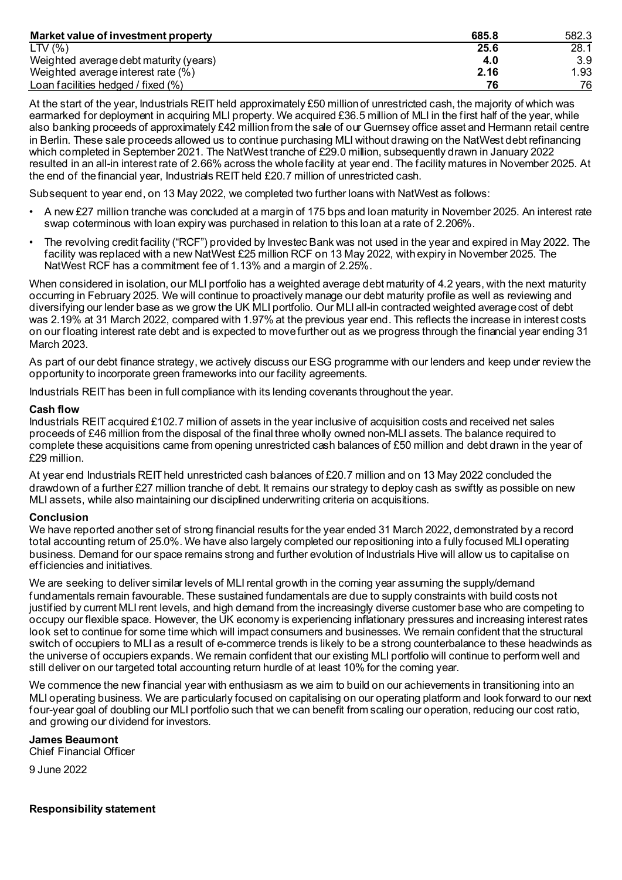| Market value of investment property    | 685.8 | 582.3            |
|----------------------------------------|-------|------------------|
| LTV(% )                                | 25.6  | 28.1             |
| Weighted average debt maturity (years) | 4.0   | 3.9 <sup>°</sup> |
| Weighted average interest rate (%)     | 2.16  | 1.93             |
| Loan facilities hedged / fixed (%)     |       | 76               |

At the start of the year, Industrials REIT held approximately £50 million of unrestricted cash, the majority of which was earmarked for deployment in acquiring MLI property. We acquired £36.5 million of MLI in the first half of the year, while also banking proceeds of approximately £42 million from the sale of our Guernsey office asset and Hermann retail centre in Berlin. These sale proceeds allowed us to continue purchasing MLI without drawing on the NatWest debt refinancing which completed in September 2021. The NatWest tranche of £29.0 million, subsequently drawn in January 2022 resulted in an all-in interest rate of 2.66% across the whole facility at year end. The facility matures in November 2025. At the end of the financial year, Industrials REIT held £20.7 million of unrestricted cash.

Subsequent to year end, on 13 May 2022, we completed two further loans with NatWest as follows:

- A new £27 million tranche was concluded at a margin of 175 bps and loan maturity in November 2025. An interest rate swap coterminous with loan expiry was purchased in relation to this loan at a rate of 2.206%.
- The revolving credit facility ("RCF") provided by Investec Bank was not used in the year and expired in May 2022. The facility was replaced with a new NatWest £25 million RCF on 13 May 2022, with expiry in November 2025. The NatWest RCF has a commitment fee of 1.13% and a margin of 2.25%.

When considered in isolation, our MLI portfolio has a weighted average debt maturity of 4.2 years, with the next maturity occurring in February 2025. We will continue to proactively manage our debt maturity profile as well as reviewing and diversifying our lender base as we grow the UK MLI portfolio. Our MLI all-in contracted weighted average cost of debt was 2.19% at 31 March 2022, compared with 1.97% at the previous year end. This reflects the increase in interest costs on our floating interest rate debt and is expected to move further out as we progress through the financial year ending 31 March 2023.

As part of our debt finance strategy, we actively discuss our ESG programme with our lenders and keep under review the opportunity to incorporate green frameworks into our facility agreements.

Industrials REIT has been in full compliance with its lending covenants throughout the year.

### **Cash flow**

Industrials REIT acquired £102.7 million of assets in the year inclusive of acquisition costs and received net sales proceeds of £46 million from the disposal of the final three wholly owned non-MLI assets. The balance required to complete these acquisitions came from opening unrestricted cash balances of £50 million and debt drawn in the year of £29 million.

At year end Industrials REIT held unrestricted cash balances of £20.7 million and on 13 May 2022 concluded the drawdown of a further £27 million tranche of debt. It remains our strategy to deploy cash as swiftly as possible on new MLI assets, while also maintaining our disciplined underwriting criteria on acquisitions.

## **Conclusion**

We have reported another set of strong financial results for the year ended 31 March 2022, demonstrated by a record total accounting return of 25.0%. We have also largely completed our repositioning into a fully focused MLI operating business. Demand for our space remains strong and further evolution of Industrials Hive will allow us to capitalise on efficiencies and initiatives.

We are seeking to deliver similar levels of MLI rental growth in the coming year assuming the supply/demand fundamentals remain favourable. These sustained fundamentals are due to supply constraints with build costs not justified by current MLI rent levels, and high demand from the increasingly diverse customer base who are competing to occupy our flexible space. However, the UK economy is experiencing inflationary pressures and increasing interest rates look set to continue for some time which will impact consumers and businesses. We remain confident that the structural switch of occupiers to MLI as a result of e-commerce trends is likely to be a strong counterbalance to these headwinds as the universe of occupiers expands. We remain confident that our existing MLI portfolio will continue to perform well and still deliver on our targeted total accounting return hurdle of at least 10% for the coming year.

We commence the new financial year with enthusiasm as we aim to build on our achievements in transitioning into an MLI operating business. We are particularly focused on capitalising on our operating platform and look forward to our next four-year goal of doubling our MLI portfolio such that we can benefit from scaling our operation, reducing our cost ratio, and growing our dividend for investors.

## **James Beaumont**

Chief Financial Officer

9 June 2022

## **Responsibility statement**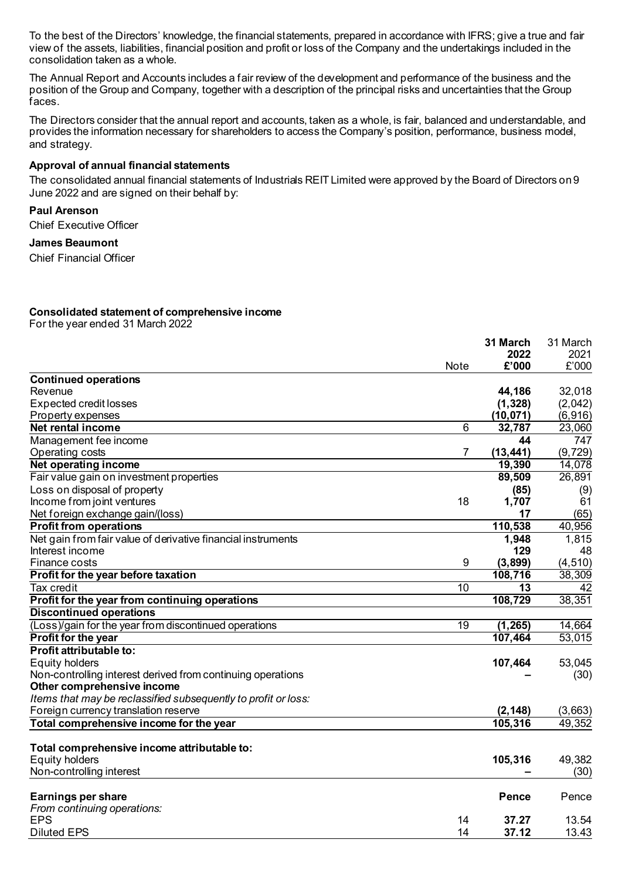To the best of the Directors' knowledge, the financial statements, prepared in accordance with IFRS; give a true and fair view of the assets, liabilities, financial position and profit or loss of the Company and the undertakings included in the consolidation taken as a whole.

The Annual Report and Accounts includes a fair review of the development and performance of the business and the position of the Group and Company, together with a description of the principal risks and uncertainties that the Group faces.

The Directors consider that the annual report and accounts, taken as a whole, is fair, balanced and understandable, and provides the information necessary for shareholders to access the Company's position, performance, business model, and strategy.

## **Approval of annual financial statements**

The consolidated annual financial statements of Industrials REIT Limited were approved by the Board of Directors on 9 June 2022 and are signed on their behalf by:

### **Paul Arenson**

Chief Executive Officer

#### **James Beaumont**

Chief Financial Officer

## **Consolidated statement of comprehensive income**

For the year ended 31 March 2022

|                                                                |      | 31 March      | 31 March      |
|----------------------------------------------------------------|------|---------------|---------------|
|                                                                | Note | 2022<br>£'000 | 2021<br>£'000 |
| <b>Continued operations</b>                                    |      |               |               |
| Revenue                                                        |      | 44,186        | 32,018        |
| <b>Expected credit losses</b>                                  |      | (1, 328)      | (2,042)       |
| Property expenses                                              |      | (10, 071)     | (6,916)       |
| Net rental income                                              | 6    | 32,787        | 23,060        |
| Management fee income                                          |      | 44            | 747           |
| Operating costs                                                | 7    | (13, 441)     | (9, 729)      |
| <b>Net operating income</b>                                    |      | 19,390        | 14,078        |
| Fair value gain on investment properties                       |      | 89,509        | 26,891        |
| Loss on disposal of property                                   |      | (85)          | (9)           |
| Income from joint ventures                                     | 18   | 1,707         | 61            |
| Net foreign exchange gain/(loss)                               |      | 17            | (65)          |
| <b>Profit from operations</b>                                  |      | 110,538       | 40,956        |
| Net gain from fair value of derivative financial instruments   |      | 1,948         | 1,815         |
| Interest income                                                |      | 129           | 48            |
| Finance costs                                                  | 9    | (3,899)       | (4, 510)      |
| Profit for the year before taxation                            |      | 108,716       | 38,309        |
| Tax credit                                                     | 10   | 13            | 42            |
| Profit for the year from continuing operations                 |      | 108,729       | 38,351        |
| <b>Discontinued operations</b>                                 |      |               |               |
| (Loss)/gain for the year from discontinued operations          | 19   | (1, 265)      | 14,664        |
| <b>Profit for the year</b>                                     |      | 107,464       | 53,015        |
| Profit attributable to:                                        |      |               |               |
| <b>Equity holders</b>                                          |      | 107,464       | 53,045        |
| Non-controlling interest derived from continuing operations    |      |               | (30)          |
| Other comprehensive income                                     |      |               |               |
| Items that may be reclassified subsequently to profit or loss: |      |               |               |
| Foreign currency translation reserve                           |      | (2, 148)      | (3,663)       |
| Total comprehensive income for the year                        |      | 105,316       | 49,352        |
|                                                                |      |               |               |
| Total comprehensive income attributable to:                    |      |               |               |
| <b>Equity holders</b>                                          |      | 105,316       | 49,382        |
| Non-controlling interest                                       |      |               | (30)          |
|                                                                |      |               |               |
| <b>Earnings per share</b>                                      |      | Pence         | Pence         |
| From continuing operations:<br><b>EPS</b>                      | 14   | 37.27         | 13.54         |
| <b>Diluted EPS</b>                                             | 14   | 37.12         | 13.43         |
|                                                                |      |               |               |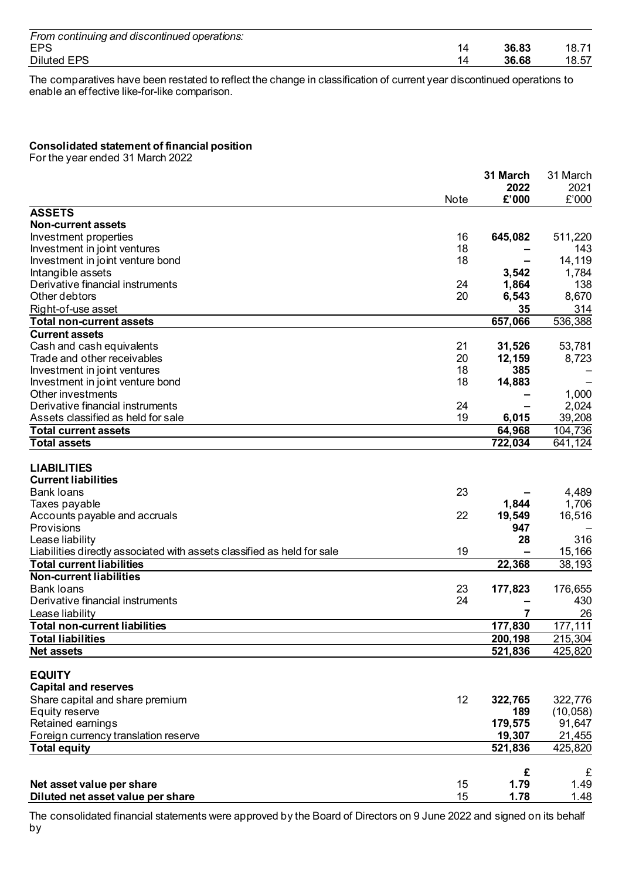| From continuing and discontinued operations: |    |       |       |
|----------------------------------------------|----|-------|-------|
| EPS                                          | 14 | 36.83 | 18.71 |
| <b>Diluted EPS</b>                           |    | 36.68 | 18.57 |

The comparatives have been restated to reflect the change in classification of current year discontinued operations to enable an effective like-for-like comparison.

### **Consolidated statement of financial position**

For the year ended 31 March 2022

|                                                                         |             | 31 March      |           |
|-------------------------------------------------------------------------|-------------|---------------|-----------|
|                                                                         |             | 2022<br>£'000 | 2021      |
| <b>ASSETS</b>                                                           | <b>Note</b> |               | £'000     |
| <b>Non-current assets</b>                                               |             |               |           |
| Investment properties                                                   | 16          | 645,082       | 511,220   |
| Investment in joint ventures                                            | 18          |               | 143       |
| Investment in joint venture bond                                        | 18          |               | 14,119    |
| Intangible assets                                                       |             | 3,542         | 1,784     |
| Derivative financial instruments                                        | 24          | 1,864         | 138       |
| Other debtors                                                           | 20          | 6,543         | 8,670     |
| Right-of-use asset                                                      |             | 35            | 314       |
| <b>Total non-current assets</b>                                         |             | 657,066       | 536,388   |
| <b>Current assets</b>                                                   |             |               |           |
| Cash and cash equivalents                                               | 21          | 31,526        | 53,781    |
| Trade and other receivables                                             | 20          | 12,159        | 8,723     |
| Investment in joint ventures                                            | 18          | 385           |           |
| Investment in joint venture bond                                        | 18          | 14,883        |           |
| Other investments                                                       |             |               | 1,000     |
| Derivative financial instruments                                        | 24          |               | 2,024     |
| Assets classified as held for sale                                      | 19          | 6,015         | 39,208    |
| <b>Total current assets</b>                                             |             | 64,968        | 104,736   |
| <b>Total assets</b>                                                     |             | 722,034       | 641,124   |
|                                                                         |             |               |           |
| <b>LIABILITIES</b>                                                      |             |               |           |
| <b>Current liabilities</b>                                              |             |               |           |
| <b>Bank loans</b>                                                       | 23          |               | 4,489     |
| Taxes payable                                                           |             | 1,844         | 1,706     |
| Accounts payable and accruals                                           | 22          | 19,549        | 16,516    |
| Provisions                                                              |             | 947           |           |
| Lease liability                                                         |             | 28            | 316       |
| Liabilities directly associated with assets classified as held for sale | 19          |               | 15,166    |
| <b>Total current liabilities</b>                                        |             | 22,368        | 38,193    |
| <b>Non-current liabilities</b>                                          |             |               |           |
| <b>Bank loans</b>                                                       | 23          | 177,823       | 176,655   |
| Derivative financial instruments                                        | 24          |               | 430       |
| Lease liability                                                         |             |               | 26        |
| <b>Total non-current liabilities</b>                                    |             | 177,830       | 177,111   |
| <b>Total liabilities</b>                                                |             | 200,198       | 215,304   |
| <b>Net assets</b>                                                       |             | 521,836       | 425,820   |
|                                                                         |             |               |           |
| <b>EQUITY</b>                                                           |             |               |           |
| <b>Capital and reserves</b>                                             |             |               |           |
| Share capital and share premium                                         | 12          | 322,765       | 322,776   |
| Equity reserve                                                          |             | 189           | (10, 058) |
| Retained earnings                                                       |             | 179,575       | 91,647    |
| Foreign currency translation reserve                                    |             | 19,307        | 21,455    |
| <b>Total equity</b>                                                     |             | 521,836       | 425,820   |
|                                                                         |             |               |           |
|                                                                         |             | £             | £         |
| Net asset value per share                                               | 15          | 1.79          | 1.49      |
| Diluted net asset value per share                                       | 15          | 1.78          | 1.48      |

The consolidated financial statements were approved by the Board of Directors on 9 June 2022 and signed on its behalf by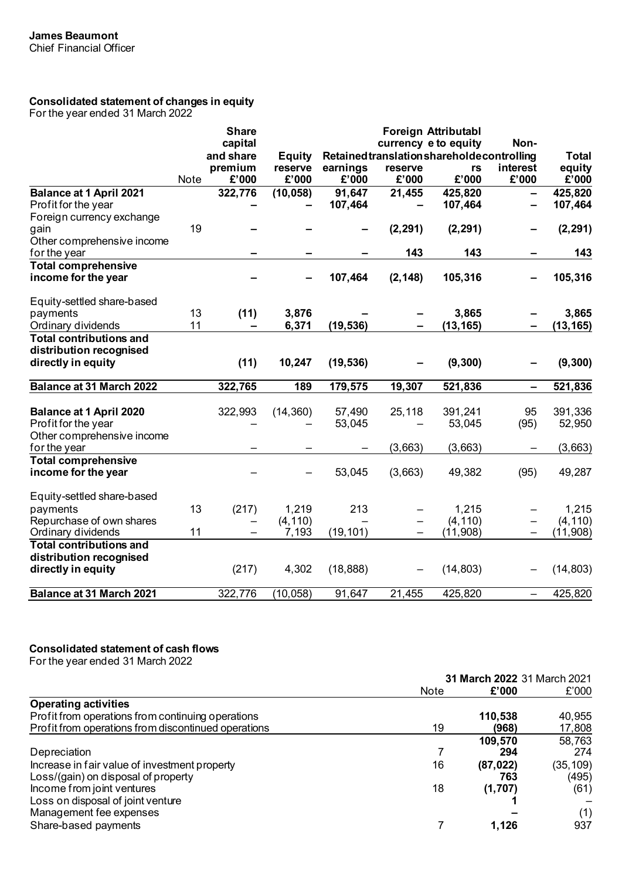## **Consolidated statement of changes in equity**

For the year ended 31 March 2022

|                                 |      | <b>Share</b>     |                  |           |                  | Foreign Attributabl                         | Non-                         |                 |
|---------------------------------|------|------------------|------------------|-----------|------------------|---------------------------------------------|------------------------------|-----------------|
|                                 |      | capital          |                  |           |                  | currency e to equity                        |                              |                 |
|                                 |      | and share        | <b>Equity</b>    | earnings  |                  | Retained translation shareholde controlling | interest                     | <b>Total</b>    |
|                                 | Note | premium<br>£'000 | reserve<br>£'000 | £'000     | reserve<br>£'000 | rs<br>£'000                                 | £'000                        | equity<br>£'000 |
| <b>Balance at 1 April 2021</b>  |      | 322,776          | (10, 058)        | 91,647    | 21,455           | 425,820                                     | -                            | 425,820         |
| Profit for the year             |      |                  |                  | 107,464   |                  | 107,464                                     |                              | 107,464         |
| Foreign currency exchange       |      |                  |                  |           |                  |                                             |                              |                 |
| gain                            | 19   |                  |                  |           | (2, 291)         | (2, 291)                                    |                              | (2, 291)        |
| Other comprehensive income      |      |                  |                  |           |                  |                                             |                              |                 |
| for the year                    |      |                  |                  |           | 143              | 143                                         |                              | 143             |
| <b>Total comprehensive</b>      |      |                  |                  |           |                  |                                             |                              |                 |
| income for the year             |      |                  |                  | 107,464   | (2, 148)         | 105,316                                     |                              | 105,316         |
|                                 |      |                  |                  |           |                  |                                             |                              |                 |
| Equity-settled share-based      |      |                  |                  |           |                  |                                             |                              |                 |
| payments                        | 13   | (11)             | 3,876            |           |                  | 3,865                                       |                              | 3,865           |
| Ordinary dividends              | 11   |                  | 6,371            | (19, 536) |                  | (13, 165)                                   |                              | (13, 165)       |
| <b>Total contributions and</b>  |      |                  |                  |           |                  |                                             |                              |                 |
| distribution recognised         |      |                  |                  |           |                  |                                             |                              |                 |
| directly in equity              |      | (11)             | 10,247           | (19, 536) |                  | (9, 300)                                    |                              | (9, 300)        |
|                                 |      |                  |                  |           |                  |                                             |                              |                 |
| <b>Balance at 31 March 2022</b> |      | 322,765          | 189              | 179,575   | 19,307           | 521,836                                     | $\qquad \qquad \blacksquare$ | 521,836         |
| <b>Balance at 1 April 2020</b>  |      | 322,993          | (14, 360)        | 57,490    | 25,118           | 391,241                                     | 95                           | 391,336         |
| Profit for the year             |      |                  |                  | 53,045    |                  | 53,045                                      | (95)                         | 52,950          |
| Other comprehensive income      |      |                  |                  |           |                  |                                             |                              |                 |
| for the year                    |      |                  |                  |           | (3,663)          | (3,663)                                     |                              | (3,663)         |
| <b>Total comprehensive</b>      |      |                  |                  |           |                  |                                             |                              |                 |
| income for the year             |      |                  |                  | 53,045    | (3,663)          | 49,382                                      | (95)                         | 49,287          |
|                                 |      |                  |                  |           |                  |                                             |                              |                 |
| Equity-settled share-based      |      |                  |                  |           |                  |                                             |                              |                 |
| payments                        | 13   | (217)            | 1,219            | 213       |                  | 1,215                                       |                              | 1,215           |
| Repurchase of own shares        |      |                  | (4, 110)         |           |                  | (4, 110)                                    |                              | (4, 110)        |
| Ordinary dividends              | 11   |                  | 7,193            | (19, 101) |                  | (11,908)                                    |                              | (11,908)        |
| <b>Total contributions and</b>  |      |                  |                  |           |                  |                                             |                              |                 |
| distribution recognised         |      |                  |                  |           |                  |                                             |                              |                 |
| directly in equity              |      | (217)            | 4,302            | (18, 888) |                  | (14, 803)                                   |                              | (14, 803)       |
|                                 |      |                  |                  |           |                  |                                             |                              |                 |
| <b>Balance at 31 March 2021</b> |      | 322,776          | (10, 058)        | 91,647    | 21,455           | 425,820                                     | $\overline{\phantom{0}}$     | 425,820         |

## **Consolidated statement of cash flows**

For the year ended 31 March 2022

|                                                     |      |           | <b>31 March 2022</b> 31 March 2021 |
|-----------------------------------------------------|------|-----------|------------------------------------|
|                                                     | Note | £'000     | £'000                              |
| <b>Operating activities</b>                         |      |           |                                    |
| Profit from operations from continuing operations   |      | 110,538   | 40,955                             |
| Profit from operations from discontinued operations | 19   | (968)     | 17,808                             |
|                                                     |      | 109,570   | 58,763                             |
| Depreciation                                        |      | 294       | 274                                |
| Increase in fair value of investment property       | 16   | (87, 022) | (35, 109)                          |
| Loss/(gain) on disposal of property                 |      | 763       | (495)                              |
| Income from joint ventures                          | 18   | (1,707)   | (61)                               |
| Loss on disposal of joint venture                   |      |           |                                    |
| Management fee expenses                             |      |           | (1)                                |
| Share-based payments                                |      | 1,126     | 937                                |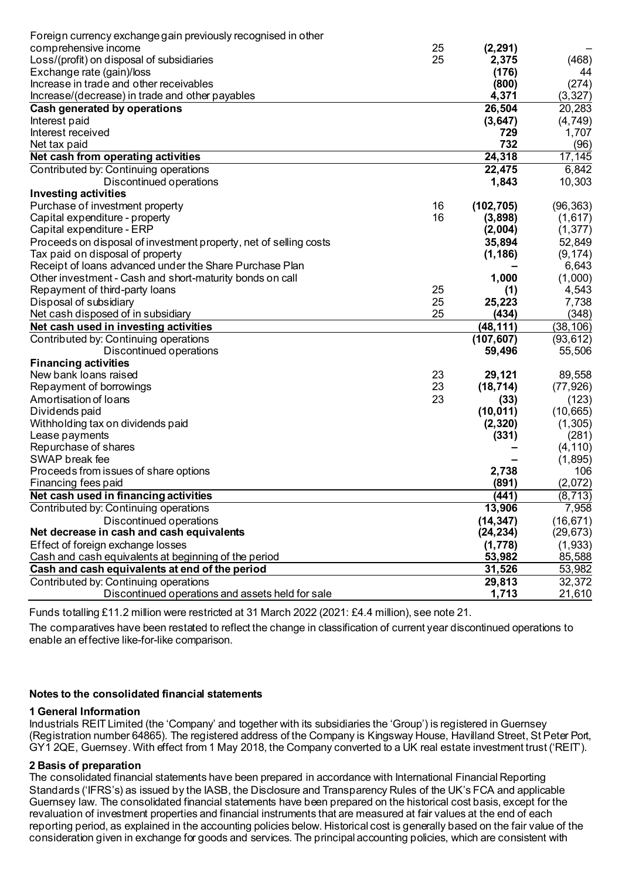| Foreign currency exchange gain previously recognised in other     |    |            |                    |
|-------------------------------------------------------------------|----|------------|--------------------|
| comprehensive income                                              | 25 | (2, 291)   |                    |
| Loss/(profit) on disposal of subsidiaries                         | 25 | 2,375      | (468)              |
| Exchange rate (gain)/loss                                         |    | (176)      | 44                 |
| Increase in trade and other receivables                           |    | (800)      | (274)              |
| Increase/(decrease) in trade and other payables                   |    | 4,371      | (3, 327)           |
| Cash generated by operations                                      |    | 26,504     | 20,283             |
| Interest paid                                                     |    | (3, 647)   | (4, 749)           |
| Interest received                                                 |    | 729        | 1,707              |
| Net tax paid                                                      |    | 732        | (96)               |
| Net cash from operating activities                                |    | 24,318     | 17,145             |
| Contributed by: Continuing operations                             |    | 22,475     | 6,842              |
| Discontinued operations                                           |    | 1,843      | 10,303             |
| <b>Investing activities</b>                                       |    |            |                    |
| Purchase of investment property                                   | 16 | (102, 705) | (96, 363)          |
| Capital expenditure - property                                    | 16 | (3,898)    | (1,617)            |
| Capital expenditure - ERP                                         |    | (2,004)    | (1, 377)           |
| Proceeds on disposal of investment property, net of selling costs |    | 35,894     | 52,849             |
| Tax paid on disposal of property                                  |    | (1, 186)   | (9, 174)           |
| Receipt of Ioans advanced under the Share Purchase Plan           |    |            | 6,643              |
| Other investment - Cash and short-maturity bonds on call          |    | 1,000      | (1,000)            |
| Repayment of third-party loans                                    | 25 | (1)        | 4,543              |
| Disposal of subsidiary                                            | 25 | 25,223     | 7,738              |
| Net cash disposed of in subsidiary                                | 25 | (434)      | (348)              |
| Net cash used in investing activities                             |    | (48, 111)  | (38, 106)          |
| Contributed by: Continuing operations                             |    | (107, 607) | (93, 612)          |
| Discontinued operations                                           |    | 59,496     | 55,506             |
| <b>Financing activities</b>                                       |    |            |                    |
| New bank loans raised                                             | 23 | 29,121     | 89,558             |
| Repayment of borrowings                                           | 23 | (18, 714)  | (77, 926)          |
| Amortisation of loans                                             | 23 | (33)       | (123)              |
| Dividends paid                                                    |    | (10, 011)  | (10, 665)          |
| Withholding tax on dividends paid                                 |    | (2, 320)   | (1,305)            |
| Lease payments                                                    |    | (331)      | (281)              |
| Repurchase of shares                                              |    |            | (4, 110)           |
| SWAP break fee                                                    |    |            | (1,895)            |
| Proceeds from issues of share options                             |    | 2,738      | 106                |
| Financing fees paid                                               |    | (891)      | (2,072)            |
| Net cash used in financing activities                             |    | (441)      | (8, 713)           |
|                                                                   |    |            |                    |
| Contributed by: Continuing operations                             |    | 13,906     | $7,\overline{958}$ |
| Discontinued operations                                           |    | (14, 347)  | (16, 671)          |
| Net decrease in cash and cash equivalents                         |    | (24, 234)  | (29, 673)          |
| Effect of foreign exchange losses                                 |    | (1,778)    | (1, 933)           |
| Cash and cash equivalents at beginning of the period              |    | 53,982     | 85,588             |
| Cash and cash equivalents at end of the period                    |    | 31,526     | 53,982             |
| Contributed by: Continuing operations                             |    | 29,813     | 32,372             |

Funds totalling £11.2 million were restricted at 31 March 2022 (2021: £4.4 million), see note 21.

The comparatives have been restated to reflect the change in classification of current year discontinued operations to enable an effective like-for-like comparison.

## **Notes to the consolidated financial statements**

## **1 General Information**

Industrials REIT Limited (the 'Company' and together with its subsidiaries the 'Group') is registered in Guernsey (Registration number 64865). The registered address of the Company is Kingsway House, Havilland Street, St Peter Port, GY1 2QE, Guernsey. With effect from 1 May 2018, the Company converted to a UK real estate investment trust ('REIT').

## **2 Basis of preparation**

The consolidated financial statements have been prepared in accordance with International Financial Reporting Standards ('IFRS's) as issued by the IASB, the Disclosure and Transparency Rules of the UK's FCA and applicable Guernsey law. The consolidated financial statements have been prepared on the historical cost basis, except for the revaluation of investment properties and financial instruments that are measured at fair values at the end of each reporting period, as explained in the accounting policies below. Historical cost is generally based on the fair value of the consideration given in exchange for goods and services. The principal accounting policies, which are consistent with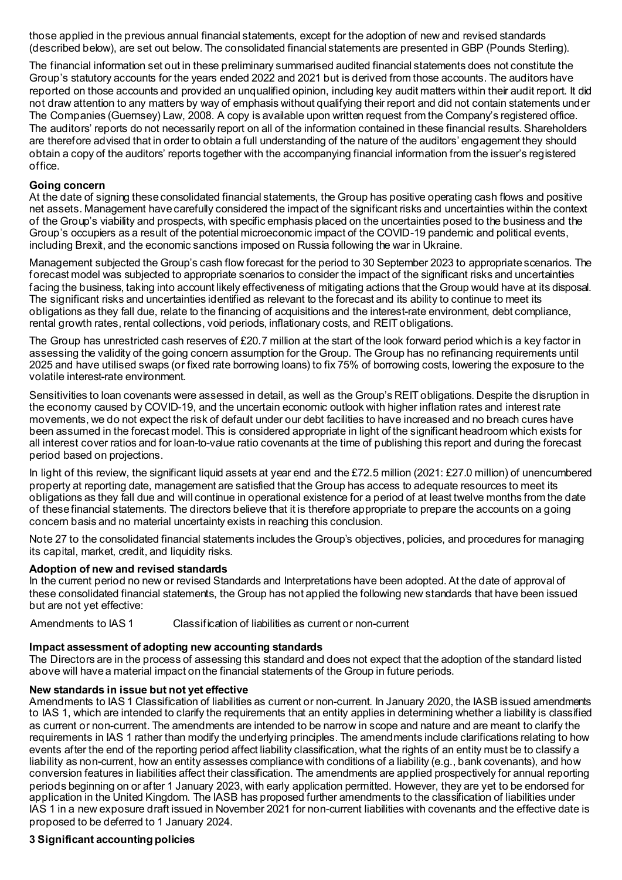those applied in the previous annual financial statements, except for the adoption of new and revised standards (described below), are set out below. The consolidated financial statements are presented in GBP (Pounds Sterling).

The financial information set out in these preliminary summarised audited financial statements does not constitute the Group's statutory accounts for the years ended 2022 and 2021 but is derived from those accounts. The auditors have reported on those accounts and provided an unqualified opinion, including key audit matters within their audit report. It did not draw attention to any matters by way of emphasis without qualifying their report and did not contain statements under The Companies (Guernsey) Law, 2008. A copy is available upon written request from the Company's registered office. The auditors' reports do not necessarily report on all of the information contained in these financial results. Shareholders are therefore advised that in order to obtain a full understanding of the nature of the auditors' engagement they should obtain a copy of the auditors' reports together with the accompanying financial information from the issuer's registered office.

## **Going concern**

At the date of signing these consolidated financial statements, the Group has positive operating cash flows and positive net assets. Management have carefully considered the impact of the significant risks and uncertainties within the context of the Group's viability and prospects, with specific emphasis placed on the uncertainties posed to the business and the Group's occupiers as a result of the potential microeconomic impact of the COVID-19 pandemic and political events, including Brexit, and the economic sanctions imposed on Russia following the war in Ukraine.

Management subjected the Group's cash flow forecast for the period to 30 September 2023 to appropriate scenarios. The forecast model was subjected to appropriate scenarios to consider the impact of the significant risks and uncertainties facing the business, taking into account likely effectiveness of mitigating actions that the Group would have at its disposal. The significant risks and uncertainties identified as relevant to the forecast and its ability to continue to meet its obligations as they fall due, relate to the financing of acquisitions and the interest-rate environment, debt compliance, rental growth rates, rental collections, void periods, inflationary costs, and REIT obligations.

The Group has unrestricted cash reserves of £20.7 million at the start of the look forward period which is a key factor in assessing the validity of the going concern assumption for the Group. The Group has no refinancing requirements until 2025 and have utilised swaps (or fixed rate borrowing loans) to fix 75% of borrowing costs, lowering the exposure to the volatile interest-rate environment.

Sensitivities to loan covenants were assessed in detail, as well as the Group's REIT obligations. Despite the disruption in the economy caused by COVID-19, and the uncertain economic outlook with higher inflation rates and interest rate movements, we do not expect the risk of default under our debt facilities to have increased and no breach cures have been assumed in the forecast model. This is considered appropriate in light of the significant headroom which exists for all interest cover ratios and for loan-to-value ratio covenants at the time of publishing this report and during the forecast period based on projections.

In light of this review, the significant liquid assets at year end and the £72.5 million (2021: £27.0 million) of unencumbered property at reporting date, management are satisfied that the Group has access to adequate resources to meet its obligations as they fall due and will continue in operational existence for a period of at least twelve months from the date of these financial statements. The directors believe that it is therefore appropriate to prepare the accounts on a going concern basis and no material uncertainty exists in reaching this conclusion.

Note 27 to the consolidated financial statements includes the Group's objectives, policies, and procedures for managing its capital, market, credit, and liquidity risks.

## **Adoption of new and revised standards**

In the current period no new or revised Standards and Interpretations have been adopted. At the date of approval of these consolidated financial statements, the Group has not applied the following new standards that have been issued but are not yet effective:

Amendments to IAS 1 Classification of liabilities as current or non-current

## **Impact assessment of adopting new accounting standards**

The Directors are in the process of assessing this standard and does not expect that the adoption of the standard listed above will have a material impact on the financial statements of the Group in future periods.

## **New standards in issue but not yet effective**

Amendments to IAS 1 Classification of liabilities as current or non-current. In January 2020, the IASB issued amendments to IAS 1, which are intended to clarify the requirements that an entity applies in determining whether a liability is classified as current or non-current. The amendments are intended to be narrow in scope and nature and are meant to clarify the requirements in IAS 1 rather than modify the underlying principles. The amendments include clarifications relating to how events after the end of the reporting period affect liability classification, what the rights of an entity must be to classify a liability as non-current, how an entity assesses compliance with conditions of a liability (e.g., bank covenants), and how conversion features in liabilities affect their classification. The amendments are applied prospectively for annual reporting periods beginning on or after 1 January 2023, with early application permitted. However, they are yet to be endorsed for application in the United Kingdom. The IASB has proposed further amendments to the classification of liabilities under IAS 1 in a new exposure draft issued in November 2021 for non-current liabilities with covenants and the effective date is proposed to be deferred to 1 January 2024.

## **3 Significant accounting policies**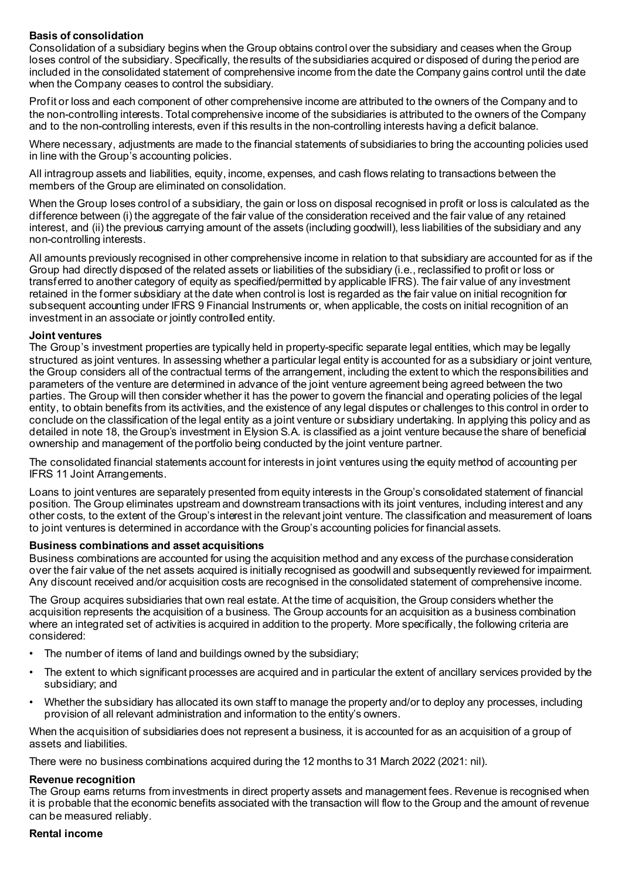## **Basis of consolidation**

Consolidation of a subsidiary begins when the Group obtains control over the subsidiary and ceases when the Group loses control of the subsidiary. Specifically, the results of the subsidiaries acquired or disposed of during the period are included in the consolidated statement of comprehensive income from the date the Company gains control until the date when the Company ceases to control the subsidiary.

Profit or loss and each component of other comprehensive income are attributed to the owners of the Company and to the non-controlling interests. Total comprehensive income of the subsidiaries is attributed to the owners of the Company and to the non-controlling interests, even if this results in the non-controlling interests having a deficit balance.

Where necessary, adjustments are made to the financial statements of subsidiaries to bring the accounting policies used in line with the Group's accounting policies.

All intragroup assets and liabilities, equity, income, expenses, and cash flows relating to transactions between the members of the Group are eliminated on consolidation.

When the Group loses control of a subsidiary, the gain or loss on disposal recognised in profit or loss is calculated as the difference between (i) the aggregate of the fair value of the consideration received and the fair value of any retained interest, and (ii) the previous carrying amount of the assets (including goodwill), less liabilities of the subsidiary and any non-controlling interests.

All amounts previously recognised in other comprehensive income in relation to that subsidiary are accounted for as if the Group had directly disposed of the related assets or liabilities of the subsidiary (i.e., reclassified to profit or loss or transferred to another category of equity as specified/permitted by applicable IFRS). The fair value of any investment retained in the former subsidiary at the date when control is lost is regarded as the fair value on initial recognition for subsequent accounting under IFRS 9 Financial Instruments or, when applicable, the costs on initial recognition of an investment in an associate or jointly controlled entity.

## **Joint ventures**

The Group's investment properties are typically held in property-specific separate legal entities, which may be legally structured as joint ventures. In assessing whether a particular legal entity is accounted for as a subsidiary or joint venture, the Group considers all of the contractual terms of the arrangement, including the extent to which the responsibilities and parameters of the venture are determined in advance of the joint venture agreement being agreed between the two parties. The Group will then consider whether it has the power to govern the financial and operating policies of the legal entity, to obtain benefits from its activities, and the existence of any legal disputes or challenges to this control in order to conclude on the classification of the legal entity as a joint venture or subsidiary undertaking. In applying this policy and as detailed in note 18, the Group's investment in Elysion S.A. is classified as a joint venture because the share of beneficial ownership and management of the portfolio being conducted by the joint venture partner.

The consolidated financial statements account for interests in joint ventures using the equity method of accounting per IFRS 11 Joint Arrangements.

Loans to joint ventures are separately presented from equity interests in the Group's consolidated statement of financial position. The Group eliminates upstream and downstream transactions with its joint ventures, including interest and any other costs, to the extent of the Group's interest in the relevant joint venture. The classification and measurement of loans to joint ventures is determined in accordance with the Group's accounting policies for financial assets.

## **Business combinations and asset acquisitions**

Business combinations are accounted for using the acquisition method and any excess of the purchase consideration over the fair value of the net assets acquired is initially recognised as goodwill and subsequently reviewed for impairment. Any discount received and/or acquisition costs are recognised in the consolidated statement of comprehensive income.

The Group acquires subsidiaries that own real estate. At the time of acquisition, the Group considers whether the acquisition represents the acquisition of a business. The Group accounts for an acquisition as a business combination where an integrated set of activities is acquired in addition to the property. More specifically, the following criteria are considered:

- The number of items of land and buildings owned by the subsidiary;
- The extent to which significant processes are acquired and in particular the extent of ancillary services provided by the subsidiary; and
- Whether the subsidiary has allocated its own staff to manage the property and/or to deploy any processes, including provision of all relevant administration and information to the entity's owners.

When the acquisition of subsidiaries does not represent a business, it is accounted for as an acquisition of a group of assets and liabilities.

There were no business combinations acquired during the 12 months to 31 March 2022 (2021: nil).

## **Revenue recognition**

The Group earns returns from investments in direct property assets and management fees. Revenue is recognised when it is probable that the economic benefits associated with the transaction will flow to the Group and the amount of revenue can be measured reliably.

#### **Rental income**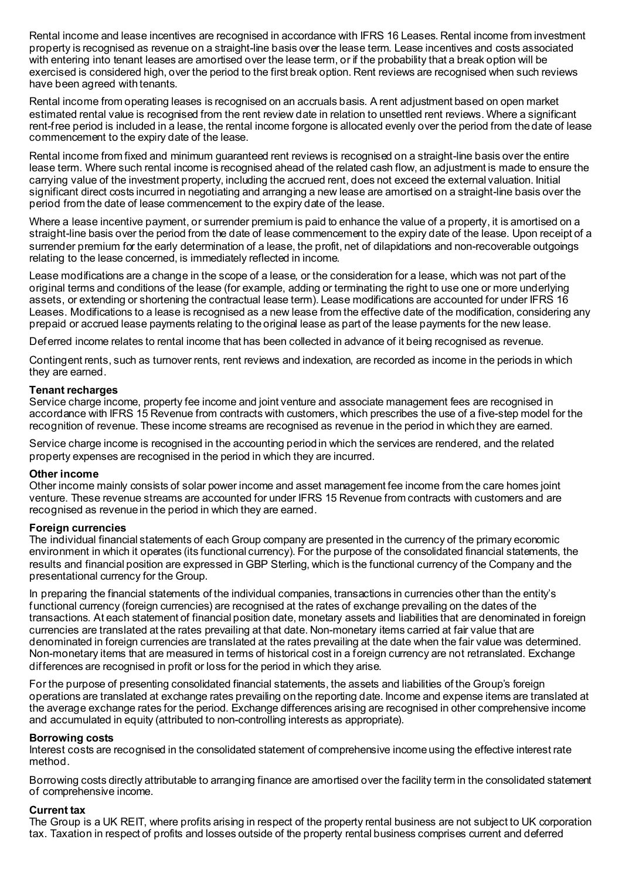Rental income and lease incentives are recognised in accordance with IFRS 16 Leases. Rental income from investment property is recognised as revenue on a straight-line basis over the lease term. Lease incentives and costs associated with entering into tenant leases are amortised over the lease term, or if the probability that a break option will be exercised is considered high, over the period to the first break option. Rent reviews are recognised when such reviews have been agreed with tenants.

Rental income from operating leases is recognised on an accruals basis. A rent adjustment based on open market estimated rental value is recognised from the rent review date in relation to unsettled rent reviews. Where a significant rent-free period is included in a lease, the rental income forgone is allocated evenly over the period from the date of lease commencement to the expiry date of the lease.

Rental income from fixed and minimum guaranteed rent reviews is recognised on a straight-line basis over the entire lease term. Where such rental income is recognised ahead of the related cash flow, an adjustment is made to ensure the carrying value of the investment property, including the accrued rent, does not exceed the external valuation. Initial significant direct costs incurred in negotiating and arranging a new lease are amortised on a straight-line basis over the period from the date of lease commencement to the expiry date of the lease.

Where a lease incentive payment, or surrender premium is paid to enhance the value of a property, it is amortised on a straight-line basis over the period from the date of lease commencement to the expiry date of the lease. Upon receipt of a surrender premium for the early determination of a lease, the profit, net of dilapidations and non-recoverable outgoings relating to the lease concerned, is immediately reflected in income.

Lease modifications are a change in the scope of a lease, or the consideration for a lease, which was not part of the original terms and conditions of the lease (for example, adding or terminating the right to use one or more underlying assets, or extending or shortening the contractual lease term). Lease modifications are accounted for under IFRS 16 Leases. Modifications to a lease is recognised as a new lease from the effective date of the modification, considering any prepaid or accrued lease payments relating to the original lease as part of the lease payments for the new lease.

Deferred income relates to rental income that has been collected in advance of it being recognised as revenue.

Contingent rents, such as turnover rents, rent reviews and indexation, are recorded as income in the periods in which they are earned.

## **Tenant recharges**

Service charge income, property fee income and joint venture and associate management fees are recognised in accordance with IFRS 15 Revenue from contracts with customers, which prescribes the use of a five-step model for the recognition of revenue. These income streams are recognised as revenue in the period in which they are earned.

Service charge income is recognised in the accounting period in which the services are rendered, and the related property expenses are recognised in the period in which they are incurred.

## **Other income**

Other income mainly consists of solar power income and asset management fee income from the care homes joint venture. These revenue streams are accounted for under IFRS 15 Revenue from contracts with customers and are recognised as revenue in the period in which they are earned.

## **Foreign currencies**

The individual financial statements of each Group company are presented in the currency of the primary economic environment in which it operates (its functional currency). For the purpose of the consolidated financial statements, the results and financial position are expressed in GBP Sterling, which is the functional currency of the Company and the presentational currency for the Group.

In preparing the financial statements of the individual companies, transactions in currencies other than the entity's functional currency (foreign currencies) are recognised at the rates of exchange prevailing on the dates of the transactions. At each statement of financial position date, monetary assets and liabilities that are denominated in foreign currencies are translated at the rates prevailing at that date. Non-monetary items carried at fair value that are denominated in foreign currencies are translated at the rates prevailing at the date when the fair value was determined. Non-monetary items that are measured in terms of historical cost in a foreign currency are not retranslated. Exchange differences are recognised in profit or loss for the period in which they arise.

For the purpose of presenting consolidated financial statements, the assets and liabilities of the Group's foreign operations are translated at exchange rates prevailing on the reporting date. Income and expense items are translated at the average exchange rates for the period. Exchange differences arising are recognised in other comprehensive income and accumulated in equity (attributed to non-controlling interests as appropriate).

#### **Borrowing costs**

Interest costs are recognised in the consolidated statement of comprehensive income using the effective interest rate method.

Borrowing costs directly attributable to arranging finance are amortised over the facility term in the consolidated statement of comprehensive income.

## **Current tax**

The Group is a UK REIT, where profits arising in respect of the property rental business are not subject to UK corporation tax. Taxation in respect of profits and losses outside of the property rental business comprises current and deferred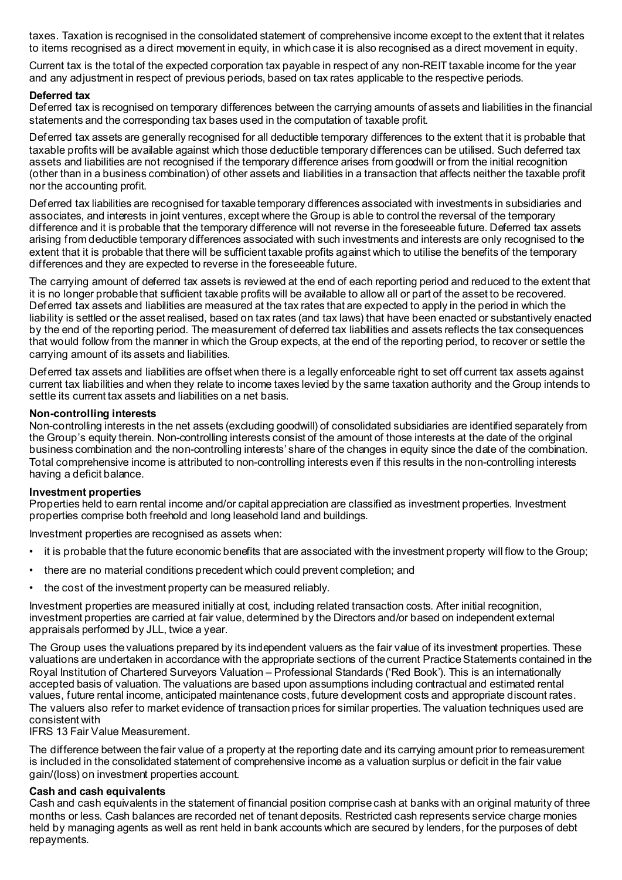taxes. Taxation is recognised in the consolidated statement of comprehensive income except to the extent that it relates to items recognised as a direct movement in equity, in which case it is also recognised as a direct movement in equity.

Current tax is the total of the expected corporation tax payable in respect of any non-REIT taxable income for the year and any adjustment in respect of previous periods, based on tax rates applicable to the respective periods.

### **Deferred tax**

Deferred tax is recognised on temporary differences between the carrying amounts of assets and liabilities in the financial statements and the corresponding tax bases used in the computation of taxable profit.

Deferred tax assets are generally recognised for all deductible temporary differences to the extent that it is probable that taxable profits will be available against which those deductible temporary differences can be utilised. Such deferred tax assets and liabilities are not recognised if the temporary difference arises from goodwill or from the initial recognition (other than in a business combination) of other assets and liabilities in a transaction that affects neither the taxable profit nor the accounting profit.

Deferred tax liabilities are recognised for taxable temporary differences associated with investments in subsidiaries and associates, and interests in joint ventures, except where the Group is able to control the reversal of the temporary difference and it is probable that the temporary difference will not reverse in the foreseeable future. Deferred tax assets arising from deductible temporary differences associated with such investments and interests are only recognised to the extent that it is probable that there will be sufficient taxable profits against which to utilise the benefits of the temporary differences and they are expected to reverse in the foreseeable future.

The carrying amount of deferred tax assets is reviewed at the end of each reporting period and reduced to the extent that it is no longer probable that sufficient taxable profits will be available to allow all or part of the asset to be recovered. Deferred tax assets and liabilities are measured at the tax rates that are expected to apply in the period in which the liability is settled or the asset realised, based on tax rates (and tax laws) that have been enacted or substantively enacted by the end of the reporting period. The measurement of deferred tax liabilities and assets reflects the tax consequences that would follow from the manner in which the Group expects, at the end of the reporting period, to recover or settle the carrying amount of its assets and liabilities.

Deferred tax assets and liabilities are offset when there is a legally enforceable right to set off current tax assets against current tax liabilities and when they relate to income taxes levied by the same taxation authority and the Group intends to settle its current tax assets and liabilities on a net basis.

### **Non-controlling interests**

Non-controlling interests in the net assets (excluding goodwill) of consolidated subsidiaries are identified separately from the Group's equity therein. Non-controlling interests consist of the amount of those interests at the date of the original business combination and the non-controlling interests' share of the changes in equity since the date of the combination. Total comprehensive income is attributed to non-controlling interests even if this results in the non-controlling interests having a deficit balance.

#### **Investment properties**

Properties held to earn rental income and/or capital appreciation are classified as investment properties. Investment properties comprise both freehold and long leasehold land and buildings.

Investment properties are recognised as assets when:

- it is probable that the future economic benefits that are associated with the investment property will flow to the Group;
- there are no material conditions precedent which could prevent completion; and
- the cost of the investment property can be measured reliably.

Investment properties are measured initially at cost, including related transaction costs. After initial recognition, investment properties are carried at fair value, determined by the Directors and/or based on independent external appraisals performed by JLL, twice a year.

The Group uses the valuations prepared by its independent valuers as the fair value of its investment properties. These valuations are undertaken in accordance with the appropriate sections of the current Practice Statements contained in the Royal Institution of Chartered Surveyors Valuation – Professional Standards ('Red Book'). This is an internationally accepted basis of valuation. The valuations are based upon assumptions including contractual and estimated rental values, future rental income, anticipated maintenance costs, future development costs and appropriate discount rates. The valuers also refer to market evidence of transaction prices for similar properties. The valuation techniques used are consistent with

IFRS 13 Fair Value Measurement.

The difference between the fair value of a property at the reporting date and its carrying amount prior to remeasurement is included in the consolidated statement of comprehensive income as a valuation surplus or deficit in the fair value gain/(loss) on investment properties account.

## **Cash and cash equivalents**

Cash and cash equivalents in the statement of financial position comprise cash at banks with an original maturity of three months or less. Cash balances are recorded net of tenant deposits. Restricted cash represents service charge monies held by managing agents as well as rent held in bank accounts which are secured by lenders, for the purposes of debt repayments.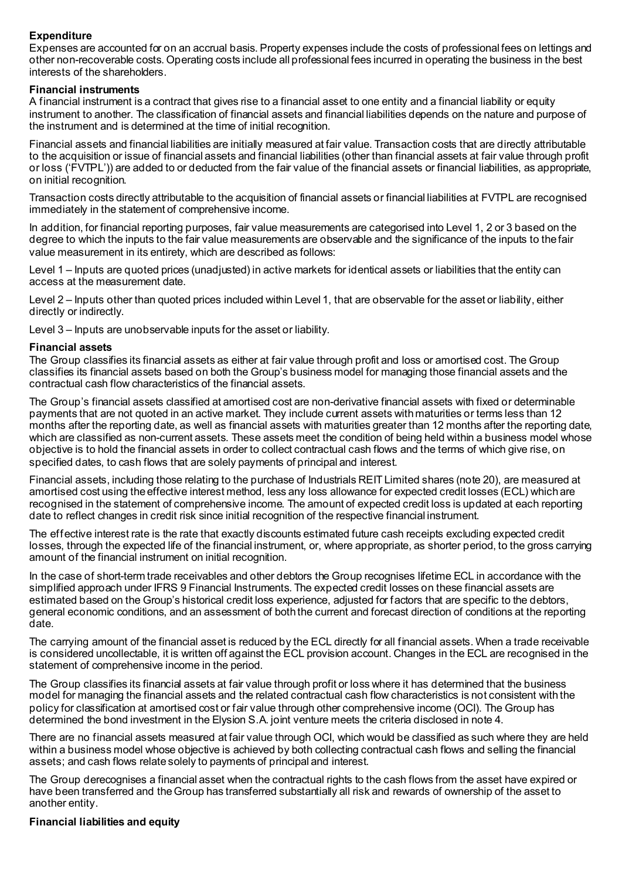## **Expenditure**

Expenses are accounted for on an accrual basis. Property expenses include the costs of professional fees on lettings and other non-recoverable costs. Operating costs include all professional fees incurred in operating the business in the best interests of the shareholders.

## **Financial instruments**

A financial instrument is a contract that gives rise to a financial asset to one entity and a financial liability or equity instrument to another. The classification of financial assets and financial liabilities depends on the nature and purpose of the instrument and is determined at the time of initial recognition.

Financial assets and financial liabilities are initially measured at fair value. Transaction costs that are directly attributable to the acquisition or issue of financial assets and financial liabilities (other than financial assets at fair value through profit or loss ('FVTPL')) are added to or deducted from the fair value of the financial assets or financial liabilities, as appropriate, on initial recognition.

Transaction costs directly attributable to the acquisition of financial assets or financial liabilities at FVTPL are recognised immediately in the statement of comprehensive income.

In addition, for financial reporting purposes, fair value measurements are categorised into Level 1, 2 or 3 based on the degree to which the inputs to the fair value measurements are observable and the significance of the inputs to the fair value measurement in its entirety, which are described as follows:

Level 1 – Inputs are quoted prices (unadjusted) in active markets for identical assets or liabilities that the entity can access at the measurement date.

Level 2 – Inputs other than quoted prices included within Level 1, that are observable for the asset or liability, either directly or indirectly.

Level 3 – Inputs are unobservable inputs for the asset or liability.

## **Financial assets**

The Group classifies its financial assets as either at fair value through profit and loss or amortised cost. The Group classifies its financial assets based on both the Group's business model for managing those financial assets and the contractual cash flow characteristics of the financial assets.

The Group's financial assets classified at amortised cost are non-derivative financial assets with fixed or determinable payments that are not quoted in an active market. They include current assets with maturities or terms less than 12 months after the reporting date, as well as financial assets with maturities greater than 12 months after the reporting date, which are classified as non-current assets. These assets meet the condition of being held within a business model whose objective is to hold the financial assets in order to collect contractual cash flows and the terms of which give rise, on specified dates, to cash flows that are solely payments of principal and interest.

Financial assets, including those relating to the purchase of Industrials REIT Limited shares (note 20), are measured at amortised cost using the effective interest method, less any loss allowance for expected credit losses (ECL) which are recognised in the statement of comprehensive income. The amount of expected credit loss is updated at each reporting date to reflect changes in credit risk since initial recognition of the respective financial instrument.

The effective interest rate is the rate that exactly discounts estimated future cash receipts excluding expected credit losses, through the expected life of the financial instrument, or, where appropriate, as shorter period, to the gross carrying amount of the financial instrument on initial recognition.

In the case of short-term trade receivables and other debtors the Group recognises lifetime ECL in accordance with the simplified approach under IFRS 9 Financial Instruments. The expected credit losses on these financial assets are estimated based on the Group's historical credit loss experience, adjusted for factors that are specific to the debtors, general economic conditions, and an assessment of both the current and forecast direction of conditions at the reporting date.

The carrying amount of the financial asset is reduced by the ECL directly for all financial assets. When a trade receivable is considered uncollectable, it is written off against the ECL provision account. Changes in the ECL are recognised in the statement of comprehensive income in the period.

The Group classifies its financial assets at fair value through profit or loss where it has determined that the business model for managing the financial assets and the related contractual cash flow characteristics is not consistent with the policy for classification at amortised cost or fair value through other comprehensive income (OCI). The Group has determined the bond investment in the Elysion S.A. joint venture meets the criteria disclosed in note 4.

There are no financial assets measured at fair value through OCI, which would be classified as such where they are held within a business model whose objective is achieved by both collecting contractual cash flows and selling the financial assets; and cash flows relate solely to payments of principal and interest.

The Group derecognises a financial asset when the contractual rights to the cash flows from the asset have expired or have been transferred and the Group has transferred substantially all risk and rewards of ownership of the asset to another entity.

## **Financial liabilities and equity**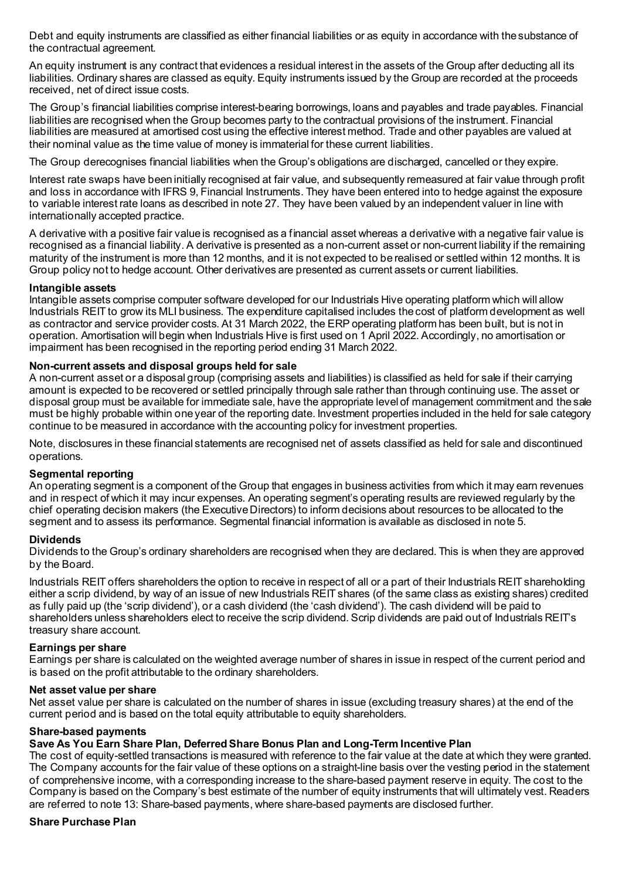Debt and equity instruments are classified as either financial liabilities or as equity in accordance with the substance of the contractual agreement.

An equity instrument is any contract that evidences a residual interest in the assets of the Group after deducting all its liabilities. Ordinary shares are classed as equity. Equity instruments issued by the Group are recorded at the proceeds received, net of direct issue costs.

The Group's financial liabilities comprise interest-bearing borrowings, loans and payables and trade payables. Financial liabilities are recognised when the Group becomes party to the contractual provisions of the instrument. Financial liabilities are measured at amortised cost using the effective interest method. Trade and other payables are valued at their nominal value as the time value of money is immaterial for these current liabilities.

The Group derecognises financial liabilities when the Group's obligations are discharged, cancelled or they expire.

Interest rate swaps have been initially recognised at fair value, and subsequently remeasured at fair value through profit and loss in accordance with IFRS 9, Financial Instruments. They have been entered into to hedge against the exposure to variable interest rate loans as described in note 27. They have been valued by an independent valuer in line with internationally accepted practice.

A derivative with a positive fair value is recognised as a financial asset whereas a derivative with a negative fair value is recognised as a financial liability. A derivative is presented as a non-current asset or non-current liability if the remaining maturity of the instrument is more than 12 months, and it is not expected to be realised or settled within 12 months. It is Group policy not to hedge account. Other derivatives are presented as current assets or current liabilities.

### **Intangible assets**

Intangible assets comprise computer software developed for our Industrials Hive operating platform which will allow Industrials REIT to grow its MLI business. The expenditure capitalised includes the cost of platform development as well as contractor and service provider costs. At 31 March 2022, the ERP operating platform has been built, but is not in operation. Amortisation will begin when Industrials Hive is first used on 1 April 2022. Accordingly, no amortisation or impairment has been recognised in the reporting period ending 31 March 2022.

### **Non-current assets and disposal groups held for sale**

A non-current asset or a disposal group (comprising assets and liabilities) is classified as held for sale if their carrying amount is expected to be recovered or settled principally through sale rather than through continuing use. The asset or disposal group must be available for immediate sale, have the appropriate level of management commitment and the sale must be highly probable within one year of the reporting date. Investment properties included in the held for sale category continue to be measured in accordance with the accounting policy for investment properties.

Note, disclosures in these financial statements are recognised net of assets classified as held for sale and discontinued operations.

#### **Segmental reporting**

An operating segment is a component of the Group that engages in business activities from which it may earn revenues and in respect of which it may incur expenses. An operating segment's operating results are reviewed regularly by the chief operating decision makers (the Executive Directors) to inform decisions about resources to be allocated to the segment and to assess its performance. Segmental financial information is available as disclosed in note 5.

#### **Dividends**

Dividends to the Group's ordinary shareholders are recognised when they are declared. This is when they are approved by the Board.

Industrials REIT offers shareholders the option to receive in respect of all or a part of their Industrials REIT shareholding either a scrip dividend, by way of an issue of new Industrials REIT shares (of the same class as existing shares) credited as fully paid up (the 'scrip dividend'), or a cash dividend (the 'cash dividend'). The cash dividend will be paid to shareholders unless shareholders elect to receive the scrip dividend. Scrip dividends are paid out of Industrials REIT's treasury share account.

#### **Earnings per share**

Earnings per share is calculated on the weighted average number of shares in issue in respect of the current period and is based on the profit attributable to the ordinary shareholders.

#### **Net asset value per share**

Net asset value per share is calculated on the number of shares in issue (excluding treasury shares) at the end of the current period and is based on the total equity attributable to equity shareholders.

## **Share-based payments**

## **Save As You Earn Share Plan, Deferred Share Bonus Plan and Long-Term Incentive Plan**

The cost of equity-settled transactions is measured with reference to the fair value at the date at which they were granted. The Company accounts for the fair value of these options on a straight-line basis over the vesting period in the statement of comprehensive income, with a corresponding increase to the share-based payment reserve in equity. The cost to the Company is based on the Company's best estimate of the number of equity instruments that will ultimately vest. Readers are referred to note 13: Share-based payments, where share-based payments are disclosed further.

#### **Share Purchase Plan**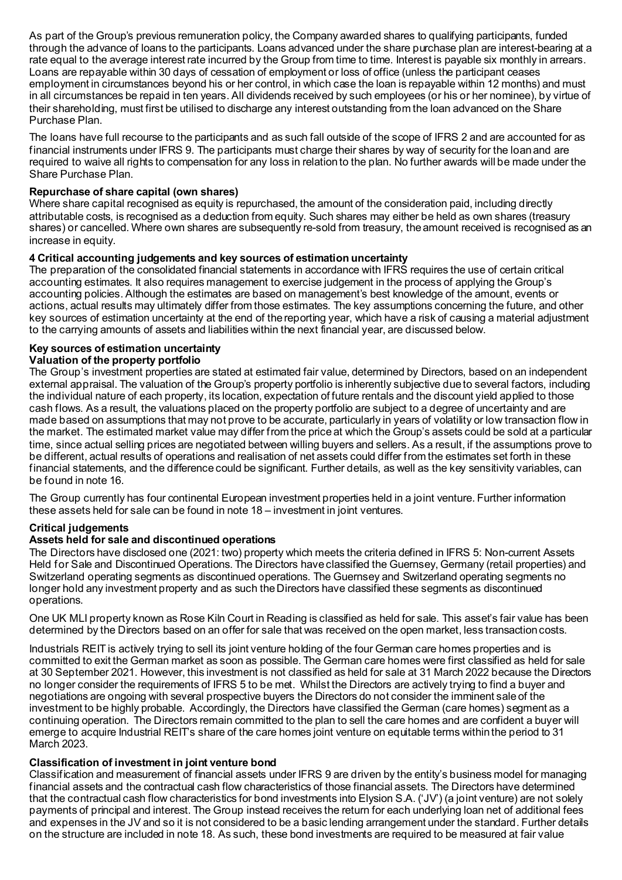As part of the Group's previous remuneration policy, the Company awarded shares to qualifying participants, funded through the advance of loans to the participants. Loans advanced under the share purchase plan are interest-bearing at a rate equal to the average interest rate incurred by the Group from time to time. Interest is payable six monthly in arrears. Loans are repayable within 30 days of cessation of employment or loss of office (unless the participant ceases employment in circumstances beyond his or her control, in which case the loan is repayable within 12 months) and must in all circumstances be repaid in ten years. All dividends received by such employees (or his or her nominee), by virtue of their shareholding, must first be utilised to discharge any interest outstanding from the loan advanced on the Share Purchase Plan.

The loans have full recourse to the participants and as such fall outside of the scope of IFRS 2 and are accounted for as financial instruments under IFRS 9. The participants must charge their shares by way of security for the loan and are required to waive all rights to compensation for any loss in relation to the plan. No further awards will be made under the Share Purchase Plan.

## **Repurchase of share capital (own shares)**

Where share capital recognised as equity is repurchased, the amount of the consideration paid, including directly attributable costs, is recognised as a deduction from equity. Such shares may either be held as own shares (treasury shares) or cancelled. Where own shares are subsequently re-sold from treasury, the amount received is recognised as an increase in equity.

## **4 Critical accounting judgements and key sources of estimation uncertainty**

The preparation of the consolidated financial statements in accordance with IFRS requires the use of certain critical accounting estimates. It also requires management to exercise judgement in the process of applying the Group's accounting policies. Although the estimates are based on management's best knowledge of the amount, events or actions, actual results may ultimately differ from those estimates. The key assumptions concerning the future, and other key sources of estimation uncertainty at the end of the reporting year, which have a risk of causing a material adjustment to the carrying amounts of assets and liabilities within the next financial year, are discussed below.

## **Key sources of estimation uncertainty Valuation of the property portfolio**

The Group's investment properties are stated at estimated fair value, determined by Directors, based on an independent external appraisal. The valuation of the Group's property portfolio is inherently subjective due to several factors, including the individual nature of each property, its location, expectation of future rentals and the discount yield applied to those cash flows. As a result, the valuations placed on the property portfolio are subject to a degree of uncertainty and are made based on assumptions that may not prove to be accurate, particularly in years of volatility or low transaction flow in the market. The estimated market value may differ from the price at which the Group's assets could be sold at a particular time, since actual selling prices are negotiated between willing buyers and sellers. As a result, if the assumptions prove to be different, actual results of operations and realisation of net assets could differ from the estimates set forth in these financial statements, and the difference could be significant. Further details, as well as the key sensitivity variables, can be found in note 16.

The Group currently has four continental European investment properties held in a joint venture. Further information these assets held for sale can be found in note 18 – investment in joint ventures.

## **Critical judgements**

## **Assets held for sale and discontinued operations**

The Directors have disclosed one (2021: two) property which meets the criteria defined in IFRS 5: Non-current Assets Held for Sale and Discontinued Operations. The Directors have classified the Guernsey, Germany (retail properties) and Switzerland operating segments as discontinued operations. The Guernsey and Switzerland operating segments no longer hold any investment property and as such the Directors have classified these segments as discontinued operations.

One UK MLI property known as Rose Kiln Court in Reading is classified as held for sale. This asset's fair value has been determined by the Directors based on an offer for sale that was received on the open market, less transaction costs.

Industrials REIT is actively trying to sell its joint venture holding of the four German care homes properties and is committed to exit the German market as soon as possible. The German care homes were first classified as held for sale at 30 September 2021. However, this investment is not classified as held for sale at 31 March 2022 because the Directors no longer consider the requirements of IFRS 5 to be met. Whilst the Directors are actively trying to find a buyer and negotiations are ongoing with several prospective buyers the Directors do not consider the imminent sale of the investment to be highly probable. Accordingly, the Directors have classified the German (care homes) segment as a continuing operation. The Directors remain committed to the plan to sell the care homes and are confident a buyer will emerge to acquire Industrial REIT's share of the care homes joint venture on equitable terms within the period to 31 March 2023.

## **Classification of investment in joint venture bond**

Classification and measurement of financial assets under IFRS 9 are driven by the entity's business model for managing financial assets and the contractual cash flow characteristics of those financial assets. The Directors have determined that the contractual cash flow characteristics for bond investments into Elysion S.A. ('JV') (a joint venture) are not solely payments of principal and interest. The Group instead receives the return for each underlying loan net of additional fees and expenses in the JV and so it is not considered to be a basic lending arrangement under the standard. Further details on the structure are included in note 18. As such, these bond investments are required to be measured at fair value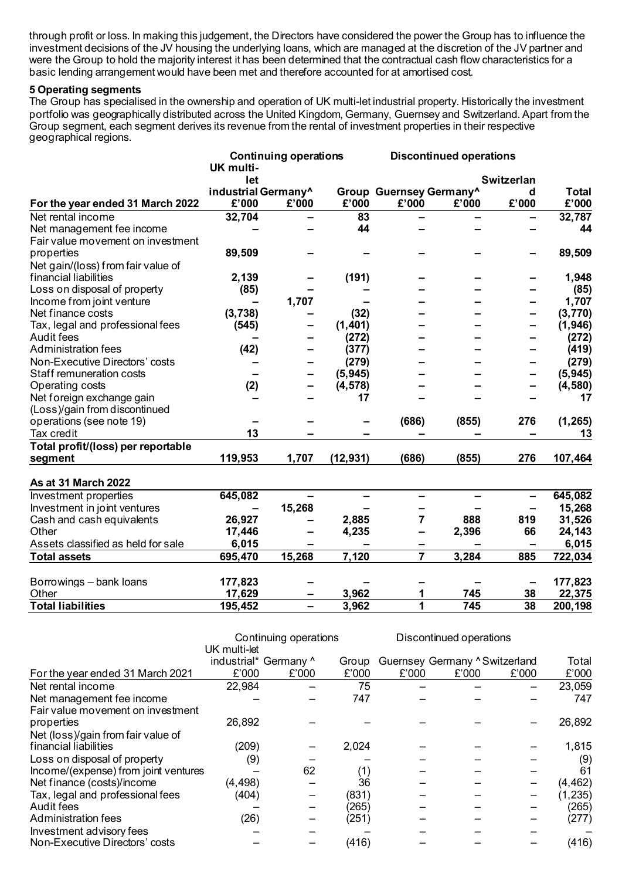through profit or loss. In making this judgement, the Directors have considered the power the Group has to influence the investment decisions of the JV housing the underlying loans, which are managed at the discretion of the JV partner and were the Group to hold the majority interest it has been determined that the contractual cash flow characteristics for a basic lending arrangement would have been met and therefore accounted for at amortised cost.

## **5 Operating segments**

The Group has specialised in the ownership and operation of UK multi-let industrial property. Historically the investment portfolio was geographically distributed across the United Kingdom, Germany, Guernsey and Switzerland. Apart from the Group segment, each segment derives its revenue from the rental of investment properties in their respective geographical regions.

|                                    | <b>UK multi-</b>                | <b>Continuing operations</b> |           |                                     | <b>Discontinued operations</b> |                   |              |
|------------------------------------|---------------------------------|------------------------------|-----------|-------------------------------------|--------------------------------|-------------------|--------------|
|                                    | let                             |                              |           |                                     |                                | <b>Switzerlan</b> |              |
|                                    | industrial Germany <sup>^</sup> |                              |           | Group Guernsey Germany <sup>^</sup> |                                | d                 | <b>Total</b> |
| For the year ended 31 March 2022   | £'000                           | £'000                        | £'000     | £'000                               | £'000                          | £'000             | £'000        |
| Net rental income                  | 32,704                          |                              | 83        |                                     |                                |                   | 32,787       |
| Net management fee income          |                                 |                              | 44        |                                     |                                |                   | 44           |
| Fair value movement on investment  |                                 |                              |           |                                     |                                |                   |              |
| properties                         | 89,509                          |                              |           |                                     |                                |                   | 89,509       |
| Net gain/(loss) from fair value of |                                 |                              |           |                                     |                                |                   |              |
| financial liabilities              | 2,139                           |                              | (191)     |                                     |                                |                   | 1,948        |
| Loss on disposal of property       | (85)                            |                              |           |                                     |                                |                   | (85)         |
| Income from joint venture          |                                 | 1,707                        |           |                                     |                                |                   | 1,707        |
| Net finance costs                  | (3,738)                         |                              | (32)      |                                     |                                |                   | (3,770)      |
| Tax, legal and professional fees   | (545)                           |                              | (1,401)   |                                     |                                |                   | (1, 946)     |
| Audit fees                         |                                 |                              | (272)     |                                     |                                |                   | (272)        |
| <b>Administration fees</b>         | (42)                            |                              | (377)     |                                     |                                |                   | (419)        |
| Non-Executive Directors' costs     |                                 |                              | (279)     |                                     |                                |                   | (279)        |
| Staff remuneration costs           |                                 |                              | (5, 945)  |                                     |                                |                   | (5, 945)     |
| Operating costs                    | (2)                             |                              | (4, 578)  |                                     |                                |                   | (4, 580)     |
| Net foreign exchange gain          |                                 |                              | 17        |                                     |                                |                   | 17           |
| (Loss)/gain from discontinued      |                                 |                              |           |                                     |                                |                   |              |
| operations (see note 19)           |                                 |                              |           | (686)                               | (855)                          | 276               | (1, 265)     |
| Tax credit                         | 13                              |                              |           |                                     |                                |                   | 13           |
| Total profit/(loss) per reportable |                                 |                              |           |                                     |                                |                   |              |
| segment                            | 119,953                         | 1,707                        | (12, 931) | (686)                               | (855)                          | 276               | 107,464      |
| As at 31 March 2022                |                                 |                              |           |                                     |                                |                   |              |
| Investment properties              | 645,082                         |                              |           | -                                   |                                |                   | 645,082      |
| Investment in joint ventures       |                                 | 15,268                       |           |                                     |                                |                   | 15,268       |
| Cash and cash equivalents          | 26,927                          |                              | 2,885     | 7                                   | 888                            | 819               | 31,526       |
| Other                              | 17,446                          |                              | 4,235     | -                                   | 2,396                          | 66                | 24,143       |
| Assets classified as held for sale | 6,015                           |                              |           | -                                   |                                |                   | 6,015        |
| <b>Total assets</b>                | 695,470                         | 15,268                       | 7,120     | $\overline{7}$                      | 3,284                          | 885               | 722,034      |
|                                    |                                 |                              |           |                                     |                                |                   |              |
| Borrowings - bank loans            | 177,823                         |                              |           |                                     |                                |                   | 177,823      |
| Other                              | 17,629                          |                              | 3,962     | 1                                   | 745                            | 38                | 22,375       |
| <b>Total liabilities</b>           | 195,452                         |                              | 3,962     | 1                                   | 745                            | 38                | 200,198      |
|                                    |                                 |                              |           |                                     |                                |                   |              |

|                                      |              | Continuing operations |       | Discontinued operations |                                      |       |          |
|--------------------------------------|--------------|-----------------------|-------|-------------------------|--------------------------------------|-------|----------|
|                                      | UK multi-let | industrial* Germany ^ |       |                         | Group Guernsey Germany ^ Switzerland |       | Total    |
| For the year ended 31 March 2021     | £'000        | £'000                 | £'000 | £'000                   | £'000                                | £'000 | £'000    |
| Net rental income                    | 22,984       |                       | 75    |                         |                                      |       | 23,059   |
| Net management fee income            |              |                       | 747   |                         |                                      |       | 747      |
| Fair value movement on investment    |              |                       |       |                         |                                      |       |          |
| properties                           | 26,892       |                       |       |                         |                                      |       | 26,892   |
| Net (loss)/gain from fair value of   |              |                       |       |                         |                                      |       |          |
| financial liabilities                | (209)        |                       | 2,024 |                         |                                      |       | 1,815    |
| Loss on disposal of property         | (9)          |                       |       |                         |                                      |       | (9)      |
| Income/(expense) from joint ventures |              | 62                    | (1)   |                         |                                      |       | 61       |
| Net finance (costs)/income           | (4, 498)     |                       | 36    |                         |                                      |       | (4, 462) |
| Tax, legal and professional fees     | (404)        |                       | (831) |                         |                                      |       | (1, 235) |
| Audit fees                           |              |                       | (265) |                         |                                      |       | (265)    |
| Administration fees                  | (26)         |                       | (251) |                         |                                      |       | (277)    |
| Investment advisory fees             |              |                       |       |                         |                                      |       |          |
| Non-Executive Directors' costs       |              |                       | (416) |                         |                                      |       | (416)    |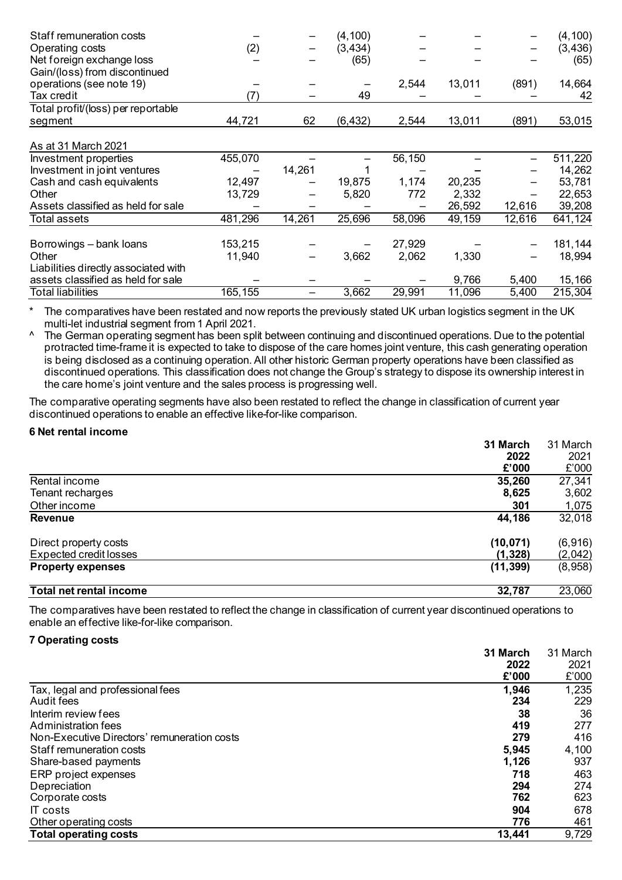| Staff remuneration costs                                                   |         |        | (4, 100) |        |        |        | (4, 100) |
|----------------------------------------------------------------------------|---------|--------|----------|--------|--------|--------|----------|
| Operating costs                                                            | (2)     |        | (3, 434) |        |        |        | (3, 436) |
| Net foreign exchange loss                                                  |         |        | (65)     |        |        |        | (65)     |
| Gain/(loss) from discontinued                                              |         |        |          |        |        |        |          |
| operations (see note 19)                                                   |         |        |          | 2,544  | 13,011 | (891)  | 14,664   |
| Tax credit                                                                 | (7)     |        | 49       |        |        |        | 42       |
| Total profit/(loss) per reportable                                         |         |        |          |        |        |        |          |
| segment                                                                    | 44,721  | 62     | (6, 432) | 2,544  | 13,011 | (891)  | 53,015   |
|                                                                            |         |        |          |        |        |        |          |
| As at 31 March 2021                                                        |         |        |          |        |        |        |          |
| Investment properties                                                      | 455,070 |        |          | 56,150 |        |        | 511,220  |
| Investment in joint ventures                                               |         | 14,261 |          |        |        |        | 14,262   |
| Cash and cash equivalents                                                  | 12,497  |        | 19,875   | 1,174  | 20,235 |        | 53,781   |
| Other                                                                      | 13,729  |        | 5,820    | 772    | 2,332  |        | 22,653   |
| Assets classified as held for sale                                         |         |        |          |        | 26,592 | 12,616 | 39,208   |
| Total assets                                                               | 481,296 | 14,261 | 25,696   | 58,096 | 49,159 | 12,616 | 641,124  |
| Borrowings – bank loans                                                    | 153,215 |        |          | 27,929 |        |        | 181,144  |
|                                                                            |         |        |          |        |        |        |          |
| Other                                                                      | 11,940  |        | 3,662    | 2,062  | 1,330  |        | 18,994   |
| Liabilities directly associated with<br>assets classified as held for sale |         |        |          |        | 9,766  | 5,400  | 15,166   |
| <b>Total liabilities</b>                                                   | 165,155 |        | 3,662    | 29,991 | 11,096 | 5,400  | 215,304  |

\* The comparatives have been restated and now reports the previously stated UK urban logistics segment in the UK multi-let industrial segment from 1 April 2021.

^ The German operating segment has been split between continuing and discontinued operations. Due to the potential protracted time-frame it is expected to take to dispose of the care homes joint venture, this cash generating operation is being disclosed as a continuing operation. All other historic German property operations have been classified as discontinued operations. This classification does not change the Group's strategy to dispose its ownership interest in the care home's joint venture and the sales process is progressing well.

The comparative operating segments have also been restated to reflect the change in classification of current year discontinued operations to enable an effective like-for-like comparison.

### **6 Net rental income**

|                          | 31 March  | 31 March |
|--------------------------|-----------|----------|
|                          | 2022      | 2021     |
|                          | £'000     | £'000    |
| Rental income            | 35,260    | 27,341   |
| Tenant recharges         | 8,625     | 3,602    |
| Other income             | 301       | 1,075    |
| <b>Revenue</b>           | 44,186    | 32,018   |
| Direct property costs    | (10, 071) | (6,916)  |
| Expected credit losses   | (1, 328)  | (2,042)  |
| <b>Property expenses</b> | (11, 399) | (8,958)  |
|                          |           |          |

#### **Total net rental income 32,787** 23,060

The comparatives have been restated to reflect the change in classification of current year discontinued operations to enable an effective like-for-like comparison.

## **7 Operating costs**

| 31 March                                           | 31 March |
|----------------------------------------------------|----------|
| 2022                                               | 2021     |
| £'000                                              | £'000    |
| Tax, legal and professional fees<br>1,946          | 1,235    |
| Audit fees<br>234                                  | 229      |
| Interim review fees<br>38                          | 36       |
| 419<br>Administration fees                         | 277      |
| Non-Executive Directors' remuneration costs<br>279 | 416      |
| 5,945<br>Staff remuneration costs                  | 4,100    |
| 1,126<br>Share-based payments                      | 937      |
| ERP project expenses<br>718                        | 463      |
| 294<br>Depreciation                                | 274      |
| 762<br>Corporate costs                             | 623      |
| 904<br><b>IT</b> costs                             | 678      |
| 776<br>Other operating costs                       | 461      |
| <b>Total operating costs</b><br>13,441             | 9,729    |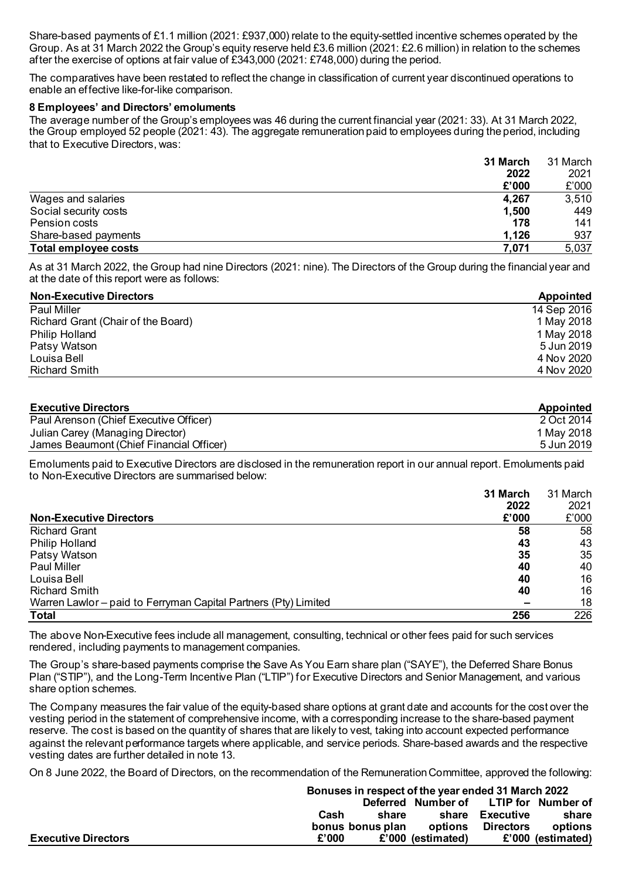Share-based payments of £1.1 million (2021: £937,000) relate to the equity-settled incentive schemes operated by the Group. As at 31 March 2022 the Group's equity reserve held £3.6 million (2021: £2.6 million) in relation to the schemes after the exercise of options at fair value of £343,000 (2021: £748,000) during the period.

The comparatives have been restated to reflect the change in classification of current year discontinued operations to enable an effective like-for-like comparison.

### **8 Employees' and Directors' emoluments**

The average number of the Group's employees was 46 during the current financial year (2021: 33). At 31 March 2022, the Group employed 52 people (2021: 43). The aggregate remuneration paid to employees during the period, including that to Executive Directors, was:

|                       | 31 March | 31 March |
|-----------------------|----------|----------|
|                       | 2022     | 2021     |
|                       | £'000    | £'000    |
| Wages and salaries    | 4,267    | 3,510    |
| Social security costs | 1,500    | 449      |
| Pension costs         | 178      | 141      |
| Share-based payments  | 1,126    | 937      |
| Total employee costs  | 7,071    | 5,037    |

As at 31 March 2022, the Group had nine Directors (2021: nine). The Directors of the Group during the financial year and at the date of this report were as follows:

| <b>Non-Executive Directors</b>     | Appointed   |
|------------------------------------|-------------|
| <b>Paul Miller</b>                 | 14 Sep 2016 |
| Richard Grant (Chair of the Board) | 1 May 2018  |
| <b>Philip Holland</b>              | 1 May 2018  |
| Patsy Watson                       | 5 Jun 2019  |
| Louisa Bell                        | 4 Nov 2020  |
| <b>Richard Smith</b>               | 4 Nov 2020  |

| <b>Executive Directors</b>               | <b>Appointed</b> |
|------------------------------------------|------------------|
| Paul Arenson (Chief Executive Officer)   | 2 Oct 2014       |
| Julian Carey (Managing Director)         | 1 May 2018       |
| James Beaumont (Chief Financial Officer) | 5 Jun 2019       |

Emoluments paid to Executive Directors are disclosed in the remuneration report in our annual report. Emoluments paid to Non-Executive Directors are summarised below:

|                                                                 | 31 March | 31 March |
|-----------------------------------------------------------------|----------|----------|
|                                                                 | 2022     | 2021     |
| <b>Non-Executive Directors</b>                                  | £'000    | £'000    |
| <b>Richard Grant</b>                                            | 58       | 58       |
| <b>Philip Holland</b>                                           | 43       | 43       |
| Patsy Watson                                                    | 35       | 35       |
| <b>Paul Miller</b>                                              | 40       | 40       |
| Louisa Bell                                                     | 40       | 16       |
| <b>Richard Smith</b>                                            | 40       | 16       |
| Warren Lawlor – paid to Ferryman Capital Partners (Pty) Limited |          | 18       |
| <b>Total</b>                                                    | 256      | 226      |

The above Non-Executive fees include all management, consulting, technical or other fees paid for such services rendered, including payments to management companies.

The Group's share-based payments comprise the Save As You Earn share plan ("SAYE"), the Deferred Share Bonus Plan ("STIP"), and the Long-Term Incentive Plan ("LTIP") for Executive Directors and Senior Management, and various share option schemes.

The Company measures the fair value of the equity-based share options at grant date and accounts for the cost over the vesting period in the statement of comprehensive income, with a corresponding increase to the share-based payment reserve. The cost is based on the quantity of shares that are likely to vest, taking into account expected performance against the relevant performance targets where applicable, and service periods. Share-based awards and the respective vesting dates are further detailed in note 13.

On 8 June 2022, the Board of Directors, on the recommendation of the Remuneration Committee, approved the following:

|                            |       |                  | Bonuses in respect of the year ended 31 March 2022 |                  |                    |
|----------------------------|-------|------------------|----------------------------------------------------|------------------|--------------------|
|                            |       |                  | Deferred Number of                                 |                  | LTIP for Number of |
|                            | Cash  | share            | share                                              | Executive        | share              |
|                            |       | bonus bonus plan | options                                            | <b>Directors</b> | options            |
| <b>Executive Directors</b> | £'000 |                  | £'000 (estimated)                                  |                  | £'000 (estimated)  |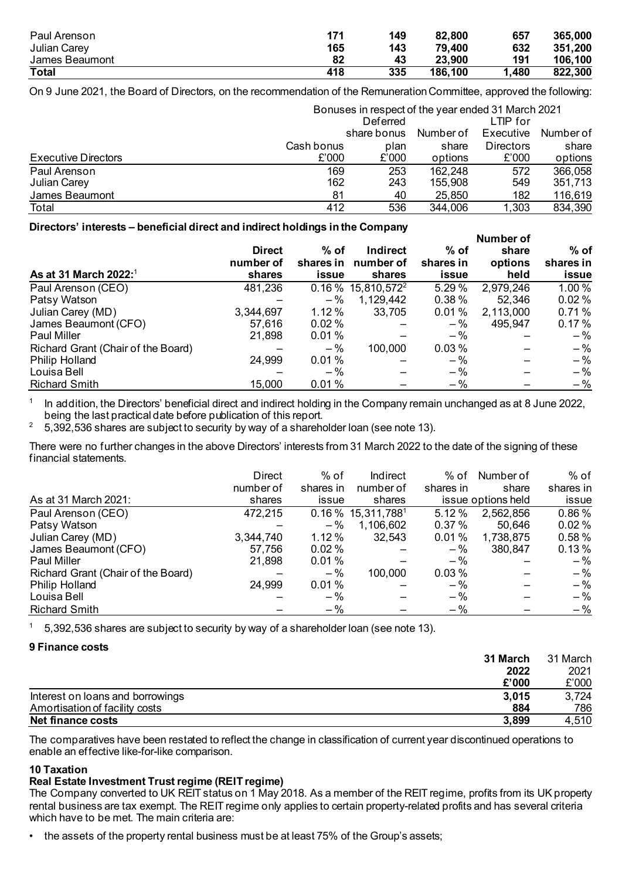| Paul Arenson   | 171 | 149 | 82,800  | 657  | 365,000 |
|----------------|-----|-----|---------|------|---------|
| Julian Carey   | 165 | 143 | 79,400  | 632  | 351,200 |
| James Beaumont | 82  | 43  | 23,900  | 191  | 106,100 |
| <b>Total</b>   | 418 | 335 | 186,100 | ,480 | 822,300 |

On 9 June 2021, the Board of Directors, on the recommendation of the Remuneration Committee, approved the following:

|                            | Bonuses in respect of the year ended 31 March 2021 |             |           |                  |           |
|----------------------------|----------------------------------------------------|-------------|-----------|------------------|-----------|
|                            |                                                    | Deferred    |           | LTIP for         |           |
|                            |                                                    | share bonus | Number of | Executive        | Number of |
|                            | Cash bonus                                         | plan        | share     | <b>Directors</b> | share     |
| <b>Executive Directors</b> | £'000                                              | £'000       | options   | £'000            | options   |
| Paul Arenson               | 169                                                | 253         | 162,248   | 572              | 366,058   |
| Julian Carey               | 162                                                | 243         | 155,908   | 549              | 351,713   |
| James Beaumont             | 81                                                 | 40          | 25,850    | 182              | 116,619   |
| Total                      | 412                                                | 536         | 344,006   | 1,303            | 834,390   |

### **Directors' interests – beneficial direct and indirect holdings in the Company**

|                                    |               |           |                                  |           | Number of |           |
|------------------------------------|---------------|-----------|----------------------------------|-----------|-----------|-----------|
|                                    | <b>Direct</b> | $%$ of    | <b>Indirect</b>                  | $%$ of    | share     | $%$ of    |
|                                    | number of     | shares in | number of                        | shares in | options   | shares in |
| As at 31 March 2022: <sup>1</sup>  | shares        | issue     | shares                           | issue     | held      | issue     |
| Paul Arenson (CEO)                 | 481,236       |           | $0.16\%$ 15,810,572 <sup>2</sup> | 5.29%     | 2,979,246 | 1.00%     |
| Patsy Watson                       |               | $-$ %     | 1,129,442                        | 0.38%     | 52,346    | 0.02%     |
| Julian Carey (MD)                  | 3,344,697     | 1.12%     | 33,705                           | 0.01%     | 2,113,000 | 0.71%     |
| James Beaumont (CFO)               | 57,616        | 0.02%     |                                  | $-$ %     | 495.947   | 0.17%     |
| <b>Paul Miller</b>                 | 21,898        | 0.01%     |                                  | $-$ %     |           | -%        |
| Richard Grant (Chair of the Board) |               | $-$ %     | 100,000                          | 0.03%     |           | -%        |
| Philip Holland                     | 24,999        | 0.01%     |                                  | $-$ %     |           | $-$ %     |
| Louisa Bell                        |               | $-$ %     |                                  | $-$ %     |           | $-$ %     |
| <b>Richard Smith</b>               | 15,000        | 0.01%     |                                  | $-$ %     |           | $-$ %     |

 $1$  In addition, the Directors' beneficial direct and indirect holding in the Company remain unchanged as at 8 June 2022, being the last practical date before publication of this report.

 $2\quad$  5,392,536 shares are subject to security by way of a shareholder loan (see note 13).

There were no further changes in the above Directors' interests from 31 March 2022 to the date of the signing of these financial statements.

|                                    | <b>Direct</b> | % of      | Indirect                         | % of      | Number of          | $%$ of    |
|------------------------------------|---------------|-----------|----------------------------------|-----------|--------------------|-----------|
|                                    | number of     | shares in | number of                        | shares in | share              | shares in |
| As at 31 March 2021:               | shares        | issue     | shares                           |           | issue options held | issue     |
| Paul Arenson (CEO)                 | 472,215       |           | $0.16\%$ 15,311,788 <sup>1</sup> | 5.12%     | 2,562,856          | 0.86%     |
| Patsy Watson                       |               | $-$ %     | 1,106,602                        | 0.37%     | 50.646             | 0.02%     |
| Julian Carey (MD)                  | 3,344,740     | 1.12%     | 32,543                           | 0.01%     | 1,738,875          | 0.58%     |
| James Beaumont (CFO)               | 57,756        | 0.02%     |                                  | $-$ %     | 380,847            | 0.13%     |
| <b>Paul Miller</b>                 | 21,898        | 0.01%     |                                  | $-$ %     |                    | $-$ %     |
| Richard Grant (Chair of the Board) |               | $-$ %     | 100,000                          | 0.03%     |                    | -%        |
| <b>Philip Holland</b>              | 24,999        | 0.01%     |                                  | $-$ %     |                    | -%        |
| Louisa Bell                        |               | $-$ %     |                                  | $-$ %     |                    | -%        |
| <b>Richard Smith</b>               |               | $-$ %     |                                  | $-$ %     |                    | $-$ %     |

 $1 - 5,392,536$  shares are subject to security by way of a shareholder loan (see note 13).

## **9 Finance costs**

|                                  | 31 March | 31 March |
|----------------------------------|----------|----------|
|                                  | 2022     | 2021     |
|                                  | £'000    | £'000    |
| Interest on loans and borrowings | 3,015    | 3,724    |
| Amortisation of facility costs   | 884      | 786      |
| <b>Net finance costs</b>         | 3,899    | 4,510    |

The comparatives have been restated to reflect the change in classification of current year discontinued operations to enable an effective like-for-like comparison.

## **10 Taxation**

#### **Real Estate Investment Trust regime (REIT regime)**

The Company converted to UK REIT status on 1 May 2018. As a member of the REIT regime, profits from its UK property rental business are tax exempt. The REIT regime only applies to certain property-related profits and has several criteria which have to be met. The main criteria are:

• the assets of the property rental business must be at least 75% of the Group's assets;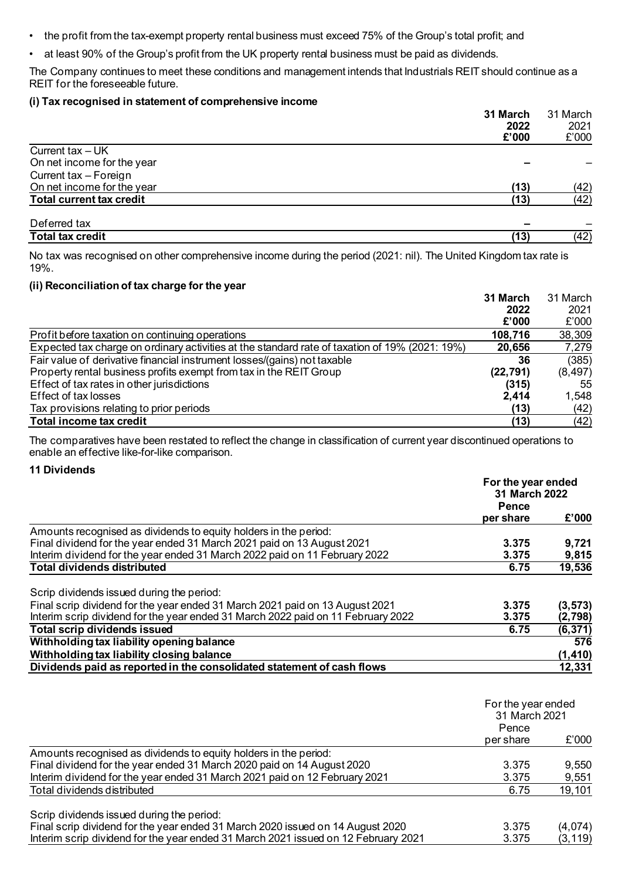- the profit from the tax-exempt property rental business must exceed 75% of the Group's total profit; and
- at least 90% of the Group's profit from the UK property rental business must be paid as dividends.

The Company continues to meet these conditions and management intends that Industrials REIT should continue as a REIT for the foreseeable future.

## **(i) Tax recognised in statement of comprehensive income**

|                                 | 31 March | 31 March |
|---------------------------------|----------|----------|
|                                 | 2022     | 2021     |
|                                 | £'000    | £'000    |
| Current $tax$ – UK              |          |          |
| On net income for the year      |          |          |
| Current tax - Foreign           |          |          |
| On net income for the year      | (13)     | (42)     |
| <b>Total current tax credit</b> | (13)     | (42)     |
| Deferred tax                    |          |          |
| <b>Total tax credit</b>         | (13)     | (42)     |

No tax was recognised on other comprehensive income during the period (2021: nil). The United Kingdom tax rate is 19%.

## **(ii) Reconciliation of tax charge for the year**

|                                                                                                | 31 March  | 31 March |
|------------------------------------------------------------------------------------------------|-----------|----------|
|                                                                                                | 2022      | 2021     |
|                                                                                                | £'000     | £'000    |
| Profit before taxation on continuing operations                                                | 108,716   | 38,309   |
| Expected tax charge on ordinary activities at the standard rate of taxation of 19% (2021: 19%) | 20,656    | 7,279    |
| Fair value of derivative financial instrument losses/(gains) not taxable                       | 36        | (385)    |
| Property rental business profits exempt from tax in the REIT Group                             | (22, 791) | (8, 497) |
| Effect of tax rates in other jurisdictions                                                     | (315)     | 55       |
| Effect of tax losses                                                                           | 2,414     | 1,548    |
| Tax provisions relating to prior periods                                                       | (13)      | (42)     |
| Total income tax credit                                                                        | (13)      | (42)     |

The comparatives have been restated to reflect the change in classification of current year discontinued operations to enable an effective like-for-like comparison.

## **11 Dividends**

|                                                                                  | For the year ended<br>31 March 2022 |                  |
|----------------------------------------------------------------------------------|-------------------------------------|------------------|
|                                                                                  | <b>Pence</b>                        |                  |
|                                                                                  | per share                           | £'000            |
| Amounts recognised as dividends to equity holders in the period:                 |                                     |                  |
| Final dividend for the year ended 31 March 2021 paid on 13 August 2021           | 3.375                               | 9,721            |
| Interim dividend for the year ended 31 March 2022 paid on 11 February 2022       | 3.375                               | 9,815            |
| <b>Total dividends distributed</b>                                               | 6.75                                | 19,536           |
| Scrip dividends issued during the period:                                        |                                     |                  |
| Final scrip dividend for the year ended 31 March 2021 paid on 13 August 2021     | 3.375                               | (3, 573)         |
| Interim scrip dividend for the year ended 31 March 2022 paid on 11 February 2022 | 3.375                               | (2,798)          |
| <b>Total scrip dividends issued</b>                                              | 6.75                                | (6, 371)         |
| Withholding tax liability opening balance                                        |                                     | $\overline{576}$ |
| Withholding tax liability closing balance                                        |                                     | (1, 410)         |
| Dividends paid as reported in the consolidated statement of cash flows           |                                     | 12,331           |
|                                                                                  |                                     |                  |

|                                                                                    |                    | For the year ended<br>31 March 2021 |  |
|------------------------------------------------------------------------------------|--------------------|-------------------------------------|--|
|                                                                                    | Pence<br>per share | £'000                               |  |
| Amounts recognised as dividends to equity holders in the period:                   |                    |                                     |  |
| Final dividend for the year ended 31 March 2020 paid on 14 August 2020             | 3.375              | 9,550                               |  |
| Interim dividend for the year ended 31 March 2021 paid on 12 February 2021         | 3.375              | 9,551                               |  |
| Total dividends distributed                                                        | 6.75               | 19,101                              |  |
| Scrip dividends issued during the period:                                          |                    |                                     |  |
| Final scrip dividend for the year ended 31 March 2020 issued on 14 August 2020     | 3.375              | (4,074)                             |  |
| Interim scrip dividend for the year ended 31 March 2021 issued on 12 February 2021 | 3.375              | (3, 119)                            |  |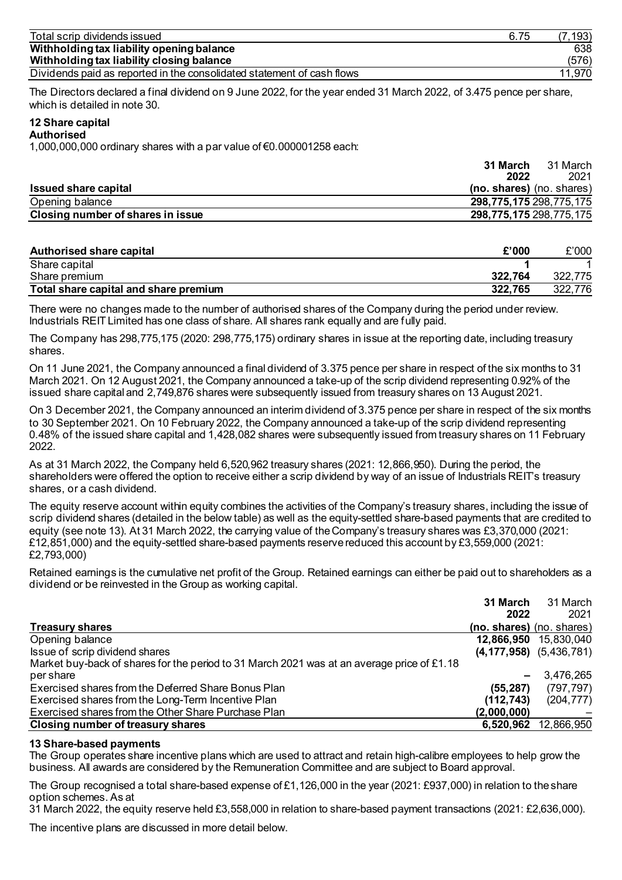| Total scrip dividends issued                                           | 6.75 | 193)  |
|------------------------------------------------------------------------|------|-------|
| Withholding tax liability opening balance                              |      | 638   |
| Withholding tax liability closing balance                              |      | (576) |
| Dividends paid as reported in the consolidated statement of cash flows |      | .970  |

The Directors declared a final dividend on 9 June 2022, for the year ended 31 March 2022, of 3.475 pence per share, which is detailed in note 30.

### **12 Share capital**

**Authorised**

1,000,000,000 ordinary shares with a par value of €0.000001258 each:

| 31 March                          | 31 March                  |
|-----------------------------------|---------------------------|
| 2022                              | 2021                      |
| <b>Issued share capital</b>       | (no. shares) (no. shares) |
| Opening balance                   | 298,775,175 298,775,175   |
| Closing number of shares in issue | 298,775,175 298,775,175   |

| <b>Authorised share capital</b>       | £'000   | £'000   |
|---------------------------------------|---------|---------|
| Share capital                         |         |         |
| Share premium                         | 322,764 | 322,775 |
| Total share capital and share premium | 322.765 | 322,776 |

There were no changes made to the number of authorised shares of the Company during the period under review. Industrials REIT Limited has one class of share. All shares rank equally and are fully paid.

The Company has 298,775,175 (2020: 298,775,175) ordinary shares in issue at the reporting date, including treasury shares.

On 11 June 2021, the Company announced a final dividend of 3.375 pence per share in respect of the six months to 31 March 2021. On 12 August 2021, the Company announced a take-up of the scrip dividend representing 0.92% of the issued share capital and 2,749,876 shares were subsequently issued from treasury shares on 13 August 2021.

On 3 December 2021, the Company announced an interim dividend of 3.375 pence per share in respect of the six months to 30 September 2021. On 10 February 2022, the Company announced a take-up of the scrip dividend representing 0.48% of the issued share capital and 1,428,082 shares were subsequently issued from treasury shares on 11 February 2022.

As at 31 March 2022, the Company held 6,520,962 treasury shares (2021: 12,866,950). During the period, the shareholders were offered the option to receive either a scrip dividend by way of an issue of Industrials REIT's treasury shares, or a cash dividend.

The equity reserve account within equity combines the activities of the Company's treasury shares, including the issue of scrip dividend shares (detailed in the below table) as well as the equity-settled share-based payments that are credited to equity (see note 13). At 31 March 2022, the carrying value of the Company's treasury shares was £3,370,000 (2021: £12,851,000) and the equity-settled share-based payments reserve reduced this account by £3,559,000 (2021: £2,793,000)

Retained earnings is the cumulative net profit of the Group. Retained earnings can either be paid out to shareholders as a dividend or be reinvested in the Group as working capital.

|                                                                                            | 31 March    | 31 March                        |
|--------------------------------------------------------------------------------------------|-------------|---------------------------------|
|                                                                                            | 2022        | 2021                            |
| <b>Treasury shares</b>                                                                     |             | (no. shares) (no. shares)       |
| Opening balance                                                                            |             | 12,866,950 15,830,040           |
| Issue of scrip dividend shares                                                             |             | $(4, 177, 958)$ $(5, 436, 781)$ |
| Market buy-back of shares for the period to 31 March 2021 was at an average price of £1.18 |             |                                 |
| per share                                                                                  |             | 3,476,265                       |
| Exercised shares from the Deferred Share Bonus Plan                                        | (55, 287)   | (797, 797)                      |
| Exercised shares from the Long-Term Incentive Plan                                         | (112, 743)  | (204, 777)                      |
| Exercised shares from the Other Share Purchase Plan                                        | (2,000,000) |                                 |
| Closing number of treasury shares                                                          | 6,520,962   | 12,866,950                      |

#### **13 Share-based payments**

The Group operates share incentive plans which are used to attract and retain high-calibre employees to help grow the business. All awards are considered by the Remuneration Committee and are subject to Board approval.

The Group recognised a total share-based expense of £1,126,000 in the year (2021: £937,000) in relation to the share option schemes. As at

31 March 2022, the equity reserve held £3,558,000 in relation to share-based payment transactions (2021: £2,636,000).

The incentive plans are discussed in more detail below.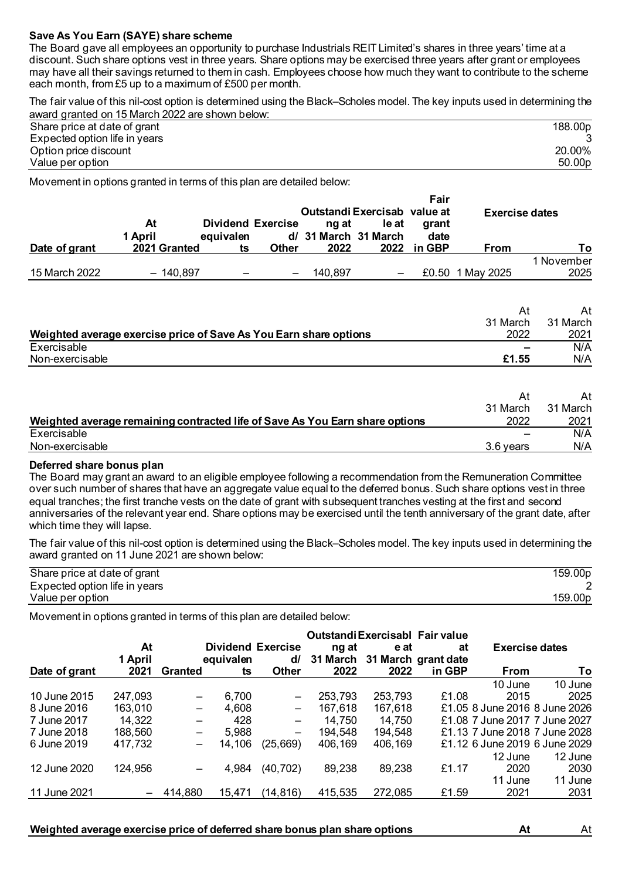## **Save As You Earn (SAYE) share scheme**

The Board gave all employees an opportunity to purchase Industrials REIT Limited's shares in three years' time at a discount. Such share options vest in three years. Share options may be exercised three years after grant or employees may have all their savings returned to them in cash. Employees choose how much they want to contribute to the scheme each month, from £5 up to a maximum of £500 per month.

The fair value of this nil-cost option is determined using the Black–Scholes model. The key inputs used in determining the award granted on 15 March 2022 are shown below:

| Share price at date of grant  | 188.00p            |
|-------------------------------|--------------------|
| Expected option life in years |                    |
| Option price discount         | 20.00%             |
| Value per option              | 50.00 <sub>p</sub> |

Movement in options granted in terms of this plan are detailed below:

| Date of grant |                               |                                             |              | Outstandi Exercisab value at          |               | Fair                    |             | <b>Exercise dates</b> |
|---------------|-------------------------------|---------------------------------------------|--------------|---------------------------------------|---------------|-------------------------|-------------|-----------------------|
|               | At<br>1 April<br>2021 Granted | <b>Dividend Exercise</b><br>equivalen<br>ts | <b>Other</b> | na at<br>d/ 31 March 31 March<br>2022 | le at<br>2022 | grant<br>date<br>in GBP | <b>From</b> | Тο                    |
| 15 March 2022 | $-140,897$                    |                                             |              | 140,897                               |               | £0.50                   | 1 May 2025  | 1 November<br>2025    |

| Αı                                                                        |          |
|---------------------------------------------------------------------------|----------|
| 31 March                                                                  | 31 March |
| 2022<br>Weighted average exercise price of Save As You Earn share options | 2021     |
| Exercisable<br>-                                                          | N/A      |
| Non-exercisable<br>£1.55                                                  | N/A      |

|                                                                              | Αt<br>31 March | At<br>31 March |
|------------------------------------------------------------------------------|----------------|----------------|
| Weighted average remaining contracted life of Save As You Earn share options | 2022           | 2021           |
| Exercisable                                                                  |                | N/A            |
| Non-exercisable                                                              | 3.6 years      | N/A            |

## **Deferred share bonus plan**

The Board may grant an award to an eligible employee following a recommendation from the Remuneration Committee over such number of shares that have an aggregate value equal to the deferred bonus. Such share options vest in three equal tranches; the first tranche vests on the date of grant with subsequent tranches vesting at the first and second anniversaries of the relevant year end. Share options may be exercised until the tenth anniversary of the grant date, after which time they will lapse.

The fair value of this nil-cost option is determined using the Black–Scholes model. The key inputs used in determining the award granted on 11 June 2021 are shown below:

| Share price at date of grant  | 159.00p |
|-------------------------------|---------|
| Expected option life in years |         |
| Value per option              | 159.00p |

Movement in options granted in terms of this plan are detailed below:

|               |         |                          |           |                          | Outstandi Exercisabl Fair value |         |                     |                       |                               |
|---------------|---------|--------------------------|-----------|--------------------------|---------------------------------|---------|---------------------|-----------------------|-------------------------------|
|               | At      |                          |           | <b>Dividend Exercise</b> | ng at                           | e at    | at                  | <b>Exercise dates</b> |                               |
|               | 1 April |                          | equivalen | d/                       | 31 March                        |         | 31 March grant date |                       |                               |
| Date of grant | 2021    | Granted                  | ts        | <b>Other</b>             | 2022                            | 2022    | in GBP              | From                  | To                            |
|               |         |                          |           |                          |                                 |         |                     | 10 June               | 10 June                       |
| 10 June 2015  | 247,093 | $\qquad \qquad -$        | 6,700     | $\qquad \qquad$          | 253,793                         | 253,793 | £1.08               | 2015                  | 2025                          |
| 8 June 2016   | 163,010 | $\qquad \qquad -$        | 4,608     | $\qquad \qquad$          | 167,618                         | 167,618 |                     |                       | £1.05 8 June 2016 8 June 2026 |
| 7 June 2017   | 14,322  | $\qquad \qquad -$        | 428       | $\overline{\phantom{m}}$ | 14,750                          | 14,750  |                     |                       | £1.08 7 June 2017 7 June 2027 |
| 7 June 2018   | 188,560 | $\overline{\phantom{0}}$ | 5,988     | $\qquad \qquad -$        | 194,548                         | 194,548 |                     |                       | £1.13 7 June 2018 7 June 2028 |
| 6 June 2019   | 417,732 | $\qquad \qquad -$        | 14,106    | (25, 669)                | 406,169                         | 406,169 |                     |                       | £1.12 6 June 2019 6 June 2029 |
|               |         |                          |           |                          |                                 |         |                     | 12 June               | 12 June                       |
| 12 June 2020  | 124,956 | $\qquad \qquad -$        | 4,984     | (40, 702)                | 89,238                          | 89,238  | £1.17               | 2020                  | 2030                          |
|               |         |                          |           |                          |                                 |         |                     | 11 June               | 11 June                       |
| 11 June 2021  |         | 414,880                  | 15,471    | (14,816)                 | 415,535                         | 272,085 | £1.59               | 2021                  | 2031                          |

## **Weighted average exercise price of deferred share bonus plan share options At** At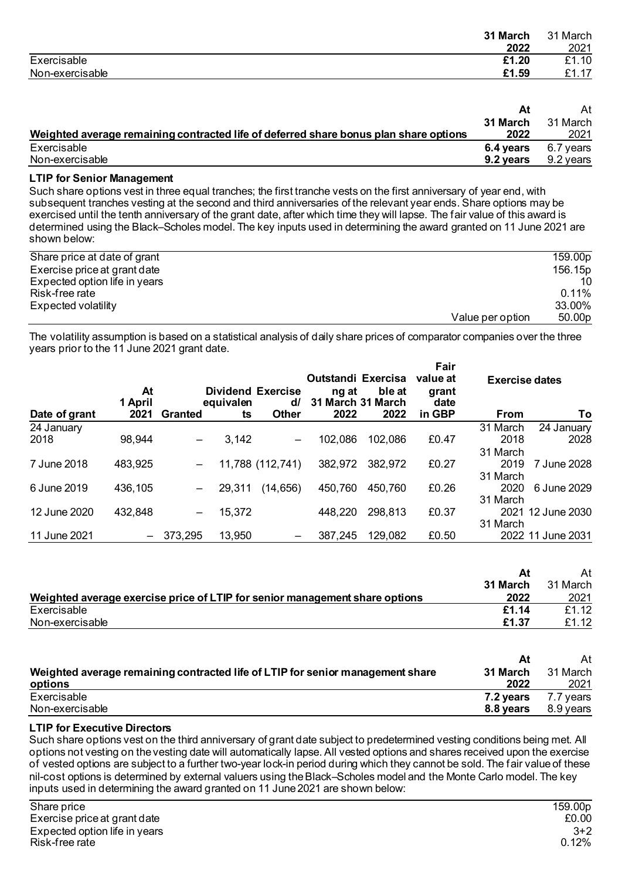| 31 March                 | 31 March                |
|--------------------------|-------------------------|
| 2022                     | 2021                    |
| £1.20<br>Exercisable     | . 10<br>ົາ              |
| £1.59<br>Non-exercisable | $-47$<br>⌒ィ<br><u>.</u> |

|                                                                                       | At        | At        |
|---------------------------------------------------------------------------------------|-----------|-----------|
|                                                                                       | 31 March  | 31 March  |
| Weighted average remaining contracted life of deferred share bonus plan share options | 2022      | 2021      |
| Exercisable                                                                           | 6.4 vears | 6.7 vears |
| Non-exercisable                                                                       | 9.2 vears | 9.2 vears |

### **LTIP for Senior Management**

Such share options vest in three equal tranches; the first tranche vests on the first anniversary of year end, with subsequent tranches vesting at the second and third anniversaries of the relevant year ends. Share options may be exercised until the tenth anniversary of the grant date, after which time they will lapse. The fair value of this award is determined using the Black–Scholes model. The key inputs used in determining the award granted on 11 June 2021 are shown below:

| Share price at date of grant  |                  | 159.00p |
|-------------------------------|------------------|---------|
| Exercise price at grant date  |                  | 156.15p |
| Expected option life in years |                  | 10      |
| Risk-free rate                |                  | 0.11%   |
| Expected volatility           |                  | 33.00%  |
|                               | Value per option | 50.00p  |

The volatility assumption is based on a statistical analysis of daily share prices of comparator companies over the three years prior to the 11 June 2021 grant date.

|                    | At<br>1 April |                          | equivalen | <b>Dividend Exercise</b><br>d/ | <b>Outstandi Exercisa</b><br>ng at<br>31 March 31 March | ble at  | Fair<br>value at<br>grant<br>date | <b>Exercise dates</b> |                    |
|--------------------|---------------|--------------------------|-----------|--------------------------------|---------------------------------------------------------|---------|-----------------------------------|-----------------------|--------------------|
| Date of grant      | 2021          | <b>Granted</b>           | ts        | <b>Other</b>                   | 2022                                                    | 2022    | in GBP                            | <b>From</b>           | To                 |
| 24 January<br>2018 | 98,944        | $\qquad \qquad -$        | 3,142     | $\overline{\phantom{0}}$       | 102,086                                                 | 102,086 | £0.47                             | 31 March<br>2018      | 24 January<br>2028 |
|                    |               |                          |           |                                |                                                         |         |                                   | 31 March              |                    |
| 7 June 2018        | 483,925       |                          |           | 11,788 (112,741)               | 382,972                                                 | 382,972 | £0.27                             | 2019                  | 7 June 2028        |
|                    |               |                          |           |                                |                                                         |         |                                   | 31 March              |                    |
| 6 June 2019        | 436,105       |                          | 29,311    | (14, 656)                      | 450,760                                                 | 450,760 | £0.26                             | 2020                  | 6 June 2029        |
|                    |               |                          |           |                                |                                                         |         |                                   | 31 March              |                    |
| 12 June 2020       | 432,848       | $\overline{\phantom{0}}$ | 15,372    |                                | 448,220                                                 | 298,813 | £0.37                             |                       | 2021 12 June 2030  |
|                    |               |                          |           |                                |                                                         |         |                                   | 31 March              |                    |
| 11 June 2021       |               | 373,295                  | 13,950    | -                              | 387,245                                                 | 129,082 | £0.50                             |                       | 2022 11 June 2031  |

|                                                                             | 31 March | 31 March |
|-----------------------------------------------------------------------------|----------|----------|
| Weighted average exercise price of LTIP for senior management share options | 2022     | 2021     |
| Exercisable                                                                 | £1.14    | £1.12    |
| Non-exercisable                                                             | £1.37    | £1.12    |

|                                                                                | At        | At        |
|--------------------------------------------------------------------------------|-----------|-----------|
| Weighted average remaining contracted life of LTIP for senior management share | 31 March  | 31 March  |
| options                                                                        | 2022      | 2021      |
| Exercisable                                                                    | 7.2 vears | 7.7 vears |
| Non-exercisable                                                                | 8.8 years | 8.9 years |

## **LTIP for Executive Directors**

Such share options vest on the third anniversary of grant date subject to predetermined vesting conditions being met. All options not vesting on the vesting date will automatically lapse. All vested options and shares received upon the exercise of vested options are subject to a further two-year lock-in period during which they cannot be sold. The fair value of these nil-cost options is determined by external valuers using the Black–Scholes model and the Monte Carlo model. The key inputs used in determining the award granted on 11 June 2021 are shown below:

Share price that the state of the state of the state of the state of the state of the state of the state of the state of the state of the state of the state of the state of the state of the state of the state of the state Exercise price at grant date  $\begin{array}{c} 2,3+2 \end{array}$ Expected option life in years 3+2<br>Risk-free rate 6.0 to 20% and 20% and 30% and 30% and 30% and 30% and 30% and 30% and 30% and 30% and 30% and 3 Risk-free rate 0.12%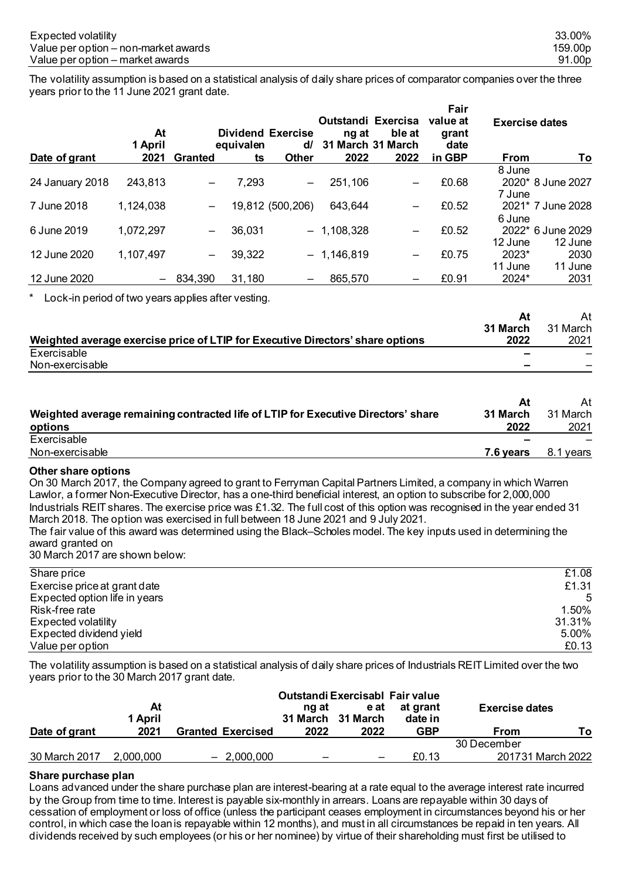The volatility assumption is based on a statistical analysis of daily share prices of comparator companies over the three years prior to the 11 June 2021 grant date.

| Date of grant   | At<br>1 April<br>2021    | <b>Granted</b>           | <b>Dividend Exercise</b><br>equivalen<br>ts | d/<br><b>Other</b> | <b>Outstandi Exercisa</b><br>ng at<br>2022 | ble at<br>31 March 31 March<br>2022 | Fair<br>value at<br>grant<br>date<br>in GBP | <b>Exercise dates</b><br><b>From</b> | Τo                |
|-----------------|--------------------------|--------------------------|---------------------------------------------|--------------------|--------------------------------------------|-------------------------------------|---------------------------------------------|--------------------------------------|-------------------|
|                 |                          |                          |                                             |                    |                                            |                                     |                                             | 8 June                               |                   |
| 24 January 2018 | 243,813                  | —                        | 7,293                                       | $\qquad \qquad -$  | 251,106                                    | $\overline{\phantom{0}}$            | £0.68                                       |                                      | 2020* 8 June 2027 |
|                 |                          |                          |                                             |                    |                                            |                                     |                                             | 7 June                               |                   |
| 7 June 2018     | 1,124,038                |                          |                                             | 19,812 (500,206)   | 643,644                                    | —                                   | £0.52                                       |                                      | 2021* 7 June 2028 |
|                 |                          |                          |                                             |                    |                                            |                                     |                                             | 6 June                               |                   |
| 6 June 2019     | 1,072,297                | —                        | 36,031                                      |                    | $-1,108,328$                               | —                                   | £0.52                                       |                                      | 2022* 6 June 2029 |
|                 |                          |                          |                                             |                    |                                            |                                     |                                             | 12 June                              | 12 June           |
| 12 June 2020    | 1,107,497                | $\overline{\phantom{m}}$ | 39,322                                      |                    | $-1,146,819$                               | —                                   | £0.75                                       | 2023*                                | 2030              |
|                 |                          |                          |                                             |                    |                                            |                                     |                                             | 11 June                              | 11 June           |
| 12 June 2020    | $\overline{\phantom{0}}$ | 834,390                  | 31,180                                      |                    | 865,570                                    |                                     | £0.91                                       | 2024*                                | 2031              |

\* Lock-in period of two years applies after vesting.

| Weighted average exercise price of LTIP for Executive Directors' share options | 31 March<br>2022 | 31 March<br>2021 |
|--------------------------------------------------------------------------------|------------------|------------------|
| Exercisable<br>Non-exercisable                                                 | -<br>$\sim$      |                  |

| At<br>Weighted average remaining contracted life of LTIP for Executive Directors' share<br>31 March<br>2022<br>options | At<br>31 March<br>2021 |
|------------------------------------------------------------------------------------------------------------------------|------------------------|
| Exercisable<br>-                                                                                                       |                        |
| Non-exercisable<br>7.6 vears                                                                                           | 8.1 vears              |

### **Other share options**

On 30 March 2017, the Company agreed to grant to Ferryman Capital Partners Limited, a company in which Warren Lawlor, a former Non-Executive Director, has a one-third beneficial interest, an option to subscribe for 2,000,000 Industrials REIT shares. The exercise price was £1.32. The full cost of this option was recognised in the year ended 31 March 2018. The option was exercised in full between 18 June 2021 and 9 July 2021.

The fair value of this award was determined using the Black–Scholes model. The key inputs used in determining the award granted on

30 March 2017 are shown below:

| Share price                   | £1.08  |
|-------------------------------|--------|
| Exercise price at grant date  | £1.31  |
| Expected option life in years | 5      |
| Risk-free rate                | 1.50%  |
| Expected volatility           | 31.31% |
| Expected dividend yield       | 5.00%  |
| Value per option              | £0.13  |

The volatility assumption is based on a statistical analysis of daily share prices of Industrials REIT Limited over the two years prior to the 30 March 2017 grant date.

|               |               |                          |                            | Outstandi Exercisabl Fair value |                     |                       |    |
|---------------|---------------|--------------------------|----------------------------|---------------------------------|---------------------|-----------------------|----|
|               | At<br>1 April |                          | ng at<br>31 March 31 March | e at                            | at grant<br>date in | <b>Exercise dates</b> |    |
| Date of grant | 2021          | <b>Granted Exercised</b> | 2022                       | 2022                            | <b>GBP</b>          | From                  | Тο |
|               |               |                          |                            |                                 |                     | 30 December           |    |
| 30 March 2017 | 2.000.000     | $-2,000,000$             |                            | $\qquad \qquad$                 | £0.13               | 201731 March 2022     |    |

## **Share purchase plan**

Loans advanced under the share purchase plan are interest-bearing at a rate equal to the average interest rate incurred by the Group from time to time. Interest is payable six-monthly in arrears. Loans are repayable within 30 days of cessation of employment or loss of office (unless the participant ceases employment in circumstances beyond his or her control, in which case the loan is repayable within 12 months), and must in all circumstances be repaid in ten years. All dividends received by such employees (or his or her nominee) by virtue of their shareholding must first be utilised to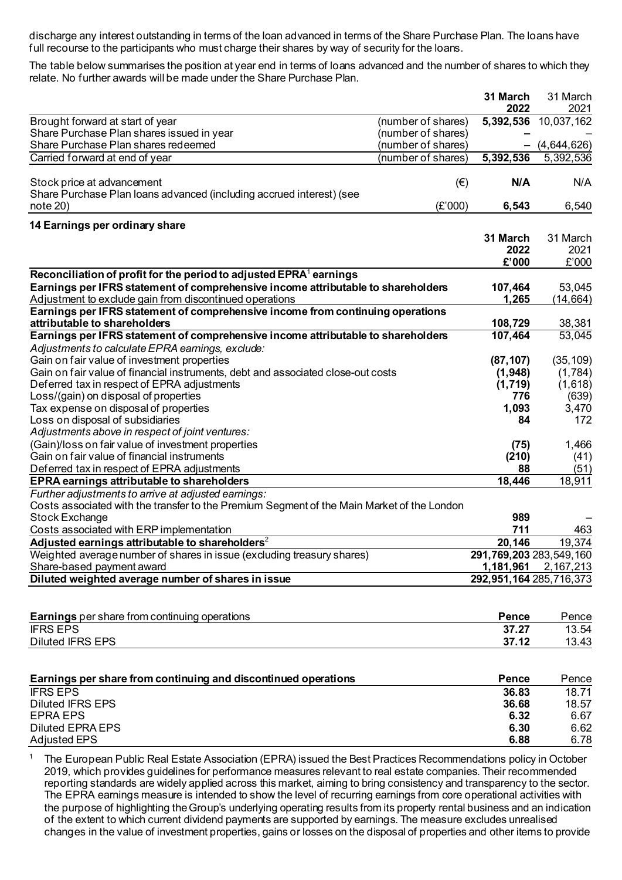discharge any interest outstanding in terms of the loan advanced in terms of the Share Purchase Plan. The loans have full recourse to the participants who must charge their shares by way of security for the loans.

The table below summarises the position at year end in terms of loans advanced and the number of shares to which they relate. No further awards will be made under the Share Purchase Plan.

|                                                                                                                                                   |                    | 31 March<br>2022                     | 31 March<br>2021 |
|---------------------------------------------------------------------------------------------------------------------------------------------------|--------------------|--------------------------------------|------------------|
| Brought forward at start of year                                                                                                                  | (number of shares) | 5,392,536                            | 10,037,162       |
| Share Purchase Plan shares issued in year                                                                                                         | (number of shares) |                                      |                  |
| Share Purchase Plan shares redeemed                                                                                                               | (number of shares) |                                      | (4,644,626)      |
| Carried forward at end of year                                                                                                                    | (number of shares) | 5,392,536                            | 5,392,536        |
| Stock price at advancement<br>Share Purchase Plan loans advanced (including accrued interest) (see                                                | $(\epsilon)$       | N/A                                  | N/A              |
| note 20)                                                                                                                                          | (E'000)            | 6,543                                | 6,540            |
| 14 Earnings per ordinary share                                                                                                                    |                    |                                      |                  |
|                                                                                                                                                   |                    | 31 March                             | 31 March         |
|                                                                                                                                                   |                    | 2022<br>£'000                        | 2021<br>£'000    |
| Reconciliation of profit for the period to adjusted EPRA <sup>1</sup> earnings                                                                    |                    |                                      |                  |
| Earnings per IFRS statement of comprehensive income attributable to shareholders                                                                  |                    | 107,464                              | 53,045           |
| Adjustment to exclude gain from discontinued operations                                                                                           |                    | 1,265                                | (14, 664)        |
| Earnings per IFRS statement of comprehensive income from continuing operations                                                                    |                    |                                      |                  |
| attributable to shareholders                                                                                                                      |                    | 108,729                              | 38,381           |
| Earnings per IFRS statement of comprehensive income attributable to shareholders<br>Adjustments to calculate EPRA earnings, exclude:              |                    | 107,464                              | 53,045           |
| Gain on fair value of investment properties                                                                                                       |                    | (87, 107)                            | (35, 109)        |
| Gain on fair value of financial instruments, debt and associated close-out costs                                                                  |                    | (1,948)                              | (1,784)          |
| Deferred tax in respect of EPRA adjustments                                                                                                       |                    | (1, 719)                             | (1,618)          |
| Loss/(gain) on disposal of properties                                                                                                             |                    | 776                                  | (639)            |
| Tax expense on disposal of properties                                                                                                             |                    | 1,093                                | 3,470            |
| Loss on disposal of subsidiaries                                                                                                                  |                    | 84                                   | 172              |
| Adjustments above in respect of joint ventures:                                                                                                   |                    |                                      |                  |
| (Gain)/loss on fair value of investment properties                                                                                                |                    | (75)                                 | 1,466            |
| Gain on fair value of financial instruments                                                                                                       |                    | (210)                                | (41)             |
| Deferred tax in respect of EPRA adjustments                                                                                                       |                    | 88                                   | (51)             |
| <b>EPRA earnings attributable to shareholders</b>                                                                                                 |                    | 18,446                               | 18,911           |
| Further adjustments to arrive at adjusted earnings:<br>Costs associated with the transfer to the Premium Segment of the Main Market of the London |                    |                                      |                  |
| Stock Exchange                                                                                                                                    |                    | 989                                  |                  |
| Costs associated with ERP implementation                                                                                                          |                    | 711                                  | 463              |
| Adjusted earnings attributable to shareholders <sup>2</sup>                                                                                       |                    | 20,146                               | 19,374           |
| Weighted average number of shares in issue (excluding treasury shares)                                                                            |                    | 291,769,203 283,549,160<br>1,181,961 |                  |
| Share-based payment award<br>Diluted weighted average number of shares in issue                                                                   |                    | 292,951,164 285,716,373              | 2, 167, 213      |
|                                                                                                                                                   |                    |                                      |                  |
| <b>Earnings</b> per share from continuing operations                                                                                              |                    | Pence                                | Pence            |
| <b>IFRS EPS</b>                                                                                                                                   |                    | 37.27                                | 13.54            |
| <b>Diluted IFRS EPS</b>                                                                                                                           |                    | 37.12                                | 13.43            |
|                                                                                                                                                   |                    |                                      |                  |
| Earnings per share from continuing and discontinued operations                                                                                    |                    | <b>Pence</b>                         | Pence            |
| <b>IFRS EPS</b>                                                                                                                                   |                    | 36.83                                | 18.71            |
| <b>Diluted IFRS EPS</b>                                                                                                                           |                    | 36.68                                | 18.57            |
| <b>EPRA EPS</b>                                                                                                                                   |                    | 6.32                                 | 6.67             |
| <b>Diluted EPRA EPS</b>                                                                                                                           |                    | 6.30                                 | 6.62             |
| <b>Adjusted EPS</b>                                                                                                                               |                    | 6.88                                 | 6.78             |
| The European Public Real Estate Association (EPRA) issued the Best Practices Recommendations policy in October                                    |                    |                                      |                  |

2019, which provides guidelines for performance measures relevant to real estate companies. Their recommended reporting standards are widely applied across this market, aiming to bring consistency and transparency to the sector. The EPRA earnings measure is intended to show the level of recurring earnings from core operational activities with the purpose of highlighting the Group's underlying operating results from its property rental business and an indication of the extent to which current dividend payments are supported by earnings. The measure excludes unrealised changes in the value of investment properties, gains or losses on the disposal of properties and other items to provide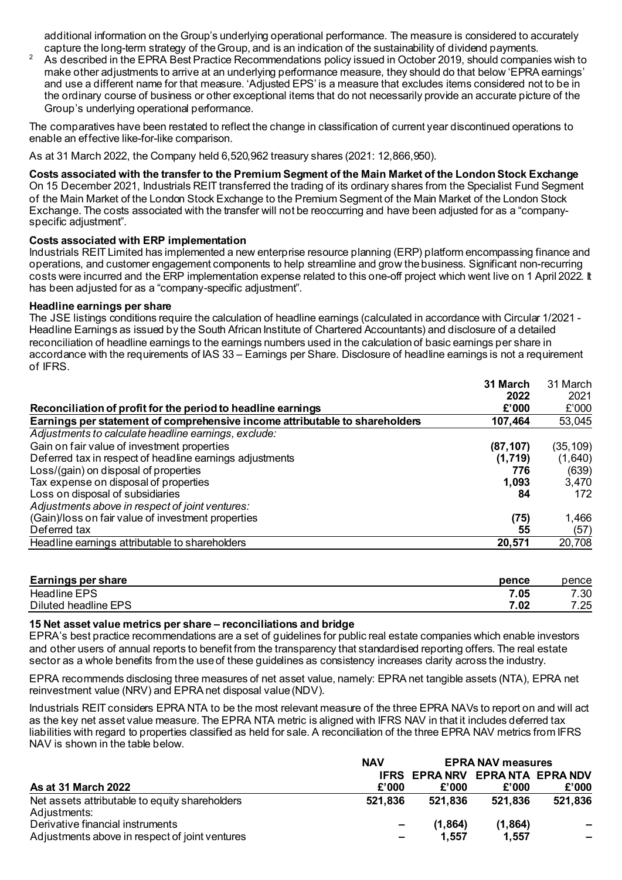additional information on the Group's underlying operational performance. The measure is considered to accurately capture the long-term strategy of the Group, and is an indication of the sustainability of dividend payments.

<sup>2</sup> As described in the EPRA Best Practice Recommendations policy issued in October 2019, should companies wish to make other adjustments to arrive at an underlying performance measure, they should do that below 'EPRA earnings' and use a different name for that measure. 'Adjusted EPS' is a measure that excludes items considered not to be in the ordinary course of business or other exceptional items that do not necessarily provide an accurate picture of the Group's underlying operational performance.

The comparatives have been restated to reflect the change in classification of current year discontinued operations to enable an effective like-for-like comparison.

As at 31 March 2022, the Company held 6,520,962 treasury shares (2021: 12,866,950).

**Costs associated with the transfer to the Premium Segment of the Main Market of the London Stock Exchange** On 15 December 2021, Industrials REIT transferred the trading of its ordinary shares from the Specialist Fund Segment of the Main Market of the London Stock Exchange to the Premium Segment of the Main Market of the London Stock Exchange. The costs associated with the transfer will not be reoccurring and have been adjusted for as a "companyspecific adjustment".

## **Costs associated with ERP implementation**

Industrials REIT Limited has implemented a new enterprise resource planning (ERP) platform encompassing finance and operations, and customer engagement components to help streamline and grow the business. Significant non-recurring costs were incurred and the ERP implementation expense related to this one-off project which went live on 1 April 2022. It has been adjusted for as a "company-specific adjustment".

## **Headline earnings per share**

The JSE listings conditions require the calculation of headline earnings (calculated in accordance with Circular 1/2021 - Headline Earnings as issued by the South African Institute of Chartered Accountants) and disclosure of a detailed reconciliation of headline earnings to the earnings numbers used in the calculation of basic earnings per share in accordance with the requirements of IAS 33 – Earnings per Share. Disclosure of headline earnings is not a requirement of IFRS.

|                                                                             | 31 March  | 31 March |
|-----------------------------------------------------------------------------|-----------|----------|
|                                                                             | 2022      | 2021     |
| Reconciliation of profit for the period to headline earnings                | £'000     | £'000    |
| Earnings per statement of comprehensive income attributable to shareholders | 107,464   | 53,045   |
| Adjustments to calculate headline earnings, exclude:                        |           |          |
| Gain on fair value of investment properties                                 | (87, 107) | (35,109) |
| Deferred tax in respect of headline earnings adjustments                    | (1,719)   | (1,640)  |
| Loss/(gain) on disposal of properties                                       | 776       | (639)    |
| Tax expense on disposal of properties                                       | 1,093     | 3,470    |
| Loss on disposal of subsidiaries                                            | 84        | 172      |
| Adjustments above in respect of joint ventures:                             |           |          |
| (Gain)/loss on fair value of investment properties                          | (75)      | 1,466    |
| Deferred tax                                                                | 55        | (57)     |
| Headline earnings attributable to shareholders                              | 20,571    | 20,708   |

| Earnings per share   | pence | pence |
|----------------------|-------|-------|
| <b>Headline EPS</b>  | 7.05  | 7.30  |
| Diluted headline EPS | 7.02  | 7.25  |

## **15 Net asset value metrics per share – reconciliations and bridge**

EPRA's best practice recommendations are a set of guidelines for public real estate companies which enable investors and other users of annual reports to benefit from the transparency that standardised reporting offers. The real estate sector as a whole benefits from the use of these guidelines as consistency increases clarity across the industry.

EPRA recommends disclosing three measures of net asset value, namely: EPRA net tangible assets (NTA), EPRA net reinvestment value (NRV) and EPRA net disposal value (NDV).

Industrials REIT considers EPRA NTA to be the most relevant measure of the three EPRA NAVs to report on and will act as the key net asset value measure. The EPRA NTA metric is aligned with IFRS NAV in that it includes deferred tax liabilities with regard to properties classified as held for sale. A reconciliation of the three EPRA NAV metrics from IFRS NAV is shown in the table below.

|                                                                | <b>NAV</b>               | <b>EPRA NAV measures</b>            |          |                          |  |
|----------------------------------------------------------------|--------------------------|-------------------------------------|----------|--------------------------|--|
|                                                                |                          | <b>IFRS EPRANRY EPRANTA EPRANDY</b> |          |                          |  |
| <b>As at 31 March 2022</b>                                     | £'000                    | £'000                               | £'000    | £'000                    |  |
| Net assets attributable to equity shareholders<br>Adjustments: | 521.836                  | 521.836                             | 521.836  | 521,836                  |  |
| Derivative financial instruments                               | $\overline{\phantom{a}}$ | (1,864)                             | (1, 864) | $\sim$                   |  |
| Adjustments above in respect of joint ventures                 | $\overline{\phantom{a}}$ | 1.557                               | 1,557    | $\overline{\phantom{a}}$ |  |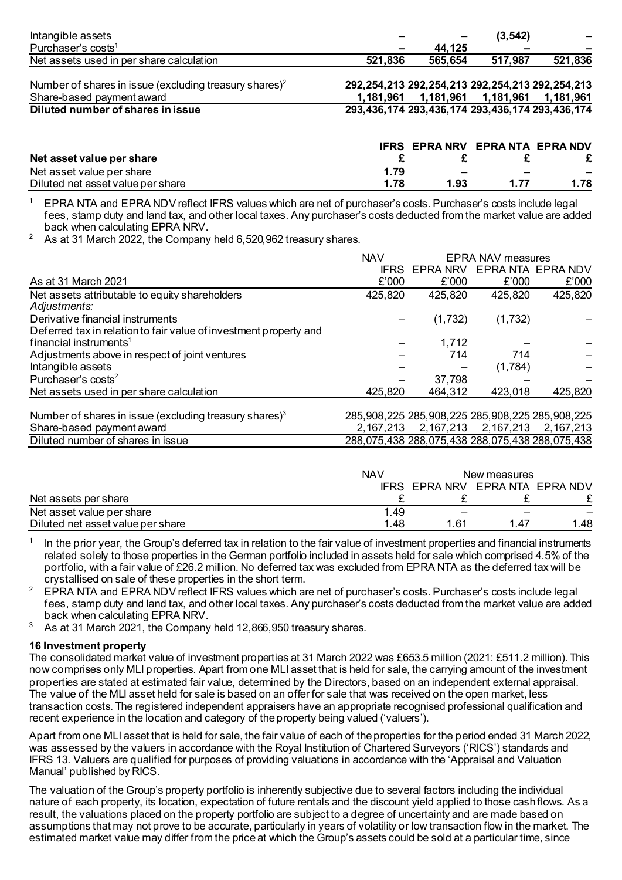| Intangible assets                                                  | -         |           | (3, 542)                                                |           |
|--------------------------------------------------------------------|-----------|-----------|---------------------------------------------------------|-----------|
| Purchaser's $costs1$                                               | -         | 44.125    |                                                         |           |
| Net assets used in per share calculation                           | 521,836   | 565,654   | 517.987                                                 | 521,836   |
| Number of shares in issue (excluding treasury shares) <sup>2</sup> |           |           | 292, 254, 213 292, 254, 213 292, 254, 213 292, 254, 213 |           |
| Share-based payment award                                          | 1.181.961 | 1,181,961 | 1,181,961                                               | 1.181.961 |
| Diluted number of shares in issue                                  |           |           | 293,436,174 293,436,174 293,436,174 293,436,174         |           |
|                                                                    |           |           |                                                         |           |

|                                   |      | <b>IFRS EPRANRY EPRANTA EPRANDY</b> |                          |     |
|-----------------------------------|------|-------------------------------------|--------------------------|-----|
| Net asset value per share         |      |                                     |                          |     |
| Net asset value per share         | 1.79 | $\overline{\phantom{a}}$            | $\overline{\phantom{0}}$ |     |
| Diluted net asset value per share | 1.78 | 1.93                                |                          | .78 |

<sup>1</sup> EPRA NTA and EPRA NDV reflect IFRS values which are net of purchaser's costs. Purchaser's costs include legal fees, stamp duty and land tax, and other local taxes. Any purchaser's costs deducted from the market value are added back when calculating EPRA NRV.

<sup>2</sup> As at 31 March 2022, the Company held 6,520,962 treasury shares.

|                                                                   | <b>NAV</b>                                      |          | <b>EPRA NAV measures</b> |                   |
|-------------------------------------------------------------------|-------------------------------------------------|----------|--------------------------|-------------------|
|                                                                   | <b>IFRS</b>                                     | EPRA NRV |                          | EPRA NTA EPRA NDV |
| As at 31 March 2021                                               | £'000                                           | £'000    | £'000                    | £'000             |
| Net assets attributable to equity shareholders                    | 425,820                                         | 425,820  | 425,820                  | 425,820           |
| Adjustments:                                                      |                                                 |          |                          |                   |
| Derivative financial instruments                                  |                                                 | (1,732)  | (1, 732)                 |                   |
| Deferred tax in relation to fair value of investment property and |                                                 |          |                          |                   |
| financial instruments <sup>1</sup>                                |                                                 | 1,712    |                          |                   |
| Adjustments above in respect of joint ventures                    |                                                 | 714      | 714                      |                   |
| Intangible assets                                                 |                                                 |          | (1,784)                  |                   |
| Purchaser's costs <sup>2</sup>                                    |                                                 | 37,798   |                          |                   |
| Net assets used in per share calculation                          | 425,820                                         | 464,312  | 423,018                  | 425,820           |
|                                                                   |                                                 |          |                          |                   |
| Number of shares in issue (excluding treasury shares) $3$         | 285,908,225 285,908,225 285,908,225 285,908,225 |          |                          |                   |
| Share-based payment award                                         | 2,167,213                                       |          | 2,167,213 2,167,213      | 2,167,213         |
| Diluted number of shares in issue                                 | 288,075,438 288,075,438 288,075,438 288,075,438 |          |                          |                   |

|                                   | <b>NAV</b> |              | New measures      |      |  |
|-----------------------------------|------------|--------------|-------------------|------|--|
|                                   |            | IFRS EPRANRV | EPRA NTA EPRA NDV |      |  |
| Net assets per share              |            |              |                   |      |  |
| Net asset value per share         | 1.49       |              |                   |      |  |
| Diluted net asset value per share | 1.48       | 1.61         | 1 47              | 1.48 |  |

- $1$  In the prior year, the Group's deferred tax in relation to the fair value of investment properties and financial instruments related solely to those properties in the German portfolio included in assets held for sale which comprised 4.5% of the portfolio, with a fair value of £26.2 million. No deferred tax was excluded from EPRA NTA as the deferred tax will be crystallised on sale of these properties in the short term.
- <sup>2</sup> EPRA NTA and EPRA NDV reflect IFRS values which are net of purchaser's costs. Purchaser's costs include legal fees, stamp duty and land tax, and other local taxes. Any purchaser's costs deducted from the market value are added back when calculating EPRA NRV.
- $3$  As at 31 March 2021, the Company held 12,866,950 treasury shares.

## **16 Investment property**

The consolidated market value of investment properties at 31 March 2022 was £653.5 million (2021: £511.2 million). This now comprises only MLI properties. Apart from one MLI asset that is held for sale, the carrying amount of the investment properties are stated at estimated fair value, determined by the Directors, based on an independent external appraisal. The value of the MLI asset held for sale is based on an offer for sale that was received on the open market, less transaction costs. The registered independent appraisers have an appropriate recognised professional qualification and recent experience in the location and category of the property being valued ('valuers').

Apart from one MLI asset that is held for sale, the fair value of each of the properties for the period ended 31 March 2022, was assessed by the valuers in accordance with the Royal Institution of Chartered Surveyors ('RICS') standards and IFRS 13. Valuers are qualified for purposes of providing valuations in accordance with the 'Appraisal and Valuation Manual' published by RICS.

The valuation of the Group's property portfolio is inherently subjective due to several factors including the individual nature of each property, its location, expectation of future rentals and the discount yield applied to those cash flows. As a result, the valuations placed on the property portfolio are subject to a degree of uncertainty and are made based on assumptions that may not prove to be accurate, particularly in years of volatility or low transaction flow in the market. The estimated market value may differ from the price at which the Group's assets could be sold at a particular time, since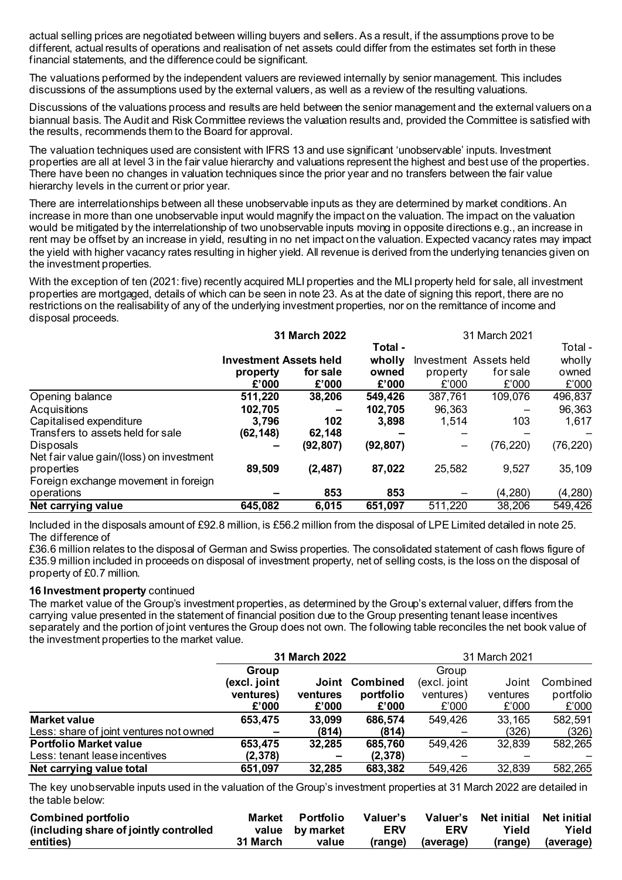actual selling prices are negotiated between willing buyers and sellers. As a result, if the assumptions prove to be different, actual results of operations and realisation of net assets could differ from the estimates set forth in these financial statements, and the difference could be significant.

The valuations performed by the independent valuers are reviewed internally by senior management. This includes discussions of the assumptions used by the external valuers, as well as a review of the resulting valuations.

Discussions of the valuations process and results are held between the senior management and the external valuers on a biannual basis. The Audit and Risk Committee reviews the valuation results and, provided the Committee is satisfied with the results, recommends them to the Board for approval.

The valuation techniques used are consistent with IFRS 13 and use significant 'unobservable' inputs. Investment properties are all at level 3 in the fair value hierarchy and valuations represent the highest and best use of the properties. There have been no changes in valuation techniques since the prior year and no transfers between the fair value hierarchy levels in the current or prior year.

There are interrelationships between all these unobservable inputs as they are determined by market conditions. An increase in more than one unobservable input would magnify the impact on the valuation. The impact on the valuation would be mitigated by the interrelationship of two unobservable inputs moving in opposite directions e.g., an increase in rent may be offset by an increase in yield, resulting in no net impact on the valuation. Expected vacancy rates may impact the yield with higher vacancy rates resulting in higher yield. All revenue is derived from the underlying tenancies given on the investment properties.

With the exception of ten (2021: five) recently acquired MLI properties and the MLI property held for sale, all investment properties are mortgaged, details of which can be seen in note 23. As at the date of signing this report, there are no restrictions on the realisability of any of the underlying investment properties, nor on the remittance of income and disposal proceeds.

|                                          | 31 March 2022                 |           |           | 31 March 2021 |                        |           |
|------------------------------------------|-------------------------------|-----------|-----------|---------------|------------------------|-----------|
|                                          |                               |           | Total -   |               |                        | Total -   |
|                                          | <b>Investment Assets held</b> |           | wholly    |               | Investment Assets held | wholly    |
|                                          | property                      | for sale  | owned     | property      | for sale               | owned     |
|                                          | £'000                         | £'000     | £'000     | £'000         | £'000                  | £'000     |
| Opening balance                          | 511,220                       | 38,206    | 549,426   | 387,761       | 109,076                | 496,837   |
| Acquisitions                             | 102,705                       | -         | 102,705   | 96,363        |                        | 96,363    |
| Capitalised expenditure                  | 3.796                         | 102       | 3,898     | 1.514         | 103                    | 1,617     |
| Transfers to assets held for sale        | (62,148)                      | 62,148    |           |               |                        |           |
| <b>Disposals</b>                         |                               | (92, 807) | (92, 807) |               | (76, 220)              | (76, 220) |
| Net fair value gain/(loss) on investment |                               |           |           |               |                        |           |
| properties                               | 89,509                        | (2, 487)  | 87,022    | 25,582        | 9,527                  | 35,109    |
| Foreign exchange movement in foreign     |                               |           |           |               |                        |           |
| operations                               |                               | 853       | 853       |               | (4, 280)               | (4, 280)  |
| Net carrying value                       | 645,082                       | 6,015     | 651,097   | 511,220       | 38,206                 | 549,426   |

Included in the disposals amount of £92.8 million, is £56.2 million from the disposal of LPE Limited detailed in note 25. The difference of

£36.6 million relates to the disposal of German and Swiss properties. The consolidated statement of cash flows figure of £35.9 million included in proceeds on disposal of investment property, net of selling costs, is the loss on the disposal of property of £0.7 million.

## **16 Investment property** continued

The market value of the Group's investment properties, as determined by the Group's external valuer, differs from the carrying value presented in the statement of financial position due to the Group presenting tenant lease incentives separately and the portion of joint ventures the Group does not own. The following table reconciles the net book value of the investment properties to the market value.

|                                         | <b>31 March 2022</b>     |          |                | 31 March 2021 |          |           |
|-----------------------------------------|--------------------------|----------|----------------|---------------|----------|-----------|
|                                         | Group                    |          |                | Group         |          |           |
|                                         | (excl. joint             |          | Joint Combined | (excl. joint  | Joint    | Combined  |
|                                         | ventures)                | ventures | portfolio      | ventures)     | ventures | portfolio |
|                                         | £'000                    | £'000    | £'000          | £'000         | £'000    | £'000     |
| <b>Market value</b>                     | 653,475                  | 33,099   | 686,574        | 549,426       | 33,165   | 582,591   |
| Less: share of joint ventures not owned | $\overline{\phantom{0}}$ | (814)    | (814)          |               | (326)    | (326)     |
| <b>Portfolio Market value</b>           | 653,475                  | 32,285   | 685,760        | 549,426       | 32,839   | 582,265   |
| Less: tenant lease incentives           | (2,378)                  |          | (2,378)        |               |          |           |
| Net carrying value total                | 651,097                  | 32,285   | 683,382        | 549,426       | 32,839   | 582,265   |

The key unobservable inputs used in the valuation of the Group's investment properties at 31 March 2022 are detailed in the table below:

| <b>Combined portfolio</b>              | Market   | <b>Portfolio</b> | Valuer's   |            | Valuer's Net initial Net initial |           |
|----------------------------------------|----------|------------------|------------|------------|----------------------------------|-----------|
| (including share of jointly controlled |          | value by market  | <b>ERV</b> | <b>ERV</b> | Yield                            | Yield     |
| entities)                              | 31 March | value            | (range)    | (average)  | (range)                          | (average) |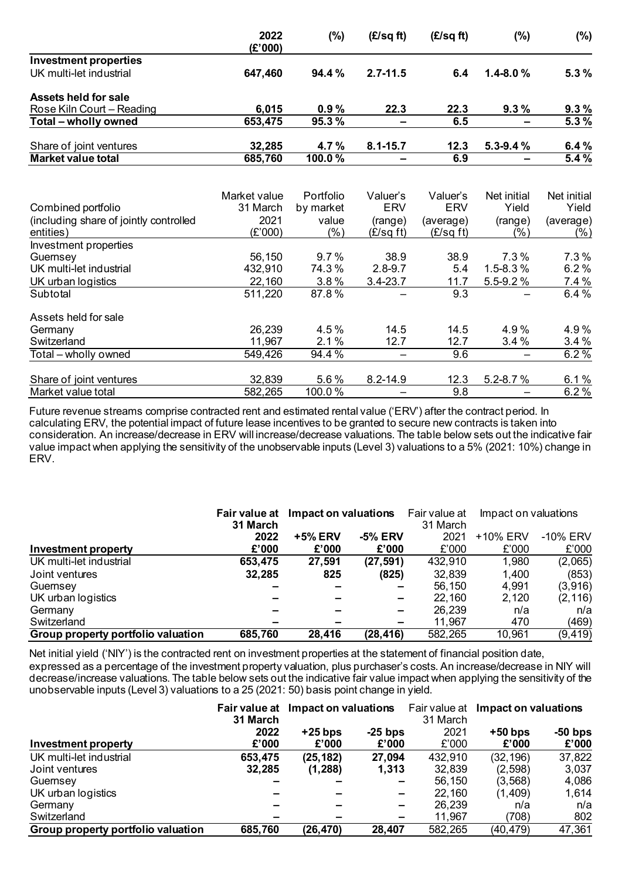|                                        | 2022<br>(E'000) | $(\%)$    | $(E/\text{sq }ft)$ | $(E/\text{sq }ft)$ | $(\%)$                   | $(\%)$            |
|----------------------------------------|-----------------|-----------|--------------------|--------------------|--------------------------|-------------------|
| <b>Investment properties</b>           |                 |           |                    |                    |                          |                   |
| UK multi-let industrial                | 647,460         | 94.4%     | $2.7 - 11.5$       | 6.4                | $1.4 - 8.0%$             | 5.3%              |
| Assets held for sale                   |                 |           |                    |                    |                          |                   |
| Rose Kiln Court - Reading              | 6,015           | 0.9%      | 22.3               | 22.3               | 9.3%                     | $9.3\%$           |
| Total - wholly owned                   | 653,475         | 95.3%     | -                  | 6.5                |                          | 5.3%              |
| Share of joint ventures                | 32,285          | 4.7%      | $8.1 - 15.7$       | 12.3               | $5.3 - 9.4%$             | 6.4%              |
| <b>Market value total</b>              | 685,760         | 100.0%    | -                  | 6.9                |                          | $\frac{1}{5.4\%}$ |
|                                        |                 |           |                    |                    |                          |                   |
|                                        | Market value    | Portfolio | Valuer's           | Valuer's           | Net initial              | Net initial       |
| Combined portfolio                     | 31 March        | by market | <b>ERV</b>         | <b>ERV</b>         | Yield                    | Yield             |
| (including share of jointly controlled | 2021            | value     | (range)            | (average)          | (range)                  | (average)         |
| entities)                              | (E'000)         | (% )      | $(E/\text{sq ft})$ | $(E/\text{sq }ft)$ | (%)                      | (%)               |
| Investment properties                  |                 |           |                    |                    |                          |                   |
| Guernsey                               | 56,150          | 9.7%      | 38.9               | 38.9               | 7.3%                     | 7.3%              |
| UK multi-let industrial                | 432,910         | 74.3%     | $2.8 - 9.7$        | 5.4                | 1.5-8.3%                 | 6.2%              |
| UK urban logistics                     | 22,160          | 3.8%      | $3.4 - 23.7$       | 11.7               | $5.5 - 9.2%$             | 7.4 %             |
| Subtotal                               | 511,220         | 87.8%     |                    | 9.3                |                          | $6.4\%$           |
| Assets held for sale                   |                 |           |                    |                    |                          |                   |
| Germany                                | 26,239          | 4.5%      | 14.5               | 14.5               | 4.9%                     | 4.9%              |
| Switzerland                            | 11,967          | 2.1%      | 12.7               | 12.7               | 3.4%                     | 3.4%              |
| Total - wholly owned                   | 549,426         | 94.4 %    | $\qquad \qquad -$  | 9.6                | $\overline{\phantom{0}}$ | $6.2\%$           |
| Share of joint ventures                | 32,839          | 5.6%      | $8.2 - 14.9$       | 12.3               | $5.2 - 8.7 %$            | 6.1%              |
| Market value total                     | 582,265         | 100.0%    |                    | 9.8                |                          | 6.2%              |

Future revenue streams comprise contracted rent and estimated rental value ('ERV') after the contract period. In calculating ERV, the potential impact of future lease incentives to be granted to secure new contracts is taken into consideration. An increase/decrease in ERV will increase/decrease valuations. The table below sets out the indicative fair value impact when applying the sensitivity of the unobservable inputs (Level 3) valuations to a 5% (2021: 10%) change in ERV.

|                                    |          | Fair value at Impact on valuations |           | Fair value at | Impact on valuations |          |
|------------------------------------|----------|------------------------------------|-----------|---------------|----------------------|----------|
|                                    | 31 March |                                    |           | 31 March      |                      |          |
|                                    | 2022     | +5% ERV                            | -5% ERV   | 2021          | +10% ERV             | -10% ERV |
| <b>Investment property</b>         | £'000    | £'000                              | £'000     | £'000         | £'000                | £'000    |
| UK multi-let industrial            | 653,475  | 27,591                             | (27, 591) | 432,910       | 1,980                | (2,065)  |
| Joint ventures                     | 32,285   | 825                                | (825)     | 32,839        | 1,400                | (853)    |
| Guernsey                           |          |                                    |           | 56.150        | 4,991                | (3,916)  |
| UK urban logistics                 |          |                                    | -         | 22,160        | 2,120                | (2, 116) |
| Germany                            |          |                                    | -         | 26,239        | n/a                  | n/a      |
| Switzerland                        |          |                                    |           | 11,967        | 470                  | (469)    |
| Group property portfolio valuation | 685,760  | 28,416                             | (28, 416) | 582,265       | 10,961               | (9, 419) |

Net initial yield ('NIY') is the contracted rent on investment properties at the statement of financial position date, expressed as a percentage of the investment property valuation, plus purchaser's costs. An increase/decrease in NIY will decrease/increase valuations. The table below sets out the indicative fair value impact when applying the sensitivity of the unobservable inputs (Level 3) valuations to a 25 (2021: 50) basis point change in yield.

|                                    | Fair value at | Impact on valuations |                          | Fair value at | Impact on valuations |           |
|------------------------------------|---------------|----------------------|--------------------------|---------------|----------------------|-----------|
|                                    | 31 March      |                      |                          | 31 March      |                      |           |
|                                    | 2022          | $+25$ bps            | $-25$ bps                | 2021          | $+50$ bps            | $-50$ bps |
| <b>Investment property</b>         | £'000         | £'000                | £'000                    | £'000         | £'000                | £'000     |
| UK multi-let industrial            | 653,475       | (25, 182)            | 27,094                   | 432,910       | (32, 196)            | 37,822    |
| Joint ventures                     | 32,285        | (1, 288)             | 1,313                    | 32,839        | (2,598)              | 3,037     |
| Guernsey                           |               |                      | $\overline{\phantom{0}}$ | 56.150        | (3, 568)             | 4,086     |
| UK urban logistics                 |               |                      | $\overline{\phantom{a}}$ | 22,160        | (1,409)              | 1,614     |
| Germany                            |               |                      | $\overline{\phantom{a}}$ | 26,239        | n/a                  | n/a       |
| Switzerland                        |               |                      | $\,$                     | 11,967        | (708)                | 802       |
| Group property portfolio valuation | 685,760       | (26, 470)            | 28,407                   | 582,265       | (40, 479)            | 47,361    |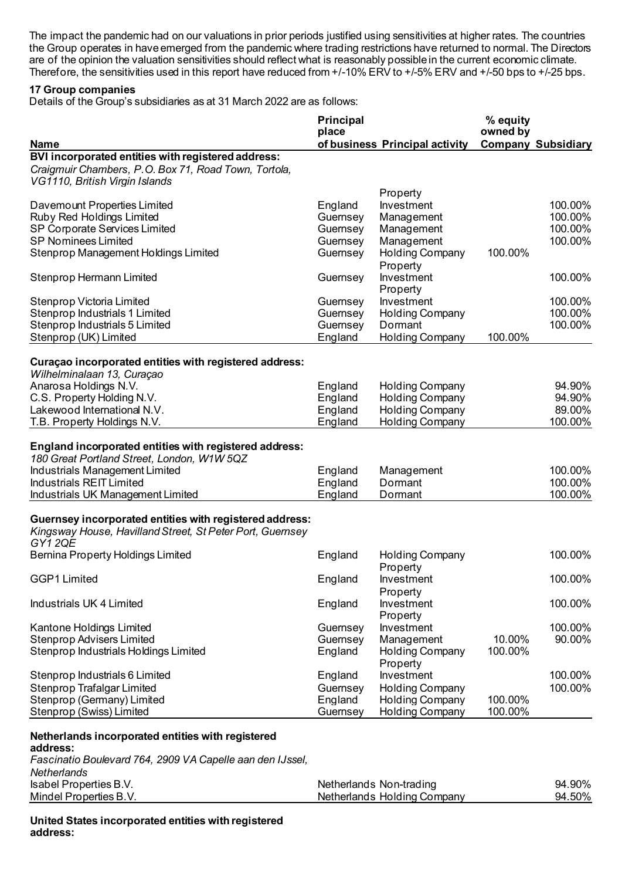The impact the pandemic had on our valuations in prior periods justified using sensitivities at higher rates. The countries the Group operates in have emerged from the pandemic where trading restrictions have returned to normal. The Directors are of the opinion the valuation sensitivities should reflect what is reasonably possible in the current economic climate. Therefore, the sensitivities used in this report have reduced from +/-10% ERV to +/-5% ERV and +/-50 bps to +/-25 bps.

## **17 Group companies**

Details of the Group's subsidiaries as at 31 March 2022 are as follows:

|                                                                                                                                              | <b>Principal</b><br>place |                                    | % equity<br>owned by |                           |
|----------------------------------------------------------------------------------------------------------------------------------------------|---------------------------|------------------------------------|----------------------|---------------------------|
| <b>Name</b>                                                                                                                                  |                           | of business Principal activity     |                      | <b>Company Subsidiary</b> |
| BVI incorporated entities with registered address:<br>Craigmuir Chambers, P.O. Box 71, Road Town, Tortola,<br>VG1110, British Virgin Islands |                           |                                    |                      |                           |
|                                                                                                                                              |                           | Property                           |                      |                           |
| Davemount Properties Limited<br>Ruby Red Holdings Limited                                                                                    | England<br>Guernsey       | Investment<br>Management           |                      | 100.00%<br>100.00%        |
| SP Corporate Services Limited                                                                                                                | Guernsey                  | Management                         |                      | 100.00%                   |
| <b>SP Nominees Limited</b>                                                                                                                   | Guernsey                  | Management                         |                      | 100.00%                   |
| Stenprop Management Holdings Limited                                                                                                         | Guernsey                  | <b>Holding Company</b>             | 100.00%              |                           |
|                                                                                                                                              |                           | Property                           |                      |                           |
| <b>Stenprop Hermann Limited</b>                                                                                                              | Guernsey                  | Investment<br>Property             |                      | 100.00%                   |
| <b>Stenprop Victoria Limited</b>                                                                                                             | Guernsey                  | Investment                         |                      | 100.00%                   |
| Stenprop Industrials 1 Limited                                                                                                               | Guernsey                  | <b>Holding Company</b>             |                      | 100.00%                   |
| Stenprop Industrials 5 Limited                                                                                                               | Guernsey                  | Dormant                            |                      | 100.00%                   |
| Stenprop (UK) Limited                                                                                                                        | England                   | <b>Holding Company</b>             | 100.00%              |                           |
| Curaçao incorporated entities with registered address:<br>Wilhelminalaan 13, Curacao                                                         |                           |                                    |                      |                           |
| Anarosa Holdings N.V.                                                                                                                        | England                   | <b>Holding Company</b>             |                      | 94.90%                    |
| C.S. Property Holding N.V.                                                                                                                   | England                   | <b>Holding Company</b>             |                      | 94.90%                    |
| Lakewood International N.V.                                                                                                                  | England                   | <b>Holding Company</b>             |                      | 89.00%                    |
| T.B. Property Holdings N.V.                                                                                                                  | England                   | <b>Holding Company</b>             |                      | 100.00%                   |
| England incorporated entities with registered address:                                                                                       |                           |                                    |                      |                           |
| 180 Great Portland Street, London, W1W 5QZ                                                                                                   |                           |                                    |                      |                           |
| <b>Industrials Management Limited</b>                                                                                                        | England                   | Management                         |                      | 100.00%                   |
| <b>Industrials REIT Limited</b>                                                                                                              | England                   | Dormant                            |                      | 100.00%                   |
| <b>Industrials UK Management Limited</b>                                                                                                     | England                   | Dormant                            |                      | 100.00%                   |
| Guernsey incorporated entities with registered address:<br>Kingsway House, Havilland Street, St Peter Port, Guernsey<br>GY12QE               |                           |                                    |                      |                           |
| <b>Bernina Property Holdings Limited</b>                                                                                                     | England                   | <b>Holding Company</b><br>Property |                      | 100.00%                   |
| <b>GGP1</b> Limited                                                                                                                          | England                   | Investment<br>Property             |                      | 100.00%                   |
| Industrials UK 4 Limited                                                                                                                     | England                   | Investment<br>Property             |                      | 100.00%                   |
| Kantone Holdings Limited                                                                                                                     | Guernsey                  | Investment                         |                      | 100.00%                   |
| <b>Stenprop Advisers Limited</b>                                                                                                             | Guernsey                  | Management                         | 10.00%               | 90.00%                    |
| Stenprop Industrials Holdings Limited                                                                                                        | England                   | <b>Holding Company</b><br>Property | 100.00%              |                           |
| Stenprop Industrials 6 Limited                                                                                                               | England                   | Investment                         |                      | 100.00%                   |
| <b>Stenprop Trafalgar Limited</b>                                                                                                            | Guernsey                  | <b>Holding Company</b>             |                      | 100.00%                   |
| Stenprop (Germany) Limited                                                                                                                   | England                   | <b>Holding Company</b>             | 100.00%              |                           |
| Stenprop (Swiss) Limited                                                                                                                     | Guernsey                  | <b>Holding Company</b>             | 100.00%              |                           |
| Netherlands incorporated entities with registered<br>address:<br>Escainatio Raulevard 764, 2000 VA Canelle 22n den Ussel                     |                           |                                    |                      |                           |

*Fascinatio Boulevard 764, 2909 VA Capelle aan den IJssel, Netherlands* Netherlands Non-trading<br>
Netherlands Holding Company<br>
94.50% Mindel Properties B.V. The Company 94.50 Section 1.1 Netherlands Holding Company

**United States incorporated entities with registered address:**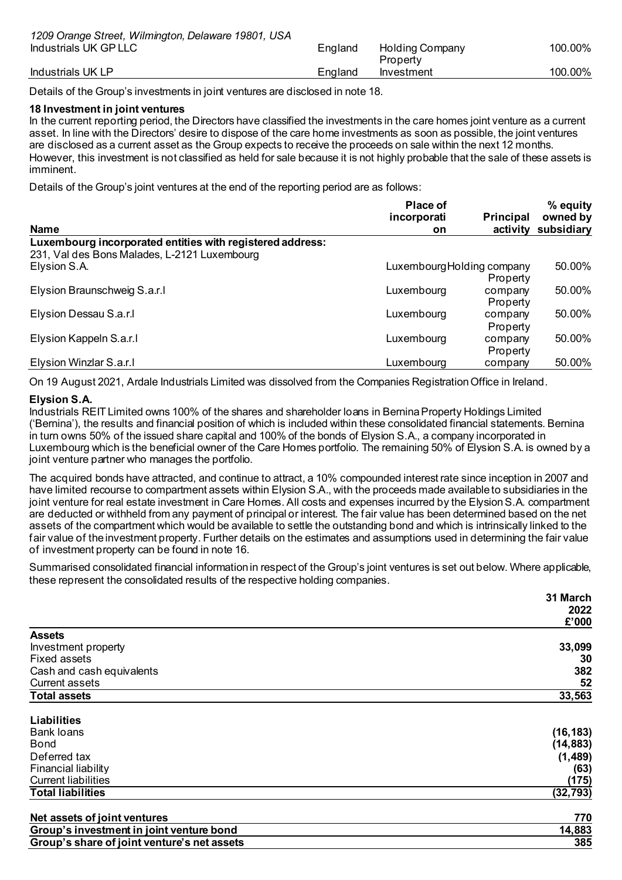| 1209 Orange Street, Wilmington, Delaware 19801, USA |         |                        |         |
|-----------------------------------------------------|---------|------------------------|---------|
| Industrials UK GP LLC                               | England | <b>Holding Company</b> | 100.00% |
|                                                     |         | Property               |         |
| Industrials UK LP                                   | England | Investment             | 100.00% |

Details of the Group's investments in joint ventures are disclosed in note 18.

### **18 Investment in joint ventures**

In the current reporting period, the Directors have classified the investments in the care homes joint venture as a current asset. In line with the Directors' desire to dispose of the care home investments as soon as possible, the joint ventures are disclosed as a current asset as the Group expects to receive the proceeds on sale within the next 12 months. However, this investment is not classified as held for sale because it is not highly probable that the sale of these assets is imminent.

Details of the Group's joint ventures at the end of the reporting period are as follows:

| Place of<br>incorporati | <b>Principal</b> | % equity<br>owned by       |
|-------------------------|------------------|----------------------------|
| <b>on</b>               | activity         | subsidiary                 |
|                         |                  |                            |
|                         |                  |                            |
|                         |                  | 50.00%                     |
|                         | Property         |                            |
| Luxembourg              | company          | 50.00%                     |
|                         | Property         |                            |
| Luxembourg              | company          | 50.00%                     |
|                         | Property         |                            |
| Luxembourg              | company          | 50.00%                     |
|                         | Property         |                            |
| Luxembourg              | company          | 50.00%                     |
|                         |                  | Luxembourg Holding company |

On 19 August 2021, Ardale Industrials Limited was dissolved from the Companies Registration Office in Ireland.

### **Elysion S.A.**

Industrials REIT Limited owns 100% of the shares and shareholder loans in Bernina Property Holdings Limited ('Bernina'), the results and financial position of which is included within these consolidated financial statements. Bernina in turn owns 50% of the issued share capital and 100% of the bonds of Elysion S.A., a company incorporated in Luxembourg which is the beneficial owner of the Care Homes portfolio. The remaining 50% of Elysion S.A. is owned by a joint venture partner who manages the portfolio.

The acquired bonds have attracted, and continue to attract, a 10% compounded interest rate since inception in 2007 and have limited recourse to compartment assets within Elysion S.A., with the proceeds made available to subsidiaries in the joint venture for real estate investment in Care Homes. All costs and expenses incurred by the Elysion S.A. compartment are deducted or withheld from any payment of principal or interest. The fair value has been determined based on the net assets of the compartment which would be available to settle the outstanding bond and which is intrinsically linked to the fair value of the investment property. Further details on the estimates and assumptions used in determining the fair value of investment property can be found in note 16.

Summarised consolidated financial information in respect of the Group's joint ventures is set out below. Where applicable, these represent the consolidated results of the respective holding companies.

|                                             | 31 March  |
|---------------------------------------------|-----------|
|                                             | 2022      |
|                                             | £'000     |
| <b>Assets</b>                               |           |
| Investment property                         | 33,099    |
| <b>Fixed assets</b>                         | 30        |
| Cash and cash equivalents                   | 382       |
| <b>Current assets</b>                       | 52        |
| <b>Total assets</b>                         | 33,563    |
| Liabilities                                 |           |
| <b>Bank loans</b>                           | (16, 183) |
| <b>Bond</b>                                 | (14, 883) |
| Deferred tax                                | (1,489)   |
| Financial liability                         | (63)      |
| <b>Current liabilities</b>                  | (175)     |
| <b>Total liabilities</b>                    | (32, 793) |
| Net assets of joint ventures                | 770       |
| Group's investment in joint venture bond    | 14,883    |
| Group's share of joint venture's net assets | 385       |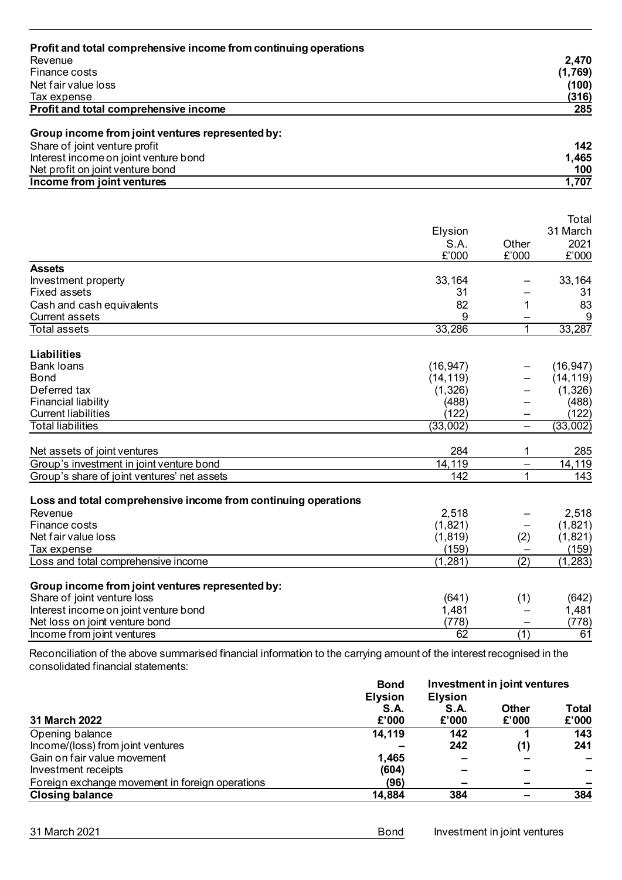| Profit and total comprehensive income from continuing operations |         |
|------------------------------------------------------------------|---------|
| Revenue                                                          | 2,470   |
| Finance costs                                                    | (1,769) |
| Net fair value loss                                              | (100)   |
| Tax expense                                                      | (316)   |
| Profit and total comprehensive income                            | 285     |
| Group income from joint ventures represented by:                 |         |
| Share of joint venture profit                                    | 142     |

| Interest income on joint venture bond | .465  |
|---------------------------------------|-------|
| Net profit on joint venture bond      | 100   |
| Income from joint ventures            | 707.، |

|                                                                | Elysion<br>S.A.<br>£'000 | Other<br>£'000           | Total<br>31 March<br>2021<br>£'000 |
|----------------------------------------------------------------|--------------------------|--------------------------|------------------------------------|
| <b>Assets</b>                                                  |                          |                          |                                    |
| Investment property                                            | 33,164                   |                          | 33,164                             |
| <b>Fixed assets</b>                                            | 31                       |                          | 31                                 |
| Cash and cash equivalents                                      | 82                       | 1                        | 83                                 |
| <b>Current assets</b>                                          | 9                        |                          | 9                                  |
| Total assets                                                   | 33,286                   | 1                        | 33,287                             |
| <b>Liabilities</b>                                             |                          |                          |                                    |
| <b>Bank loans</b>                                              | (16, 947)                |                          | (16, 947)                          |
| <b>Bond</b>                                                    | (14, 119)                |                          | (14, 119)                          |
| Deferred tax                                                   | (1, 326)                 |                          | (1,326)                            |
| <b>Financial liability</b>                                     | (488)                    |                          | (488)                              |
| <b>Current liabilities</b>                                     | (122)                    |                          | (122)                              |
| <b>Total liabilities</b>                                       | (33,002)                 |                          | (33,002)                           |
| Net assets of joint ventures                                   | 284                      | 1                        | 285                                |
| Group's investment in joint venture bond                       | 14,119                   | $\overline{\phantom{0}}$ | 14,119                             |
| Group's share of joint ventures' net assets                    | 142                      | 1                        | 143                                |
| Loss and total comprehensive income from continuing operations |                          |                          |                                    |
| Revenue                                                        | 2,518                    |                          | 2,518                              |
| Finance costs                                                  | (1,821)                  |                          | (1,821)                            |
| Net fair value loss                                            | (1, 819)                 | (2)                      | (1,821)                            |
| Tax expense                                                    | (159)                    |                          | (159)                              |
| Loss and total comprehensive income                            | (1, 281)                 | (2)                      | (1, 283)                           |
| Group income from joint ventures represented by:               |                          |                          |                                    |
| Share of joint venture loss                                    | (641)                    | (1)                      | (642)                              |
| Interest income on joint venture bond                          | 1,481                    |                          | 1,481                              |
| Net loss on joint venture bond                                 | (778)                    |                          | (778)                              |
| Income from joint ventures                                     | 62                       | (1)                      | 61                                 |
|                                                                |                          |                          |                                    |

Reconciliation of the above summarised financial information to the carrying amount of the interest recognised in the consolidated financial statements:

| 31 March 2022                                   | <b>Bond</b>                     |                                 | Investment in joint ventures |                       |  |
|-------------------------------------------------|---------------------------------|---------------------------------|------------------------------|-----------------------|--|
|                                                 | <b>Elysion</b><br>S.A.<br>£'000 | <b>Elysion</b><br>S.A.<br>£'000 | <b>Other</b><br>£'000        | <b>Total</b><br>£'000 |  |
| Opening balance                                 | 14,119                          | 142                             |                              | 143                   |  |
| Income/(loss) from joint ventures               |                                 | 242                             | (1)                          | 241                   |  |
| Gain on fair value movement                     | 1,465                           |                                 |                              |                       |  |
| Investment receipts                             | (604)                           | -                               |                              |                       |  |
| Foreign exchange movement in foreign operations | (96)                            | -                               |                              |                       |  |
| <b>Closing balance</b>                          | 14,884                          | 384                             |                              | 384                   |  |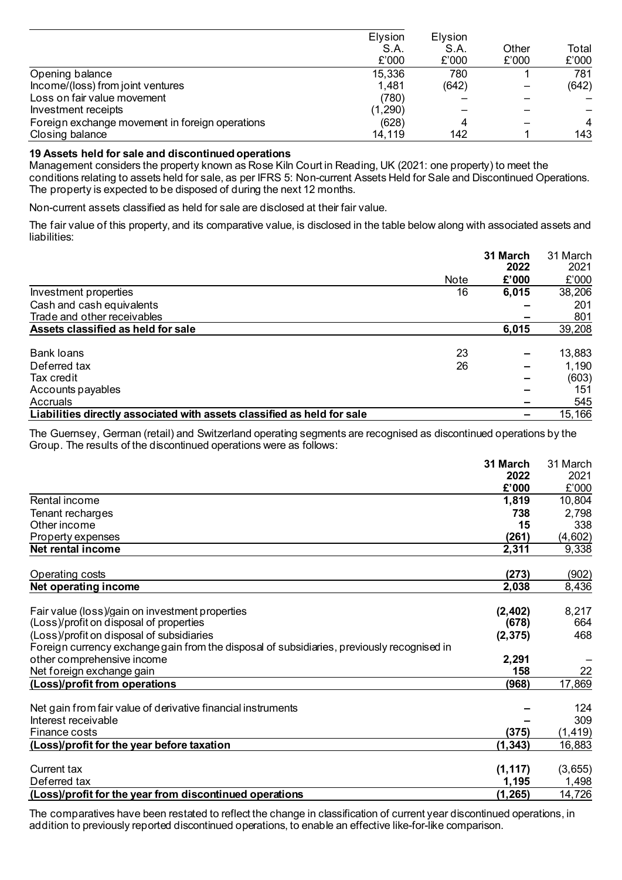|                                                 | Elysion  | Elysion |       |                |
|-------------------------------------------------|----------|---------|-------|----------------|
|                                                 | S.A.     | S.A.    | Other | Total          |
|                                                 | £'000    | £'000   | £'000 | £'000          |
| Opening balance                                 | 15,336   | 780     |       | 781            |
| Income/(loss) from joint ventures               | 1,481    | (642)   |       | (642)          |
| Loss on fair value movement                     | (780)    |         |       |                |
| Investment receipts                             | (1, 290) |         |       |                |
| Foreign exchange movement in foreign operations | (628)    | 4       |       | $\overline{4}$ |
| Closing balance                                 | 14,119   | 142     |       | 143            |

## **19 Assets held for sale and discontinued operations**

Management considers the property known as Rose Kiln Court in Reading, UK (2021: one property) to meet the conditions relating to assets held for sale, as per IFRS 5: Non-current Assets Held for Sale and Discontinued Operations. The property is expected to be disposed of during the next 12 months.

Non-current assets classified as held for sale are disclosed at their fair value.

The fair value of this property, and its comparative value, is disclosed in the table below along with associated assets and liabilities:

|                                                                         |             | 31 March<br>2022 | 31 March<br>2021 |
|-------------------------------------------------------------------------|-------------|------------------|------------------|
|                                                                         | <b>Note</b> | £'000            | £'000            |
| Investment properties                                                   | 16          | 6,015            | 38,206           |
| Cash and cash equivalents                                               |             |                  | 201              |
| Trade and other receivables                                             |             |                  | 801              |
| Assets classified as held for sale                                      |             | 6,015            | 39,208           |
| Bank loans                                                              | 23          |                  | 13,883           |
| Deferred tax                                                            | 26          |                  | 1,190            |
| Tax credit                                                              |             |                  | (603)            |
| Accounts payables                                                       |             |                  | 151              |
| Accruals                                                                |             |                  | 545              |
| Liabilities directly associated with assets classified as held for sale |             |                  | 15,166           |

The Guernsey, German (retail) and Switzerland operating segments are recognised as discontinued operations by the Group. The results of the discontinued operations were as follows:

|                                                                                            | 31 March | 31 March |
|--------------------------------------------------------------------------------------------|----------|----------|
|                                                                                            | 2022     | 2021     |
|                                                                                            | £'000    | £'000    |
| Rental income                                                                              | 1,819    | 10,804   |
| Tenant recharges                                                                           | 738      | 2,798    |
| Other income                                                                               | 15       | 338      |
| Property expenses                                                                          | (261)    | (4,602)  |
| Net rental income                                                                          | 2,311    | 9,338    |
| Operating costs                                                                            | (273)    | (902)    |
|                                                                                            | 2,038    |          |
| Net operating income                                                                       |          | 8,436    |
| Fair value (loss)/gain on investment properties                                            | (2, 402) | 8,217    |
| (Loss)/profit on disposal of properties                                                    | (678)    | 664      |
| (Loss)/profit on disposal of subsidiaries                                                  | (2, 375) | 468      |
| Foreign currency exchange gain from the disposal of subsidiaries, previously recognised in |          |          |
| other comprehensive income                                                                 | 2,291    |          |
| Net foreign exchange gain                                                                  | 158      | 22       |
| (Loss)/profit from operations                                                              | (968)    | 17,869   |
| Net gain from fair value of derivative financial instruments                               |          | 124      |
| Interest receivable                                                                        |          | 309      |
| Finance costs                                                                              | (375)    | (1, 419) |
| (Loss)/profit for the year before taxation                                                 | (1, 343) | 16,883   |
|                                                                                            |          |          |
| Current tax                                                                                | (1, 117) | (3,655)  |
| Deferred tax                                                                               | 1,195    | 1,498    |
| (Loss)/profit for the year from discontinued operations                                    | (1, 265) | 14,726   |

The comparatives have been restated to reflect the change in classification of current year discontinued operations, in addition to previously reported discontinued operations, to enable an effective like-for-like comparison.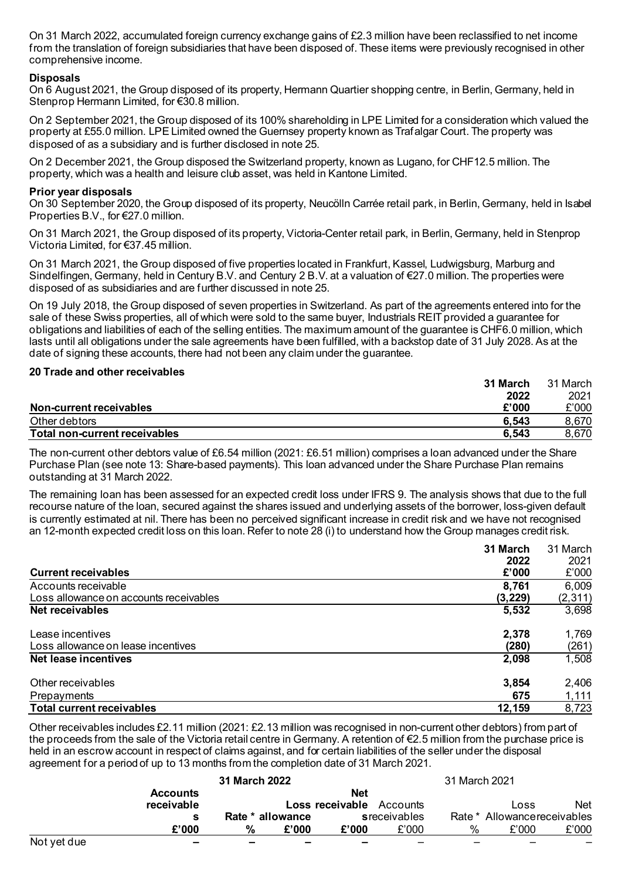On 31 March 2022, accumulated foreign currency exchange gains of £2.3 million have been reclassified to net income from the translation of foreign subsidiaries that have been disposed of. These items were previously recognised in other comprehensive income.

## **Disposals**

On 6 August 2021, the Group disposed of its property, Hermann Quartier shopping centre, in Berlin, Germany, held in Stenprop Hermann Limited, for €30.8 million.

On 2 September 2021, the Group disposed of its 100% shareholding in LPE Limited for a consideration which valued the property at £55.0 million. LPE Limited owned the Guernsey property known as Trafalgar Court. The property was disposed of as a subsidiary and is further disclosed in note 25.

On 2 December 2021, the Group disposed the Switzerland property, known as Lugano, for CHF12.5 million. The property, which was a health and leisure club asset, was held in Kantone Limited.

### **Prior year disposals**

On 30 September 2020, the Group disposed of its property, Neucölln Carrée retail park, in Berlin, Germany, held in Isabel Properties B.V., for €27.0 million.

On 31 March 2021, the Group disposed of its property, Victoria-Center retail park, in Berlin, Germany, held in Stenprop Victoria Limited, for €37.45 million.

On 31 March 2021, the Group disposed of five properties located in Frankfurt, Kassel, Ludwigsburg, Marburg and Sindelfingen, Germany, held in Century B.V. and Century 2 B.V. at a valuation of €27.0 million. The properties were disposed of as subsidiaries and are further discussed in note 25.

On 19 July 2018, the Group disposed of seven properties in Switzerland. As part of the agreements entered into for the sale of these Swiss properties, all of which were sold to the same buyer, Industrials REIT provided a guarantee for obligations and liabilities of each of the selling entities. The maximum amount of the guarantee is CHF6.0 million, which lasts until all obligations under the sale agreements have been fulfilled, with a backstop date of 31 July 2028. As at the date of signing these accounts, there had not been any claim under the guarantee.

## **20 Trade and other receivables**

|                               | 31 March |       |
|-------------------------------|----------|-------|
|                               | 2022     | 2021  |
| Non-current receivables       | £'000    | £'000 |
| Other debtors                 | 6,543    | 8,670 |
| Total non-current receivables | 6,543    | 8.670 |

The non-current other debtors value of £6.54 million (2021: £6.51 million) comprises a loan advanced under the Share Purchase Plan (see note 13: Share-based payments). This loan advanced under the Share Purchase Plan remains outstanding at 31 March 2022.

The remaining loan has been assessed for an expected credit loss under IFRS 9. The analysis shows that due to the full recourse nature of the loan, secured against the shares issued and underlying assets of the borrower, loss-given default is currently estimated at nil. There has been no perceived significant increase in credit risk and we have not recognised an 12-month expected credit loss on this loan. Refer to note 28 (i) to understand how the Group manages credit risk.

|                                        | 31 March | 31 March |  |
|----------------------------------------|----------|----------|--|
|                                        | 2022     | 2021     |  |
| <b>Current receivables</b>             | £'000    | £'000    |  |
| Accounts receivable                    | 8.761    | 6,009    |  |
| Loss allowance on accounts receivables | (3, 229) | (2,311)  |  |
| Net receivables                        | 5,532    | 3,698    |  |
| Lease incentives                       | 2,378    | 1,769    |  |
| Loss allowance on lease incentives     | (280)    | (261)    |  |
| <b>Net lease incentives</b>            | 2,098    | 1,508    |  |
| Other receivables                      | 3,854    | 2,406    |  |
| Prepayments                            | 675      | 1,111    |  |
| <b>Total current receivables</b>       | 12,159   | 8,723    |  |

Other receivables includes £2.11 million (2021: £2.13 million was recognised in non-current other debtors) from part of the proceeds from the sale of the Victoria retail centre in Germany. A retention of €2.5 million from the purchase price is held in an escrow account in respect of claims against, and for certain liabilities of the seller under the disposal agreement for a period of up to 13 months from the completion date of 31 March 2021.

|                 | 31 March 2022 |                  |                 |                      | 31 March 2021 |                             |       |
|-----------------|---------------|------------------|-----------------|----------------------|---------------|-----------------------------|-------|
| <b>Accounts</b> |               |                  | <b>Net</b>      |                      |               |                             |       |
| receivable      |               |                  | Loss receivable | Accounts             |               | Loss                        | Net   |
|                 |               | Rate * allowance |                 | <b>s</b> receivables |               | Rate * Allowancereceivables |       |
| £'000           | %             | £'000            | £'000           | £'000                | %             | £'000                       | £'000 |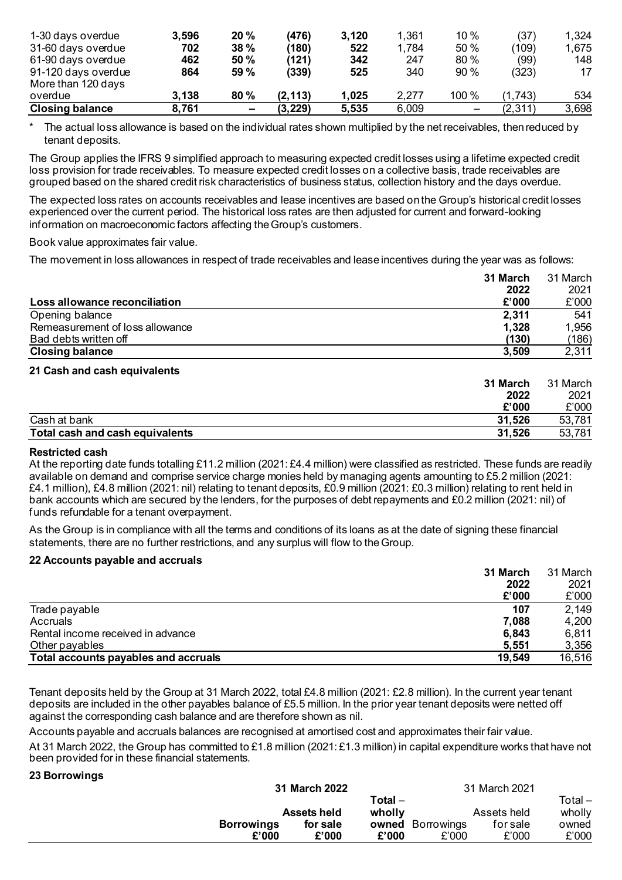| 1-30 days overdue      | 3,596 | 20 %                     | (476)    | 3,120 | 1,361 | $10\%$ | (37)     | 1,324 |
|------------------------|-------|--------------------------|----------|-------|-------|--------|----------|-------|
| 31-60 days overdue     | 702   | 38 %                     | (180)    | 522   | 1,784 | 50%    | (109)    | 1,675 |
| 61-90 days overdue     | 462   | 50%                      | (121)    | 342   | 247   | 80%    | (99)     | 148   |
| 91-120 days overdue    | 864   | 59 %                     | (339)    | 525   | 340   | 90%    | (323)    | 17    |
| More than 120 days     |       |                          |          |       |       |        |          |       |
| overdue                | 3.138 | 80%                      | (2, 113) | 1,025 | 2,277 | 100 %  | (1,743)  | 534   |
| <b>Closing balance</b> | 8,761 | $\overline{\phantom{0}}$ | (3.229)  | 5,535 | 6,009 |        | (2, 311) | 3,698 |

The actual loss allowance is based on the individual rates shown multiplied by the net receivables, then reduced by tenant deposits.

The Group applies the IFRS 9 simplified approach to measuring expected credit losses using a lifetime expected credit loss provision for trade receivables. To measure expected credit losses on a collective basis, trade receivables are grouped based on the shared credit risk characteristics of business status, collection history and the days overdue.

The expected loss rates on accounts receivables and lease incentives are based on the Group's historical credit losses experienced over the current period. The historical loss rates are then adjusted for current and forward-looking information on macroeconomic factors affecting the Group's customers.

Book value approximates fair value.

The movement in loss allowances in respect of trade receivables and lease incentives during the year was as follows:

|                                 | 31 March | 31 March |
|---------------------------------|----------|----------|
|                                 | 2022     | 2021     |
| Loss allowance reconciliation   | £'000    | £'000    |
| Opening balance                 | 2,311    | 541      |
| Remeasurement of loss allowance | 1,328    | 1,956    |
| Bad debts written off           | (130)    | (186)    |
| <b>Closing balance</b>          | 3,509    | 2,311    |
| 21 Cash and cash equivalents    |          |          |
|                                 | 31 March | 31 March |
|                                 | 2022     | 2021     |

|                                 | 2022   | 2021       |
|---------------------------------|--------|------------|
|                                 | £'000  | £'000      |
| Cash at bank                    | 31.526 | 53,781     |
| Total cash and cash equivalents | 31,526 | 781<br>53, |
|                                 |        |            |

## **Restricted cash**

At the reporting date funds totalling £11.2 million (2021: £4.4 million) were classified as restricted. These funds are readily available on demand and comprise service charge monies held by managing agents amounting to £5.2 million (2021: £4.1 million), £4.8 million (2021: nil) relating to tenant deposits, £0.9 million (2021: £0.3 million) relating to rent held in bank accounts which are secured by the lenders, for the purposes of debt repayments and £0.2 million (2021: nil) of funds refundable for a tenant overpayment.

As the Group is in compliance with all the terms and conditions of its loans as at the date of signing these financial statements, there are no further restrictions, and any surplus will flow to the Group.

## **22 Accounts payable and accruals**

| 31 March                                       | 31 March |  |
|------------------------------------------------|----------|--|
| 2022                                           | 2021     |  |
| £'000                                          | £'000    |  |
| 107<br>Trade payable                           | 2,149    |  |
| 7,088<br>Accruals                              | 4,200    |  |
| Rental income received in advance<br>6,843     | 6.811    |  |
| Other payables<br>5,551                        | 3,356    |  |
| Total accounts payables and accruals<br>19,549 | 16,516   |  |

Tenant deposits held by the Group at 31 March 2022, total £4.8 million (2021: £2.8 million). In the current year tenant deposits are included in the other payables balance of £5.5 million. In the prior year tenant deposits were netted off against the corresponding cash balance and are therefore shown as nil.

Accounts payable and accruals balances are recognised at amortised cost and approximates their fair value.

At 31 March 2022, the Group has committed to £1.8 million (2021: £1.3 million) in capital expenditure works that have not been provided for in these financial statements.

#### **23 Borrowings**

|                   | 31 March 2022      |           |                         | 31 March 2021 |           |
|-------------------|--------------------|-----------|-------------------------|---------------|-----------|
|                   |                    | $Total -$ |                         |               | $Total -$ |
|                   | <b>Assets held</b> | wholly    |                         | Assets held   | wholly    |
| <b>Borrowings</b> | for sale           |           | <b>owned</b> Borrowings | for sale      | owned     |
| £'000             | £'000              | £'000     | £'000                   | £'000         | £'000     |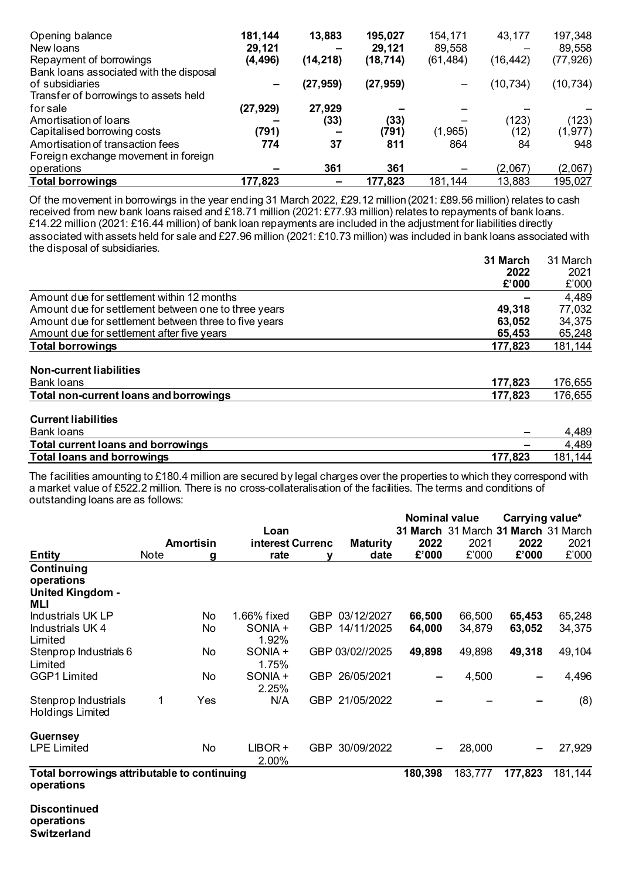| Opening balance                         | 181,144   | 13,883    | 195,027   | 154,171   | 43,177    | 197,348   |
|-----------------------------------------|-----------|-----------|-----------|-----------|-----------|-----------|
| New loans                               | 29,121    |           | 29,121    | 89,558    |           | 89,558    |
| Repayment of borrowings                 | (4, 496)  | (14, 218) | (18,714)  | (61, 484) | (16, 442) | (77, 926) |
| Bank loans associated with the disposal |           |           |           |           |           |           |
| of subsidiaries                         |           | (27, 959) | (27, 959) |           | (10, 734) | (10, 734) |
| Transfer of borrowings to assets held   |           |           |           |           |           |           |
| for sale                                | (27, 929) | 27,929    |           |           |           |           |
| Amortisation of loans                   |           | (33)      | (33)      |           | (123)     | (123)     |
| Capitalised borrowing costs             | (791)     |           | (791)     | (1, 965)  | (12)      | (1, 977)  |
| Amortisation of transaction fees        | 774       | 37        | 811       | 864       | 84        | 948       |
| Foreign exchange movement in foreign    |           |           |           |           |           |           |
| operations                              |           | 361       | 361       |           | (2,067)   | (2,067)   |
| <b>Total borrowings</b>                 | 177,823   |           | 177,823   | 181,144   | 13,883    | 195,027   |

Of the movement in borrowings in the year ending 31 March 2022, £29.12 million (2021: £89.56 million) relates to cash received from new bank loans raised and £18.71 million (2021: £77.93 million) relates to repayments of bank loans. £14.22 million (2021: £16.44 million) of bank loan repayments are included in the adjustment for liabilities directly associated with assets held for sale and £27.96 million (2021: £10.73 million) was included in bank loans associated with the disposal of subsidiaries.

|                                                       | 31 March | 31 March |  |
|-------------------------------------------------------|----------|----------|--|
|                                                       | 2022     | 2021     |  |
|                                                       | £'000    | £'000    |  |
| Amount due for settlement within 12 months            |          | 4.489    |  |
| Amount due for settlement between one to three years  | 49,318   | 77,032   |  |
| Amount due for settlement between three to five years | 63,052   | 34,375   |  |
| Amount due for settlement after five years            | 65,453   | 65,248   |  |
| <b>Total borrowings</b>                               | 177,823  | 181,144  |  |
|                                                       |          |          |  |

| <b>Non-current liabilities</b>         |         |         |
|----------------------------------------|---------|---------|
| <b>Bank loans</b>                      | 177.823 | 176,655 |
| Total non-current loans and borrowings | 177,823 | 176,655 |

## **Current liabilities**

| <b>Bank loans</b>                         | -       | 489         |
|-------------------------------------------|---------|-------------|
| <b>Total current loans and borrowings</b> | -       | 489         |
| <b>Total loans and borrowings</b>         | 177,823 | 181<br>.144 |

The facilities amounting to £180.4 million are secured by legal charges over the properties to which they correspond with a market value of £522.2 million. There is no cross-collateralisation of the facilities. The terms and conditions of outstanding loans are as follows:

|                                                           |      |           |                  |            | <b>Nominal value</b> |         | Carrying value* |                                     |         |
|-----------------------------------------------------------|------|-----------|------------------|------------|----------------------|---------|-----------------|-------------------------------------|---------|
|                                                           |      |           | Loan             |            |                      |         |                 | 31 March 31 March 31 March 31 March |         |
|                                                           |      | Amortisin | interest Currenc |            | <b>Maturity</b>      | 2022    | 2021            | 2022                                | 2021    |
| <b>Entity</b>                                             | Note | g         | rate             |            | date                 | £'000   | £'000           | £'000                               | £'000   |
| Continuing<br>operations                                  |      |           |                  |            |                      |         |                 |                                     |         |
| <b>United Kingdom -</b><br><b>MLI</b>                     |      |           |                  |            |                      |         |                 |                                     |         |
| Industrials UK LP                                         |      | No.       | $1.66\%$ fixed   | <b>GBP</b> | 03/12/2027           | 66,500  | 66,500          | 65,453                              | 65,248  |
| Industrials UK 4<br>Limited                               |      | No        | SONIA +<br>1.92% | GBP        | 14/11/2025           | 64,000  | 34,879          | 63,052                              | 34,375  |
| Stenprop Industrials 6<br>Limited                         |      | <b>No</b> | SONIA +<br>1.75% |            | GBP 03/02//2025      | 49,898  | 49,898          | 49,318                              | 49,104  |
| <b>GGP1 Limited</b>                                       |      | <b>No</b> | SONIA +<br>2.25% |            | GBP 26/05/2021       |         | 4,500           |                                     | 4,496   |
| Stenprop Industrials<br><b>Holdings Limited</b>           | 1    | Yes       | N/A              |            | GBP 21/05/2022       |         |                 |                                     | (8)     |
| <b>Guernsey</b><br><b>LPE Limited</b>                     |      | No.       | LIBOR +          |            | GBP 30/09/2022       | -       | 28,000          |                                     | 27,929  |
|                                                           |      |           | 2.00%            |            |                      |         |                 |                                     |         |
| Total borrowings attributable to continuing<br>operations |      |           |                  |            |                      | 180,398 | 183,777         | 177,823                             | 181,144 |

**Discontinued operations Switzerland**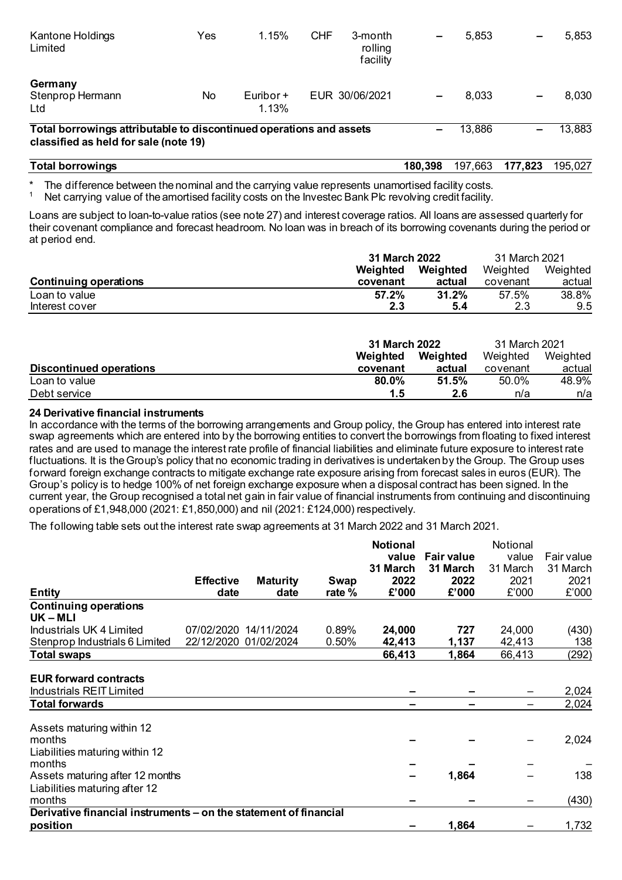| Kantone Holdings<br>Limited                                                                                  | Yes | 1.15%              | <b>CHF</b> | 3-month<br>rolling<br>facility | $\overline{\phantom{0}}$ | 5,853  | -                        | 5,853  |
|--------------------------------------------------------------------------------------------------------------|-----|--------------------|------------|--------------------------------|--------------------------|--------|--------------------------|--------|
| Germany<br>Stenprop Hermann<br>Ltd                                                                           | No  | Euribor +<br>1.13% |            | EUR 30/06/2021                 | -                        | 8,033  | $\overline{\phantom{0}}$ | 8,030  |
| Total borrowings attributable to discontinued operations and assets<br>classified as held for sale (note 19) |     |                    |            |                                | -                        | 13,886 |                          | 13,883 |

**Total borrowings 180,398** 197,663 **177,823** 195,027

\* The difference between the nominal and the carrying value represents unamortised facility costs.<br>1. Not corning value of the emerticed facility costs on the Investee Bank Ple revolving cradit facility. Net carrying value of the amortised facility costs on the Investec Bank Plc revolving credit facility.

Loans are subject to loan-to-value ratios (see note 27) and interest coverage ratios. All loans are assessed quarterly for their covenant compliance and forecast headroom. No loan was in breach of its borrowing covenants during the period or at period end.

|                              | 31 March 2022 |          | 31 March 2021 |          |
|------------------------------|---------------|----------|---------------|----------|
|                              | Weighted      | Weighted | Weiahted      | Weighted |
| <b>Continuing operations</b> | covenant      | actual   | covenant      | actual   |
| Loan to value                | 57.2%         | 31.2%    | 57.5%         | 38.8%    |
| Interest cover               | 2.3           | 5.4      | 2.3           | 9.5      |

|                                | 31 March 2022        |        | 31 March 2021 |          |
|--------------------------------|----------------------|--------|---------------|----------|
|                                | Weighted<br>Weighted |        | Weighted      | Weighted |
| <b>Discontinued operations</b> | covenant             | actual | covenant      | actual   |
| Loan to value                  | 80.0%                | 51.5%  | 50.0%         | 48.9%    |
| Debt service                   | 1.5                  | 2.6    | n/a           | n/a      |

### **24 Derivative financial instruments**

In accordance with the terms of the borrowing arrangements and Group policy, the Group has entered into interest rate swap agreements which are entered into by the borrowing entities to convert the borrowings from floating to fixed interest rates and are used to manage the interest rate profile of financial liabilities and eliminate future exposure to interest rate fluctuations. It is the Group's policy that no economic trading in derivatives is undertaken by the Group. The Group uses forward foreign exchange contracts to mitigate exchange rate exposure arising from forecast sales in euros (EUR). The Group's policy is to hedge 100% of net foreign exchange exposure when a disposal contract has been signed. In the current year, the Group recognised a total net gain in fair value of financial instruments from continuing and discontinuing operations of £1,948,000 (2021: £1,850,000) and nil (2021: £124,000) respectively.

The following table sets out the interest rate swap agreements at 31 March 2022 and 31 March 2021.

|                                                                  |                  |                       |             | <b>Notional</b> |                          | Notional |            |
|------------------------------------------------------------------|------------------|-----------------------|-------------|-----------------|--------------------------|----------|------------|
|                                                                  |                  |                       |             | value           | <b>Fair value</b>        | value    | Fair value |
|                                                                  |                  |                       |             | 31 March        | 31 March                 | 31 March | 31 March   |
|                                                                  | <b>Effective</b> | <b>Maturity</b>       | <b>Swap</b> | 2022            | 2022                     | 2021     | 2021       |
| <b>Entity</b>                                                    | date             | date                  | rate %      | £'000           | £'000                    | £'000    | £'000      |
| <b>Continuing operations</b>                                     |                  |                       |             |                 |                          |          |            |
| UK – MLI                                                         |                  |                       |             |                 |                          |          |            |
| Industrials UK 4 Limited                                         |                  | 07/02/2020 14/11/2024 | 0.89%       | 24,000          | 727                      | 24,000   | (430)      |
| Stenprop Industrials 6 Limited                                   |                  | 22/12/2020 01/02/2024 | 0.50%       | 42,413          | 1,137                    | 42,413   | 138        |
| <b>Total swaps</b>                                               |                  |                       |             | 66,413          | 1,864                    | 66,413   | (292)      |
|                                                                  |                  |                       |             |                 |                          |          |            |
| <b>EUR forward contracts</b>                                     |                  |                       |             |                 |                          |          |            |
| <b>Industrials REIT Limited</b>                                  |                  |                       |             |                 |                          |          | 2,024      |
| <b>Total forwards</b>                                            |                  |                       |             | -               | $\overline{\phantom{0}}$ |          | 2,024      |
|                                                                  |                  |                       |             |                 |                          |          |            |
| Assets maturing within 12                                        |                  |                       |             |                 |                          |          |            |
| months                                                           |                  |                       |             |                 |                          |          | 2,024      |
| Liabilities maturing within 12                                   |                  |                       |             |                 |                          |          |            |
| months                                                           |                  |                       |             |                 |                          |          |            |
| Assets maturing after 12 months                                  |                  |                       |             |                 | 1,864                    |          | 138        |
| Liabilities maturing after 12                                    |                  |                       |             |                 |                          |          |            |
| months                                                           |                  |                       |             |                 |                          |          | (430)      |
| Derivative financial instruments - on the statement of financial |                  |                       |             |                 |                          |          |            |
| position                                                         |                  |                       |             |                 | 1,864                    |          | 1,732      |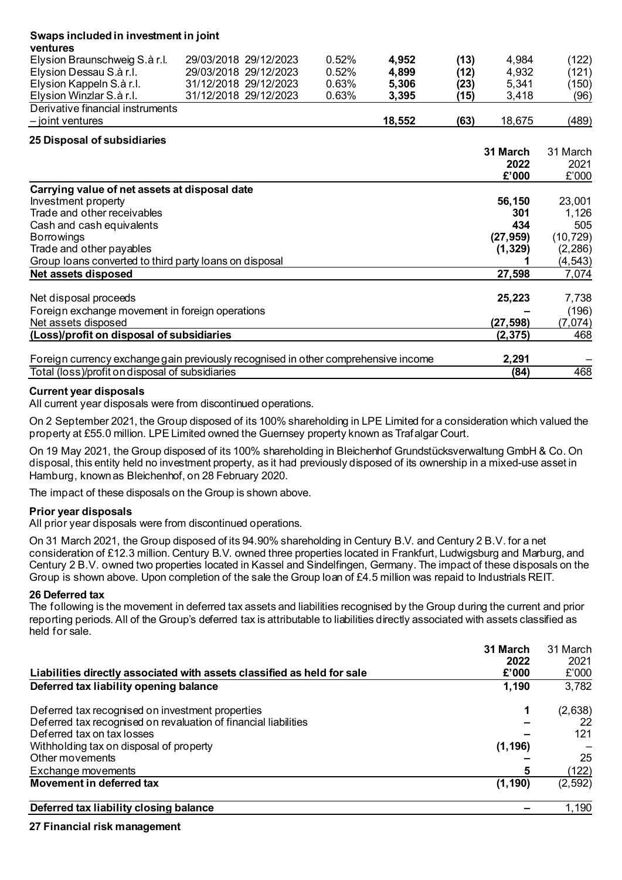| Swaps included in investment in joint                                              |                       |       |        |      |           |           |
|------------------------------------------------------------------------------------|-----------------------|-------|--------|------|-----------|-----------|
| ventures                                                                           |                       |       |        |      |           |           |
| Elysion Braunschweig S.à r.l.                                                      | 29/03/2018 29/12/2023 | 0.52% | 4,952  | (13) | 4,984     | (122)     |
| Elysion Dessau S.à r.l.                                                            | 29/03/2018 29/12/2023 | 0.52% | 4,899  | (12) | 4,932     | (121)     |
| Elysion Kappeln S.à r.l.                                                           | 31/12/2018 29/12/2023 | 0.63% | 5,306  | (23) | 5,341     | (150)     |
| Elysion Winzlar S.à r.l.                                                           | 31/12/2018 29/12/2023 | 0.63% | 3,395  | (15) | 3,418     | (96)      |
| Derivative financial instruments                                                   |                       |       |        |      |           |           |
| - joint ventures                                                                   |                       |       | 18,552 | (63) | 18,675    | (489)     |
| 25 Disposal of subsidiaries                                                        |                       |       |        |      |           |           |
|                                                                                    |                       |       |        |      | 31 March  | 31 March  |
|                                                                                    |                       |       |        |      | 2022      | 2021      |
|                                                                                    |                       |       |        |      | £'000     | £'000     |
| Carrying value of net assets at disposal date                                      |                       |       |        |      |           |           |
| Investment property                                                                |                       |       |        |      | 56,150    | 23,001    |
| Trade and other receivables                                                        |                       |       |        |      | 301       | 1,126     |
| Cash and cash equivalents                                                          |                       |       |        |      | 434       | 505       |
| <b>Borrowings</b>                                                                  |                       |       |        |      | (27, 959) | (10, 729) |
| Trade and other payables                                                           |                       |       |        |      | (1, 329)  | (2, 286)  |
| Group loans converted to third party loans on disposal                             |                       |       |        |      |           | (4, 543)  |
| Net assets disposed                                                                |                       |       |        |      | 27,598    | 7,074     |
| Net disposal proceeds                                                              |                       |       |        |      | 25,223    | 7,738     |
| Foreign exchange movement in foreign operations                                    |                       |       |        |      |           | (196)     |
| Net assets disposed                                                                |                       |       |        |      | (27, 598) | (7,074)   |
| (Loss)/profit on disposal of subsidiaries                                          |                       |       |        |      | (2, 375)  | 468       |
|                                                                                    |                       |       |        |      |           |           |
| Foreign currency exchange gain previously recognised in other comprehensive income |                       |       |        |      | 2,291     |           |
| Total (loss)/profit on disposal of subsidiaries                                    |                       |       |        |      | (84)      | 468       |

### **Current year disposals**

All current year disposals were from discontinued operations.

**Swaps included in investment in joint** 

On 2 September 2021, the Group disposed of its 100% shareholding in LPE Limited for a consideration which valued the property at £55.0 million. LPE Limited owned the Guernsey property known as Trafalgar Court.

On 19 May 2021, the Group disposed of its 100% shareholding in Bleichenhof Grundstücksverwaltung GmbH & Co. On disposal, this entity held no investment property, as it had previously disposed of its ownership in a mixed-use asset in Hamburg, known as Bleichenhof, on 28 February 2020.

The impact of these disposals on the Group is shown above.

## **Prior year disposals**

All prior year disposals were from discontinued operations.

On 31 March 2021, the Group disposed of its 94.90% shareholding in Century B.V. and Century 2 B.V. for a net consideration of £12.3 million. Century B.V. owned three properties located in Frankfurt, Ludwigsburg and Marburg, and Century 2 B.V. owned two properties located in Kassel and Sindelfingen, Germany. The impact of these disposals on the Group is shown above. Upon completion of the sale the Group loan of £4.5 million was repaid to Industrials REIT.

#### **26 Deferred tax**

The following is the movement in deferred tax assets and liabilities recognised by the Group during the current and prior reporting periods. All of the Group's deferred tax is attributable to liabilities directly associated with assets classified as held for sale.

|                                                                                                                   | 31 March<br>2022<br>£'000 | 31 March<br>2021 |
|-------------------------------------------------------------------------------------------------------------------|---------------------------|------------------|
| Liabilities directly associated with assets classified as held for sale<br>Deferred tax liability opening balance |                           | £'000            |
|                                                                                                                   | 1,190                     | 3,782            |
| Deferred tax recognised on investment properties                                                                  | 1                         | (2,638)          |
| Deferred tax recognised on revaluation of financial liabilities                                                   |                           | 22               |
| Deferred tax on tax losses                                                                                        |                           | 121              |
| Withholding tax on disposal of property                                                                           | (1, 196)                  |                  |
| Other movements                                                                                                   |                           | 25               |
| Exchange movements                                                                                                | 5                         | (122)            |
| Movement in deferred tax                                                                                          | (1, 190)                  | (2, 592)         |
| Deferred tax liability closing balance                                                                            |                           | 1,190            |

## **27 Financial risk management**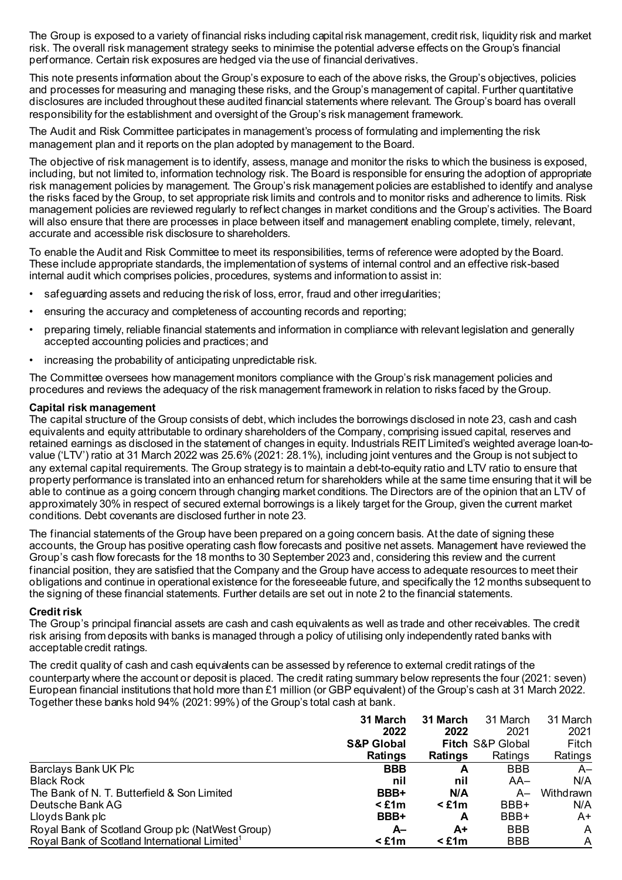The Group is exposed to a variety of financial risks including capital risk management, credit risk, liquidity risk and market risk. The overall risk management strategy seeks to minimise the potential adverse effects on the Group's financial performance. Certain risk exposures are hedged via the use of financial derivatives.

This note presents information about the Group's exposure to each of the above risks, the Group's objectives, policies and processes for measuring and managing these risks, and the Group's management of capital. Further quantitative disclosures are included throughout these audited financial statements where relevant. The Group's board has overall responsibility for the establishment and oversight of the Group's risk management framework.

The Audit and Risk Committee participates in management's process of formulating and implementing the risk management plan and it reports on the plan adopted by management to the Board.

The objective of risk management is to identify, assess, manage and monitor the risks to which the business is exposed, including, but not limited to, information technology risk. The Board is responsible for ensuring the adoption of appropriate risk management policies by management. The Group's risk management policies are established to identify and analyse the risks faced by the Group, to set appropriate risk limits and controls and to monitor risks and adherence to limits. Risk management policies are reviewed regularly to reflect changes in market conditions and the Group's activities. The Board will also ensure that there are processes in place between itself and management enabling complete, timely, relevant, accurate and accessible risk disclosure to shareholders.

To enable the Audit and Risk Committee to meet its responsibilities, terms of reference were adopted by the Board. These include appropriate standards, the implementation of systems of internal control and an effective risk-based internal audit which comprises policies, procedures, systems and information to assist in:

- safeguarding assets and reducing the risk of loss, error, fraud and other irregularities;
- ensuring the accuracy and completeness of accounting records and reporting;
- preparing timely, reliable financial statements and information in compliance with relevant legislation and generally accepted accounting policies and practices; and
- increasing the probability of anticipating unpredictable risk.

The Committee oversees how management monitors compliance with the Group's risk management policies and procedures and reviews the adequacy of the risk management framework in relation to risks faced by the Group.

## **Capital risk management**

The capital structure of the Group consists of debt, which includes the borrowings disclosed in note 23, cash and cash equivalents and equity attributable to ordinary shareholders of the Company, comprising issued capital, reserves and retained earnings as disclosed in the statement of changes in equity. Industrials REIT Limited's weighted average loan-tovalue ('LTV') ratio at 31 March 2022 was 25.6% (2021: 28.1%), including joint ventures and the Group is not subject to any external capital requirements. The Group strategy is to maintain a debt-to-equity ratio and LTV ratio to ensure that property performance is translated into an enhanced return for shareholders while at the same time ensuring that it will be able to continue as a going concern through changing market conditions. The Directors are of the opinion that an LTV of approximately 30% in respect of secured external borrowings is a likely target for the Group, given the current market conditions. Debt covenants are disclosed further in note 23.

The financial statements of the Group have been prepared on a going concern basis. At the date of signing these accounts, the Group has positive operating cash flow forecasts and positive net assets. Management have reviewed the Group's cash flow forecasts for the 18 months to 30 September 2023 and, considering this review and the current financial position, they are satisfied that the Company and the Group have access to adequate resources to meet their obligations and continue in operational existence for the foreseeable future, and specifically the 12 months subsequent to the signing of these financial statements. Further details are set out in note 2 to the financial statements.

## **Credit risk**

The Group's principal financial assets are cash and cash equivalents as well as trade and other receivables. The credit risk arising from deposits with banks is managed through a policy of utilising only independently rated banks with acceptable credit ratings.

The credit quality of cash and cash equivalents can be assessed by reference to external credit ratings of the counterparty where the account or deposit is placed. The credit rating summary below represents the four (2021: seven) European financial institutions that hold more than £1 million (or GBP equivalent) of the Group's cash at 31 March 2022. Together these banks hold 94% (2021: 99%) of the Group's total cash at bank.

|                                                           | 31 March<br>2022      | 31 March<br>2022 | 31 March<br>2021 | 31 March<br>2021 |
|-----------------------------------------------------------|-----------------------|------------------|------------------|------------------|
|                                                           | <b>S&amp;P Global</b> |                  | Fitch S&P Global | Fitch            |
|                                                           | <b>Ratings</b>        | <b>Ratings</b>   | Ratings          | Ratings          |
| Barclays Bank UK Plc                                      | <b>BBB</b>            | А                | <b>BBB</b>       | A–               |
| <b>Black Rock</b>                                         | nil                   | nil              | $AA-$            | N/A              |
| The Bank of N. T. Butterfield & Son Limited               | BBB+                  | N/A              | A–               | Withdrawn        |
| Deutsche Bank AG                                          | $\leq$ £1m            | $\epsilon1m$     | BBB+             | N/A              |
| Lloyds Bank plc                                           | BBB+                  | A                | BBB+             | A+               |
| Royal Bank of Scotland Group plc (NatWest Group)          | $A-$                  | A+               | <b>BBB</b>       | A                |
| Royal Bank of Scotland International Limited <sup>1</sup> | $\epsilon1m$          | <£1m             | <b>BBB</b>       | A                |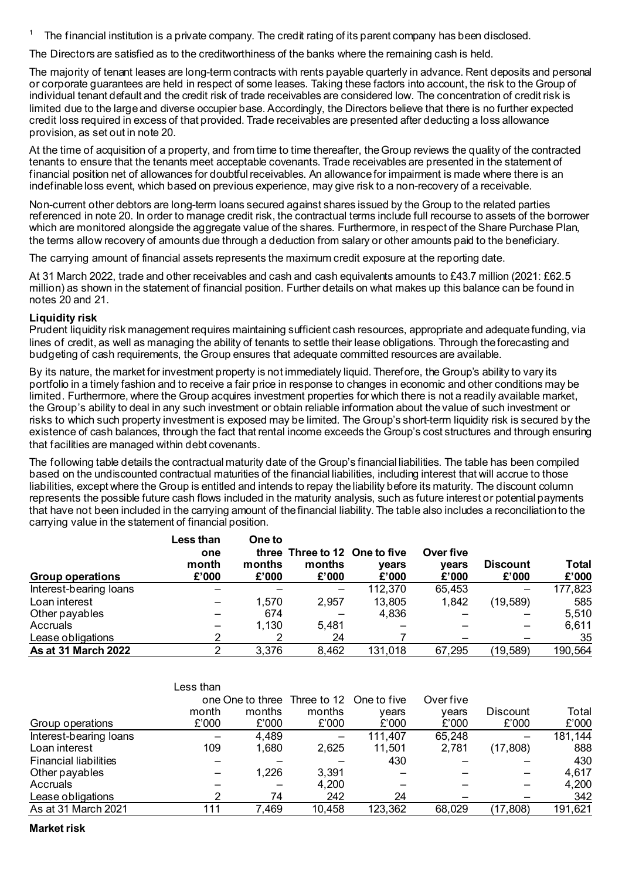<sup>1</sup> The financial institution is a private company. The credit rating of its parent company has been disclosed.

The Directors are satisfied as to the creditworthiness of the banks where the remaining cash is held.

The majority of tenant leases are long-term contracts with rents payable quarterly in advance. Rent deposits and personal or corporate guarantees are held in respect of some leases. Taking these factors into account, the risk to the Group of individual tenant default and the credit risk of trade receivables are considered low. The concentration of credit risk is limited due to the large and diverse occupier base. Accordingly, the Directors believe that there is no further expected credit loss required in excess of that provided. Trade receivables are presented after deducting a loss allowance provision, as set out in note 20.

At the time of acquisition of a property, and from time to time thereafter, the Group reviews the quality of the contracted tenants to ensure that the tenants meet acceptable covenants. Trade receivables are presented in the statement of financial position net of allowances for doubtful receivables. An allowance for impairment is made where there is an indefinable loss event, which based on previous experience, may give risk to a non-recovery of a receivable.

Non-current other debtors are long-term loans secured against shares issued by the Group to the related parties referenced in note 20. In order to manage credit risk, the contractual terms include full recourse to assets of the borrower which are monitored alongside the aggregate value of the shares. Furthermore, in respect of the Share Purchase Plan, the terms allow recovery of amounts due through a deduction from salary or other amounts paid to the beneficiary.

The carrying amount of financial assets represents the maximum credit exposure at the reporting date.

At 31 March 2022, trade and other receivables and cash and cash equivalents amounts to £43.7 million (2021: £62.5 million) as shown in the statement of financial position. Further details on what makes up this balance can be found in notes 20 and 21.

## **Liquidity risk**

Prudent liquidity risk management requires maintaining sufficient cash resources, appropriate and adequate funding, via lines of credit, as well as managing the ability of tenants to settle their lease obligations. Through the forecasting and budgeting of cash requirements, the Group ensures that adequate committed resources are available.

By its nature, the market for investment property is not immediately liquid. Therefore, the Group's ability to vary its portfolio in a timely fashion and to receive a fair price in response to changes in economic and other conditions may be limited. Furthermore, where the Group acquires investment properties for which there is not a readily available market, the Group's ability to deal in any such investment or obtain reliable information about the value of such investment or risks to which such property investment is exposed may be limited. The Group's short-term liquidity risk is secured by the existence of cash balances, through the fact that rental income exceeds the Group's cost structures and through ensuring that facilities are managed within debt covenants.

The following table details the contractual maturity date of the Group's financial liabilities. The table has been compiled based on the undiscounted contractual maturities of the financial liabilities, including interest that will accrue to those liabilities, except where the Group is entitled and intends to repay the liability before its maturity. The discount column represents the possible future cash flows included in the maturity analysis, such as future interest or potential payments that have not been included in the carrying amount of the financial liability. The table also includes a reconciliation to the carrying value in the statement of financial position.

| <b>Group operations</b> | Less than<br>one<br>month<br>£'000 | One to<br>months<br>£'000 | three Three to 12 One to five<br>months<br>£'000 | vears<br>£'000 | Over five<br>vears<br>£'000 | <b>Discount</b><br>£'000 | <b>Total</b><br>£'000 |
|-------------------------|------------------------------------|---------------------------|--------------------------------------------------|----------------|-----------------------------|--------------------------|-----------------------|
| Interest-bearing loans  |                                    |                           |                                                  | 112,370        | 65,453                      |                          | 177,823               |
| Loan interest           |                                    | 1,570                     | 2,957                                            | 13,805         | 1,842                       | (19, 589)                | 585                   |
| Other payables          |                                    | 674                       |                                                  | 4,836          |                             |                          | 5,510                 |
| Accruals                |                                    | 1,130                     | 5,481                                            |                |                             |                          | 6,611                 |
| Lease obligations       | ົ                                  | ົ                         | 24                                               |                |                             |                          | 35                    |
| As at 31 March 2022     | ⌒                                  | 3,376                     | 8,462                                            | 131,018        | 67,295                      | (19, 589)                | 190,564               |

|                              | ∟ess than |        |                                          |         |           |                 |         |
|------------------------------|-----------|--------|------------------------------------------|---------|-----------|-----------------|---------|
|                              |           |        | one One to three Three to 12 One to five |         | Over five |                 |         |
|                              | month     | months | months                                   | vears   | vears     | <b>Discount</b> | Total   |
| Group operations             | £'000     | £'000  | £'000                                    | £'000   | £'000     | £'000           | £'000   |
| Interest-bearing loans       |           | 4,489  |                                          | 111,407 | 65,248    |                 | 181,144 |
| Loan interest                | 109       | 1,680  | 2,625                                    | 11,501  | 2,781     | (17, 808)       | 888     |
| <b>Financial liabilities</b> |           |        |                                          | 430     |           |                 | 430     |
| Other payables               |           | 1,226  | 3,391                                    |         |           |                 | 4,617   |
| Accruals                     |           |        | 4,200                                    |         |           |                 | 4,200   |
| Lease obligations            |           | 74     | 242                                      | 24      |           |                 | 342     |
| As at 31 March 2021          | 111       | 7,469  | 10,458                                   | 123,362 | 68,029    | (17, 808)       | 191,621 |

**Market risk**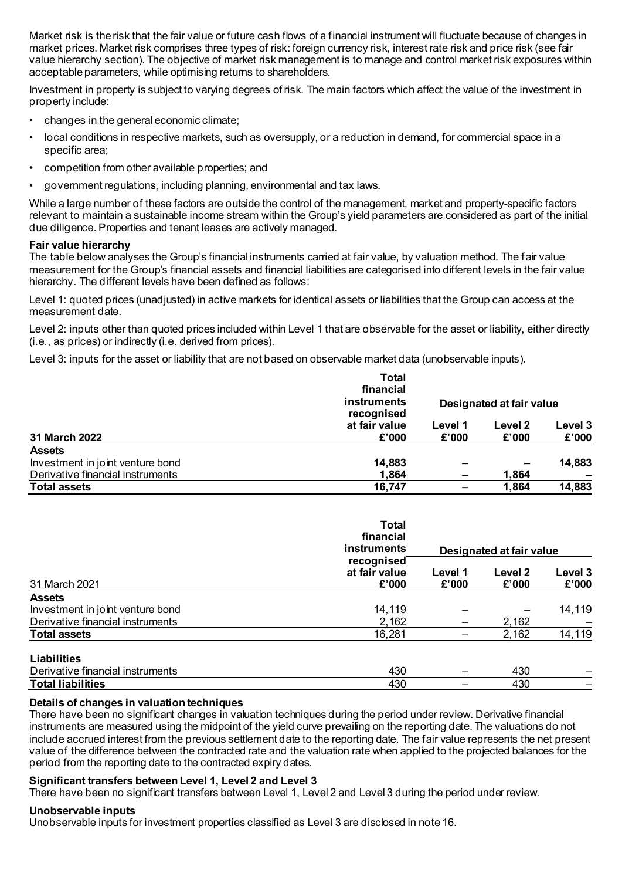Market risk is the risk that the fair value or future cash flows of a financial instrument will fluctuate because of changes in market prices. Market risk comprises three types of risk: foreign currency risk, interest rate risk and price risk (see fair value hierarchy section). The objective of market risk management is to manage and control market risk exposures within acceptable parameters, while optimising returns to shareholders.

Investment in property is subject to varying degrees of risk. The main factors which affect the value of the investment in property include:

- changes in the general economic climate;
- local conditions in respective markets, such as oversupply, or a reduction in demand, for commercial space in a specific area:
- competition from other available properties; and
- government regulations, including planning, environmental and tax laws.

While a large number of these factors are outside the control of the management, market and property-specific factors relevant to maintain a sustainable income stream within the Group's yield parameters are considered as part of the initial due diligence. Properties and tenant leases are actively managed.

### **Fair value hierarchy**

The table below analyses the Group's financial instruments carried at fair value, by valuation method. The fair value measurement for the Group's financial assets and financial liabilities are categorised into different levels in the fair value hierarchy. The different levels have been defined as follows:

Level 1: quoted prices (unadjusted) in active markets for identical assets or liabilities that the Group can access at the measurement date.

Level 2: inputs other than quoted prices included within Level 1 that are observable for the asset or liability, either directly (i.e., as prices) or indirectly (i.e. derived from prices).

Level 3: inputs for the asset or liability that are not based on observable market data (unobservable inputs).

|                                  | <b>Total</b><br>financial |                          |                          |         |
|----------------------------------|---------------------------|--------------------------|--------------------------|---------|
|                                  | instruments<br>recognised | Designated at fair value |                          |         |
|                                  | at fair value             | Level 1                  | Level 2                  | Level 3 |
| 31 March 2022                    | £'000                     | £'000                    | £'000                    | £'000   |
| <b>Assets</b>                    |                           |                          |                          |         |
| Investment in joint venture bond | 14,883                    | -                        | $\overline{\phantom{0}}$ | 14,883  |
| Derivative financial instruments | 1,864                     | -                        | 1,864                    |         |
| <b>Total assets</b>              | 16,747                    | -                        | 1,864                    | 14,883  |

| 31 March 2021                    | <b>Total</b><br>financial<br>instruments |                  | Designated at fair value |                  |
|----------------------------------|------------------------------------------|------------------|--------------------------|------------------|
|                                  | recognised<br>at fair value<br>£'000     | Level 1<br>£'000 | Level 2<br>£'000         | Level 3<br>£'000 |
| <b>Assets</b>                    |                                          |                  |                          |                  |
| Investment in joint venture bond | 14,119                                   |                  |                          | 14,119           |
| Derivative financial instruments | 2,162                                    |                  | 2,162                    |                  |
| <b>Total assets</b>              | 16,281                                   |                  | 2,162                    | 14,119           |
| <b>Liabilities</b>               |                                          |                  |                          |                  |

| -----------<br>.                                                    |               |   |  |
|---------------------------------------------------------------------|---------------|---|--|
| -<br>100.0581100000<br>t<br>TU.<br>чин.<br>$\overline{a}$<br>בוווסו | rvu           |   |  |
|                                                                     | $\sim$<br>rv. | ∼ |  |
|                                                                     |               |   |  |

#### **Details of changes in valuation techniques**

There have been no significant changes in valuation techniques during the period under review. Derivative financial instruments are measured using the midpoint of the yield curve prevailing on the reporting date. The valuations do not include accrued interest from the previous settlement date to the reporting date. The fair value represents the net present value of the difference between the contracted rate and the valuation rate when applied to the projected balances for the period from the reporting date to the contracted expiry dates.

## **Significant transfers between Level 1, Level 2 and Level 3**

There have been no significant transfers between Level 1, Level 2 and Level 3 during the period under review.

#### **Unobservable inputs**

Unobservable inputs for investment properties classified as Level 3 are disclosed in note 16.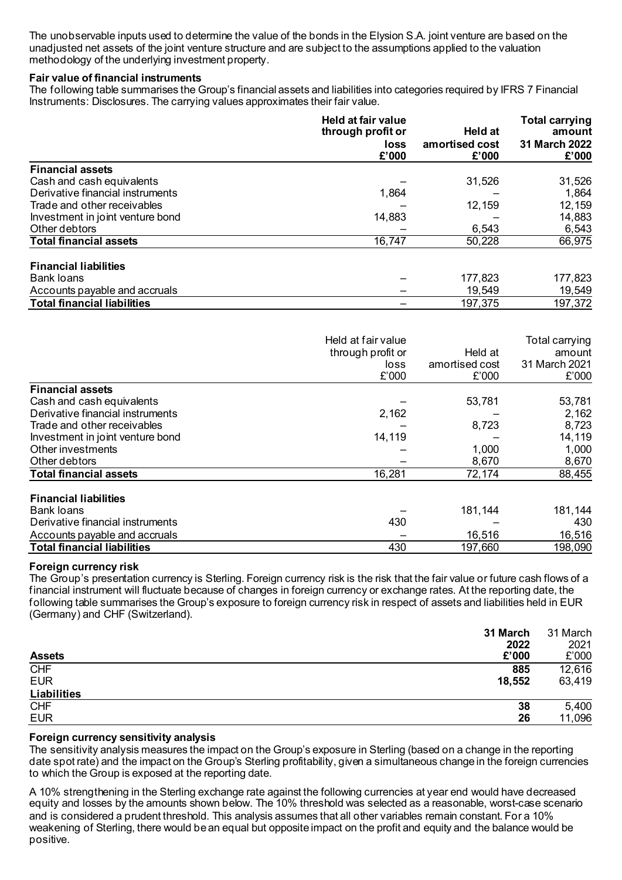The unobservable inputs used to determine the value of the bonds in the Elysion S.A. joint venture are based on the unadjusted net assets of the joint venture structure and are subject to the assumptions applied to the valuation methodology of the underlying investment property.

## **Fair value of financial instruments**

The following table summarises the Group's financial assets and liabilities into categories required by IFRS 7 Financial Instruments: Disclosures. The carrying values approximates their fair value.

|                                    | Held at fair value<br>through profit or<br>loss<br>£'000 | Held at<br>amortised cost<br>£'000 | <b>Total carrying</b><br>amount<br>31 March 2022<br>£'000 |
|------------------------------------|----------------------------------------------------------|------------------------------------|-----------------------------------------------------------|
| <b>Financial assets</b>            |                                                          |                                    |                                                           |
| Cash and cash equivalents          |                                                          | 31,526                             | 31,526                                                    |
| Derivative financial instruments   | 1,864                                                    |                                    | 1,864                                                     |
| Trade and other receivables        |                                                          | 12,159                             | 12,159                                                    |
| Investment in joint venture bond   | 14,883                                                   |                                    | 14,883                                                    |
| Other debtors                      |                                                          | 6,543                              | 6,543                                                     |
| <b>Total financial assets</b>      | 16,747                                                   | 50,228                             | 66,975                                                    |
| <b>Financial liabilities</b>       |                                                          |                                    |                                                           |
| Bank loans                         |                                                          | 177,823                            | 177,823                                                   |
| Accounts payable and accruals      |                                                          | 19,549                             | 19,549                                                    |
| <b>Total financial liabilities</b> |                                                          | 197,375                            | 197,372                                                   |

|                                    | Held at fair value<br>through profit or<br>loss | Held at<br>amortised cost | Total carrying<br>amount<br>31 March 2021 |
|------------------------------------|-------------------------------------------------|---------------------------|-------------------------------------------|
|                                    | £'000                                           | £'000                     | £'000                                     |
| <b>Financial assets</b>            |                                                 |                           |                                           |
| Cash and cash equivalents          |                                                 | 53,781                    | 53,781                                    |
| Derivative financial instruments   | 2,162                                           |                           | 2,162                                     |
| Trade and other receivables        |                                                 | 8,723                     | 8,723                                     |
| Investment in joint venture bond   | 14,119                                          |                           | 14,119                                    |
| Other investments                  |                                                 | 1,000                     | 1,000                                     |
| Other debtors                      |                                                 | 8,670                     | 8,670                                     |
| <b>Total financial assets</b>      | 16,281                                          | 72,174                    | 88,455                                    |
| <b>Financial liabilities</b>       |                                                 |                           |                                           |
| Bank loans                         |                                                 | 181,144                   | 181,144                                   |
| Derivative financial instruments   | 430                                             |                           | 430                                       |
| Accounts payable and accruals      |                                                 | 16,516                    | 16,516                                    |
| <b>Total financial liabilities</b> | 430                                             | 197,660                   | 198,090                                   |

## **Foreign currency risk**

The Group's presentation currency is Sterling. Foreign currency risk is the risk that the fair value or future cash flows of a financial instrument will fluctuate because of changes in foreign currency or exchange rates. At the reporting date, the following table summarises the Group's exposure to foreign currency risk in respect of assets and liabilities held in EUR (Germany) and CHF (Switzerland).

|                    | 31 March | 31 March |
|--------------------|----------|----------|
|                    | 2022     | 2021     |
| <b>Assets</b>      | £'000    | £'000    |
| CHF                | 885      | 12,616   |
| <b>EUR</b>         | 18,552   | 63,419   |
| <b>Liabilities</b> |          |          |
| <b>CHF</b>         | 38       | 5,400    |
| <b>EUR</b>         | 26       | 11,096   |

## **Foreign currency sensitivity analysis**

The sensitivity analysis measures the impact on the Group's exposure in Sterling (based on a change in the reporting date spot rate) and the impact on the Group's Sterling profitability, given a simultaneous change in the foreign currencies to which the Group is exposed at the reporting date.

A 10% strengthening in the Sterling exchange rate against the following currencies at year end would have decreased equity and losses by the amounts shown below. The 10% threshold was selected as a reasonable, worst-case scenario and is considered a prudent threshold. This analysis assumes that all other variables remain constant. For a 10% weakening of Sterling, there would be an equal but opposite impact on the profit and equity and the balance would be positive.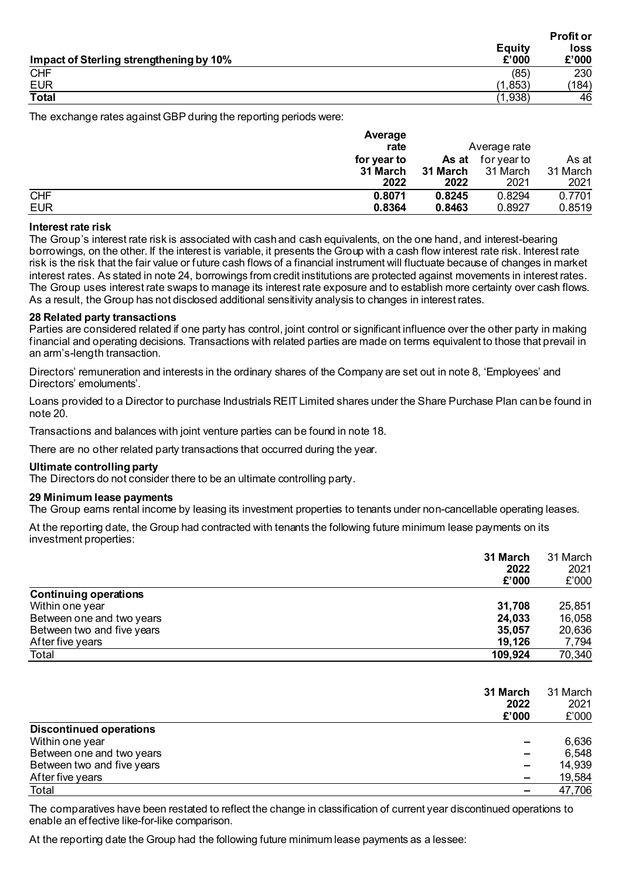| Impact of Sterling strengthening by 10% | <b>Equity</b><br>£'000 | <b>Profit of</b><br>loss<br>£'000 |
|-----------------------------------------|------------------------|-----------------------------------|
| <b>CHF</b>                              | (85)                   | 230                               |
| <b>EUR</b>                              | (1, 853)               | (184)                             |
| <b>Total</b>                            | (1,938)                | 46                                |

**Profit or** 

The exchange rates against GBP during the reporting periods were:

| Average<br>rate      |          | Average rate      |          |
|----------------------|----------|-------------------|----------|
| for year to          |          | As at for year to | As at    |
| 31 March             | 31 March | 31 March          | 31 March |
| 2022                 | 2022     | 2021              | 2021     |
| CHF<br>0.8071        | 0.8245   | 0.8294            | 0.7701   |
| <b>EUR</b><br>0.8364 | 0.8463   | 0.8927            | 0.8519   |

## **Interest rate risk**

The Group's interest rate risk is associated with cash and cash equivalents, on the one hand, and interest-bearing borrowings, on the other. If the interest is variable, it presents the Group with a cash flow interest rate risk. Interest rate risk is the risk that the fair value or future cash flows of a financial instrument will fluctuate because of changes in market interest rates. As stated in note 24, borrowings from credit institutions are protected against movements in interest rates. The Group uses interest rate swaps to manage its interest rate exposure and to establish more certainty over cash flows. As a result, the Group has not disclosed additional sensitivity analysis to changes in interest rates.

## **28 Related party transactions**

Parties are considered related if one party has control, joint control or significant influence over the other party in making financial and operating decisions. Transactions with related parties are made on terms equivalent to those that prevail in an arm's-length transaction.

Directors' remuneration and interests in the ordinary shares of the Company are set out in note 8, 'Employees' and Directors' emoluments'.

Loans provided to a Director to purchase Industrials REIT Limited shares under the Share Purchase Plan can be found in note 20.

Transactions and balances with joint venture parties can be found in note 18.

There are no other related party transactions that occurred during the year.

#### **Ultimate controlling party**

The Directors do not consider there to be an ultimate controlling party.

#### **29 Minimum lease payments**

The Group earns rental income by leasing its investment properties to tenants under non-cancellable operating leases.

At the reporting date, the Group had contracted with tenants the following future minimum lease payments on its investment properties:

|                              | 31 March<br>2022<br>£'000 | 31 March<br>2021<br>£'000 |
|------------------------------|---------------------------|---------------------------|
| <b>Continuing operations</b> |                           |                           |
| Within one year              | 31,708                    | 25,851                    |
| Between one and two years    | 24,033                    | 16,058                    |
| Between two and five years   | 35,057                    | 20,636                    |
| After five years             | 19,126                    | 7,794                     |
| Total                        | 109,924                   | 70,340                    |

|                                | 31 March<br>2022<br>£'000 | 31 March<br>2021<br>£'000 |
|--------------------------------|---------------------------|---------------------------|
| <b>Discontinued operations</b> |                           |                           |
| Within one year                | $\overline{\phantom{a}}$  | 6,636                     |
| Between one and two years      | $\overline{\phantom{0}}$  | 6,548                     |
| Between two and five years     | $\overline{\phantom{0}}$  | 14,939                    |
| After five years               | $\overline{\phantom{0}}$  | 19,584                    |
| Total                          |                           | 47,706                    |

The comparatives have been restated to reflect the change in classification of current year discontinued operations to enable an effective like-for-like comparison.

At the reporting date the Group had the following future minimum lease payments as a lessee: